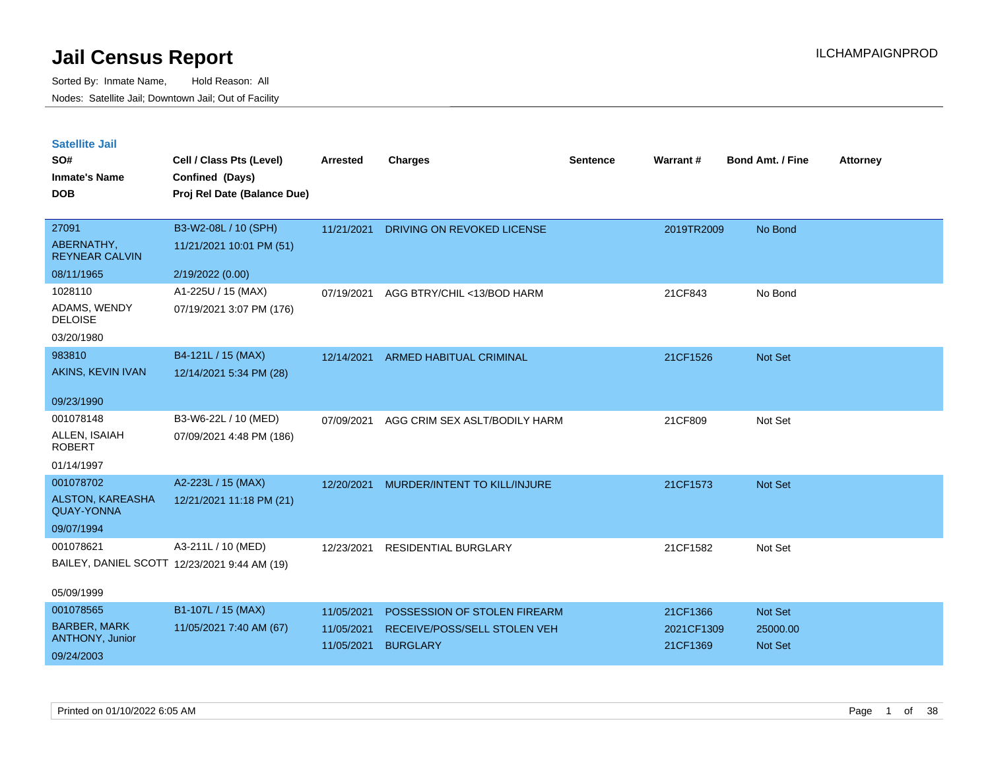| <b>Satellite Jail</b> |  |
|-----------------------|--|
|                       |  |

| SO#<br><b>Inmate's Name</b><br><b>DOB</b>    | Cell / Class Pts (Level)<br>Confined (Days)<br>Proj Rel Date (Balance Due) | <b>Arrested</b> | <b>Charges</b>                     | <b>Sentence</b> | Warrant#   | <b>Bond Amt. / Fine</b> | <b>Attorney</b> |
|----------------------------------------------|----------------------------------------------------------------------------|-----------------|------------------------------------|-----------------|------------|-------------------------|-----------------|
| 27091                                        | B3-W2-08L / 10 (SPH)                                                       |                 |                                    |                 |            |                         |                 |
| ABERNATHY,<br><b>REYNEAR CALVIN</b>          | 11/21/2021 10:01 PM (51)                                                   | 11/21/2021      | DRIVING ON REVOKED LICENSE         |                 | 2019TR2009 | No Bond                 |                 |
| 08/11/1965                                   | 2/19/2022 (0.00)                                                           |                 |                                    |                 |            |                         |                 |
| 1028110                                      | A1-225U / 15 (MAX)                                                         | 07/19/2021      | AGG BTRY/CHIL <13/BOD HARM         |                 | 21CF843    | No Bond                 |                 |
| ADAMS, WENDY<br><b>DELOISE</b>               | 07/19/2021 3:07 PM (176)                                                   |                 |                                    |                 |            |                         |                 |
| 03/20/1980                                   |                                                                            |                 |                                    |                 |            |                         |                 |
| 983810                                       | B4-121L / 15 (MAX)                                                         |                 | 12/14/2021 ARMED HABITUAL CRIMINAL |                 | 21CF1526   | Not Set                 |                 |
| <b>AKINS, KEVIN IVAN</b>                     | 12/14/2021 5:34 PM (28)                                                    |                 |                                    |                 |            |                         |                 |
| 09/23/1990                                   |                                                                            |                 |                                    |                 |            |                         |                 |
| 001078148                                    | B3-W6-22L / 10 (MED)                                                       | 07/09/2021      | AGG CRIM SEX ASLT/BODILY HARM      |                 | 21CF809    | Not Set                 |                 |
| ALLEN, ISAIAH<br><b>ROBERT</b>               | 07/09/2021 4:48 PM (186)                                                   |                 |                                    |                 |            |                         |                 |
| 01/14/1997                                   |                                                                            |                 |                                    |                 |            |                         |                 |
| 001078702                                    | A2-223L / 15 (MAX)                                                         | 12/20/2021      | MURDER/INTENT TO KILL/INJURE       |                 | 21CF1573   | Not Set                 |                 |
| <b>ALSTON, KAREASHA</b><br><b>QUAY-YONNA</b> | 12/21/2021 11:18 PM (21)                                                   |                 |                                    |                 |            |                         |                 |
| 09/07/1994                                   |                                                                            |                 |                                    |                 |            |                         |                 |
| 001078621                                    | A3-211L / 10 (MED)                                                         | 12/23/2021      | <b>RESIDENTIAL BURGLARY</b>        |                 | 21CF1582   | Not Set                 |                 |
|                                              | BAILEY, DANIEL SCOTT 12/23/2021 9:44 AM (19)                               |                 |                                    |                 |            |                         |                 |
| 05/09/1999                                   |                                                                            |                 |                                    |                 |            |                         |                 |
| 001078565                                    | B1-107L / 15 (MAX)                                                         | 11/05/2021      | POSSESSION OF STOLEN FIREARM       |                 | 21CF1366   | Not Set                 |                 |
| <b>BARBER, MARK</b><br>ANTHONY, Junior       | 11/05/2021 7:40 AM (67)                                                    | 11/05/2021      | RECEIVE/POSS/SELL STOLEN VEH       |                 | 2021CF1309 | 25000.00                |                 |
| 09/24/2003                                   |                                                                            | 11/05/2021      | <b>BURGLARY</b>                    |                 | 21CF1369   | Not Set                 |                 |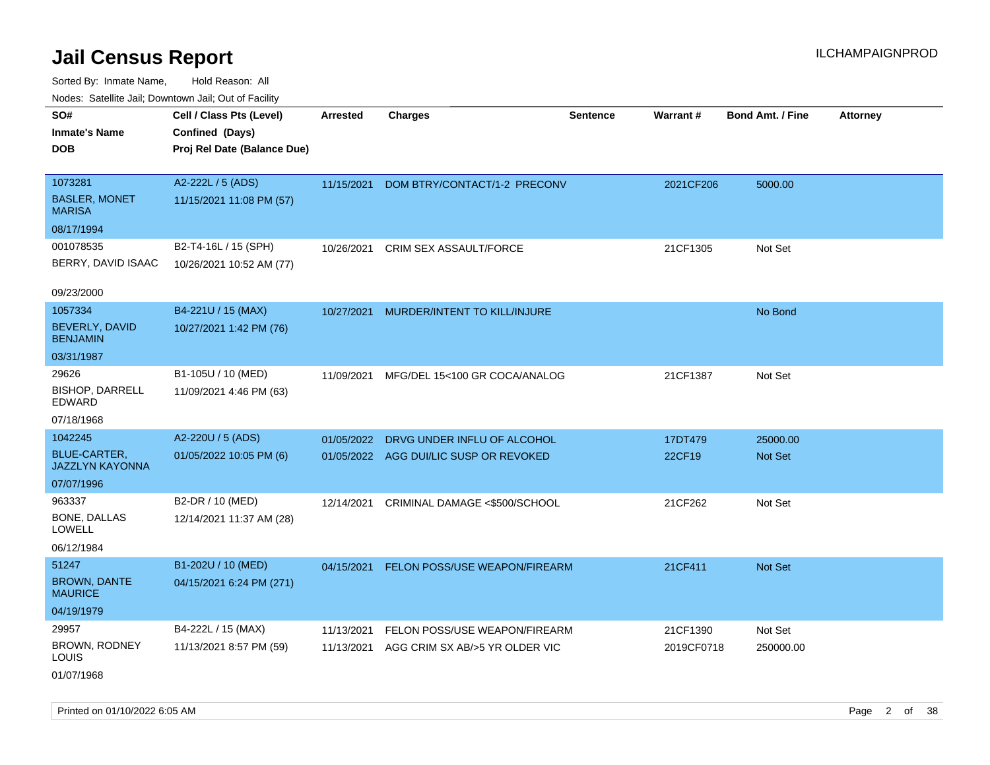Sorted By: Inmate Name, Hold Reason: All Nodes: Satellite Jail; Downtown Jail; Out of Facility

| ivouss. Saleling Jali, Downtown Jali, Out of Facility |                             |                 |                                          |                 |            |                         |                 |
|-------------------------------------------------------|-----------------------------|-----------------|------------------------------------------|-----------------|------------|-------------------------|-----------------|
| SO#                                                   | Cell / Class Pts (Level)    | <b>Arrested</b> | <b>Charges</b>                           | <b>Sentence</b> | Warrant#   | <b>Bond Amt. / Fine</b> | <b>Attorney</b> |
| <b>Inmate's Name</b>                                  | Confined (Days)             |                 |                                          |                 |            |                         |                 |
| <b>DOB</b>                                            | Proj Rel Date (Balance Due) |                 |                                          |                 |            |                         |                 |
|                                                       |                             |                 |                                          |                 |            |                         |                 |
| 1073281                                               | A2-222L / 5 (ADS)           | 11/15/2021      | DOM BTRY/CONTACT/1-2 PRECONV             |                 | 2021CF206  | 5000.00                 |                 |
| <b>BASLER, MONET</b><br><b>MARISA</b>                 | 11/15/2021 11:08 PM (57)    |                 |                                          |                 |            |                         |                 |
| 08/17/1994                                            |                             |                 |                                          |                 |            |                         |                 |
| 001078535                                             | B2-T4-16L / 15 (SPH)        |                 | 10/26/2021 CRIM SEX ASSAULT/FORCE        |                 | 21CF1305   | Not Set                 |                 |
| BERRY, DAVID ISAAC                                    | 10/26/2021 10:52 AM (77)    |                 |                                          |                 |            |                         |                 |
|                                                       |                             |                 |                                          |                 |            |                         |                 |
| 09/23/2000                                            |                             |                 |                                          |                 |            |                         |                 |
| 1057334                                               | B4-221U / 15 (MAX)          | 10/27/2021      | MURDER/INTENT TO KILL/INJURE             |                 |            | No Bond                 |                 |
| BEVERLY, DAVID<br><b>BENJAMIN</b>                     | 10/27/2021 1:42 PM (76)     |                 |                                          |                 |            |                         |                 |
| 03/31/1987                                            |                             |                 |                                          |                 |            |                         |                 |
| 29626                                                 | B1-105U / 10 (MED)          |                 | 11/09/2021 MFG/DEL 15<100 GR COCA/ANALOG |                 | 21CF1387   | Not Set                 |                 |
| <b>BISHOP, DARRELL</b><br>EDWARD                      | 11/09/2021 4:46 PM (63)     |                 |                                          |                 |            |                         |                 |
| 07/18/1968                                            |                             |                 |                                          |                 |            |                         |                 |
| 1042245                                               | A2-220U / 5 (ADS)           | 01/05/2022      | DRVG UNDER INFLU OF ALCOHOL              |                 | 17DT479    | 25000.00                |                 |
| <b>BLUE-CARTER,</b><br><b>JAZZLYN KAYONNA</b>         | 01/05/2022 10:05 PM (6)     |                 | 01/05/2022 AGG DUI/LIC SUSP OR REVOKED   |                 | 22CF19     | <b>Not Set</b>          |                 |
| 07/07/1996                                            |                             |                 |                                          |                 |            |                         |                 |
| 963337                                                | B2-DR / 10 (MED)            | 12/14/2021      | CRIMINAL DAMAGE <\$500/SCHOOL            |                 | 21CF262    | Not Set                 |                 |
| BONE, DALLAS<br>LOWELL                                | 12/14/2021 11:37 AM (28)    |                 |                                          |                 |            |                         |                 |
| 06/12/1984                                            |                             |                 |                                          |                 |            |                         |                 |
| 51247                                                 | B1-202U / 10 (MED)          | 04/15/2021      | FELON POSS/USE WEAPON/FIREARM            |                 | 21CF411    | Not Set                 |                 |
| <b>BROWN, DANTE</b><br><b>MAURICE</b>                 | 04/15/2021 6:24 PM (271)    |                 |                                          |                 |            |                         |                 |
| 04/19/1979                                            |                             |                 |                                          |                 |            |                         |                 |
| 29957                                                 | B4-222L / 15 (MAX)          | 11/13/2021      | FELON POSS/USE WEAPON/FIREARM            |                 | 21CF1390   | Not Set                 |                 |
| <b>BROWN, RODNEY</b><br><b>LOUIS</b>                  | 11/13/2021 8:57 PM (59)     | 11/13/2021      | AGG CRIM SX AB/>5 YR OLDER VIC           |                 | 2019CF0718 | 250000.00               |                 |
| 01/07/1968                                            |                             |                 |                                          |                 |            |                         |                 |

Printed on 01/10/2022 6:05 AM Page 2 of 38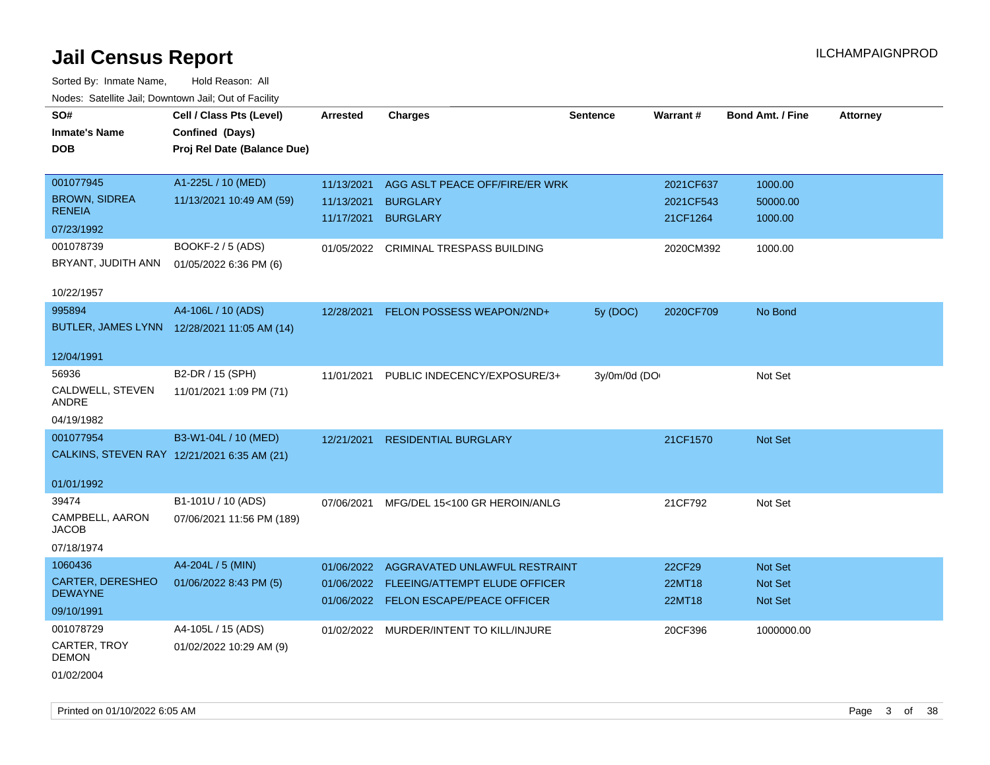| ivouss. Satellite Jali, Downtown Jali, Out of Facility |                                             |                 |                                          |                 |           |                         |                 |
|--------------------------------------------------------|---------------------------------------------|-----------------|------------------------------------------|-----------------|-----------|-------------------------|-----------------|
| SO#                                                    | Cell / Class Pts (Level)                    | <b>Arrested</b> | <b>Charges</b>                           | <b>Sentence</b> | Warrant#  | <b>Bond Amt. / Fine</b> | <b>Attorney</b> |
| <b>Inmate's Name</b>                                   | Confined (Days)                             |                 |                                          |                 |           |                         |                 |
| <b>DOB</b>                                             | Proj Rel Date (Balance Due)                 |                 |                                          |                 |           |                         |                 |
|                                                        |                                             |                 |                                          |                 |           |                         |                 |
| 001077945                                              | A1-225L / 10 (MED)                          | 11/13/2021      | AGG ASLT PEACE OFF/FIRE/ER WRK           |                 | 2021CF637 | 1000.00                 |                 |
| <b>BROWN, SIDREA</b>                                   | 11/13/2021 10:49 AM (59)                    | 11/13/2021      | <b>BURGLARY</b>                          |                 | 2021CF543 | 50000.00                |                 |
| <b>RENEIA</b>                                          |                                             | 11/17/2021      | <b>BURGLARY</b>                          |                 | 21CF1264  | 1000.00                 |                 |
| 07/23/1992                                             |                                             |                 |                                          |                 |           |                         |                 |
| 001078739                                              | BOOKF-2 / 5 (ADS)                           |                 | 01/05/2022 CRIMINAL TRESPASS BUILDING    |                 | 2020CM392 | 1000.00                 |                 |
| BRYANT, JUDITH ANN                                     | 01/05/2022 6:36 PM (6)                      |                 |                                          |                 |           |                         |                 |
|                                                        |                                             |                 |                                          |                 |           |                         |                 |
| 10/22/1957                                             |                                             |                 |                                          |                 |           |                         |                 |
| 995894                                                 | A4-106L / 10 (ADS)                          | 12/28/2021      | FELON POSSESS WEAPON/2ND+                | 5y (DOC)        | 2020CF709 | No Bond                 |                 |
|                                                        | BUTLER, JAMES LYNN 12/28/2021 11:05 AM (14) |                 |                                          |                 |           |                         |                 |
|                                                        |                                             |                 |                                          |                 |           |                         |                 |
| 12/04/1991                                             |                                             |                 |                                          |                 |           |                         |                 |
| 56936                                                  | B2-DR / 15 (SPH)                            | 11/01/2021      | PUBLIC INDECENCY/EXPOSURE/3+             | 3y/0m/0d (DO    |           | Not Set                 |                 |
| CALDWELL, STEVEN<br>ANDRE                              | 11/01/2021 1:09 PM (71)                     |                 |                                          |                 |           |                         |                 |
| 04/19/1982                                             |                                             |                 |                                          |                 |           |                         |                 |
| 001077954                                              |                                             |                 |                                          |                 |           |                         |                 |
|                                                        | B3-W1-04L / 10 (MED)                        | 12/21/2021      | <b>RESIDENTIAL BURGLARY</b>              |                 | 21CF1570  | Not Set                 |                 |
|                                                        | CALKINS, STEVEN RAY 12/21/2021 6:35 AM (21) |                 |                                          |                 |           |                         |                 |
| 01/01/1992                                             |                                             |                 |                                          |                 |           |                         |                 |
| 39474                                                  | B1-101U / 10 (ADS)                          | 07/06/2021      | MFG/DEL 15<100 GR HEROIN/ANLG            |                 | 21CF792   | Not Set                 |                 |
| CAMPBELL, AARON                                        | 07/06/2021 11:56 PM (189)                   |                 |                                          |                 |           |                         |                 |
| <b>JACOB</b>                                           |                                             |                 |                                          |                 |           |                         |                 |
| 07/18/1974                                             |                                             |                 |                                          |                 |           |                         |                 |
| 1060436                                                | A4-204L / 5 (MIN)                           |                 | 01/06/2022 AGGRAVATED UNLAWFUL RESTRAINT |                 | 22CF29    | <b>Not Set</b>          |                 |
| CARTER, DERESHEO                                       | 01/06/2022 8:43 PM (5)                      |                 | 01/06/2022 FLEEING/ATTEMPT ELUDE OFFICER |                 | 22MT18    | Not Set                 |                 |
| <b>DEWAYNE</b>                                         |                                             |                 | 01/06/2022 FELON ESCAPE/PEACE OFFICER    |                 | 22MT18    | <b>Not Set</b>          |                 |
| 09/10/1991                                             |                                             |                 |                                          |                 |           |                         |                 |
| 001078729                                              | A4-105L / 15 (ADS)                          |                 | 01/02/2022 MURDER/INTENT TO KILL/INJURE  |                 | 20CF396   | 1000000.00              |                 |
| CARTER, TROY                                           | 01/02/2022 10:29 AM (9)                     |                 |                                          |                 |           |                         |                 |
| <b>DEMON</b>                                           |                                             |                 |                                          |                 |           |                         |                 |
| 01/02/2004                                             |                                             |                 |                                          |                 |           |                         |                 |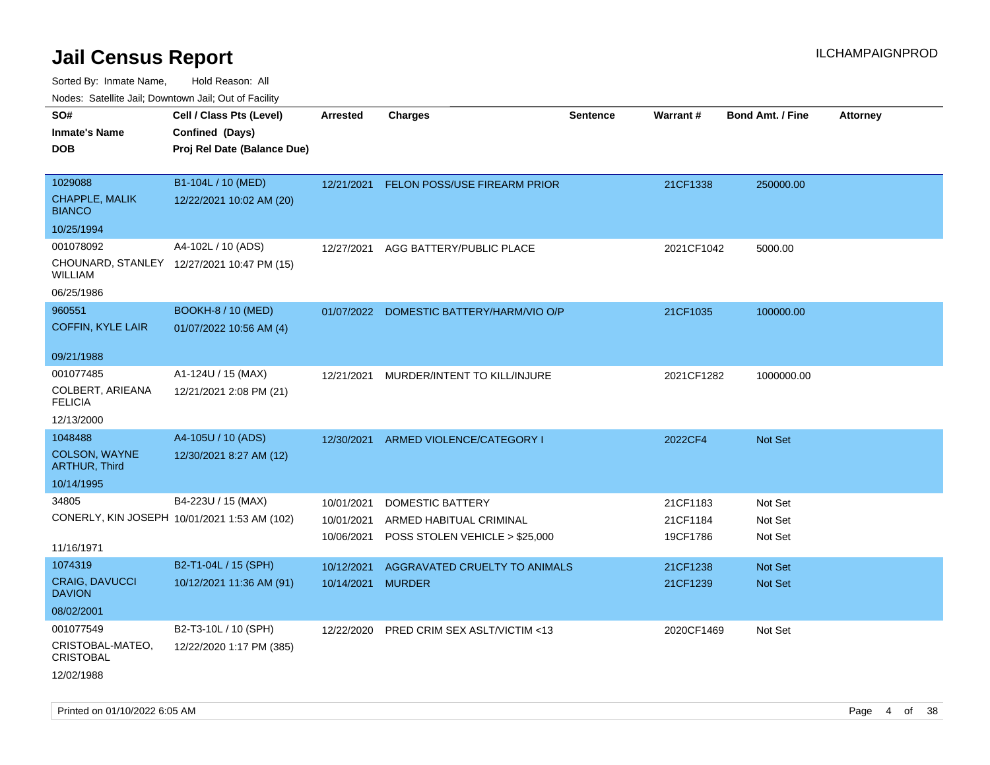| rougs. Calcing Jan, Downtown Jan, Out of Facility                             |                                                                            |                                        |                                                                               |                 |                                  |                               |                 |
|-------------------------------------------------------------------------------|----------------------------------------------------------------------------|----------------------------------------|-------------------------------------------------------------------------------|-----------------|----------------------------------|-------------------------------|-----------------|
| SO#<br><b>Inmate's Name</b><br><b>DOB</b>                                     | Cell / Class Pts (Level)<br>Confined (Days)<br>Proj Rel Date (Balance Due) | <b>Arrested</b>                        | <b>Charges</b>                                                                | <b>Sentence</b> | Warrant#                         | <b>Bond Amt. / Fine</b>       | <b>Attorney</b> |
| 1029088<br><b>CHAPPLE, MALIK</b><br><b>BIANCO</b>                             | B1-104L / 10 (MED)<br>12/22/2021 10:02 AM (20)                             |                                        | 12/21/2021 FELON POSS/USE FIREARM PRIOR                                       |                 | 21CF1338                         | 250000.00                     |                 |
| 10/25/1994<br>001078092<br>WILLIAM<br>06/25/1986                              | A4-102L / 10 (ADS)<br>CHOUNARD, STANLEY 12/27/2021 10:47 PM (15)           | 12/27/2021                             | AGG BATTERY/PUBLIC PLACE                                                      |                 | 2021CF1042                       | 5000.00                       |                 |
| 960551<br><b>COFFIN, KYLE LAIR</b>                                            | <b>BOOKH-8 / 10 (MED)</b><br>01/07/2022 10:56 AM (4)                       |                                        | 01/07/2022 DOMESTIC BATTERY/HARM/VIO O/P                                      |                 | 21CF1035                         | 100000.00                     |                 |
| 09/21/1988<br>001077485<br>COLBERT, ARIEANA<br><b>FELICIA</b><br>12/13/2000   | A1-124U / 15 (MAX)<br>12/21/2021 2:08 PM (21)                              | 12/21/2021                             | MURDER/INTENT TO KILL/INJURE                                                  |                 | 2021CF1282                       | 1000000.00                    |                 |
| 1048488<br>COLSON, WAYNE<br><b>ARTHUR, Third</b><br>10/14/1995                | A4-105U / 10 (ADS)<br>12/30/2021 8:27 AM (12)                              |                                        | 12/30/2021 ARMED VIOLENCE/CATEGORY I                                          |                 | 2022CF4                          | Not Set                       |                 |
| 34805<br>11/16/1971                                                           | B4-223U / 15 (MAX)<br>CONERLY, KIN JOSEPH 10/01/2021 1:53 AM (102)         | 10/01/2021<br>10/01/2021<br>10/06/2021 | DOMESTIC BATTERY<br>ARMED HABITUAL CRIMINAL<br>POSS STOLEN VEHICLE > \$25,000 |                 | 21CF1183<br>21CF1184<br>19CF1786 | Not Set<br>Not Set<br>Not Set |                 |
| 1074319<br>CRAIG, DAVUCCI<br><b>DAVION</b>                                    | B2-T1-04L / 15 (SPH)<br>10/12/2021 11:36 AM (91)                           | 10/12/2021<br>10/14/2021 MURDER        | AGGRAVATED CRUELTY TO ANIMALS                                                 |                 | 21CF1238<br>21CF1239             | <b>Not Set</b><br>Not Set     |                 |
| 08/02/2001<br>001077549<br>CRISTOBAL-MATEO,<br><b>CRISTOBAL</b><br>12/02/1988 | B2-T3-10L / 10 (SPH)<br>12/22/2020 1:17 PM (385)                           | 12/22/2020                             | PRED CRIM SEX ASLT/VICTIM <13                                                 |                 | 2020CF1469                       | Not Set                       |                 |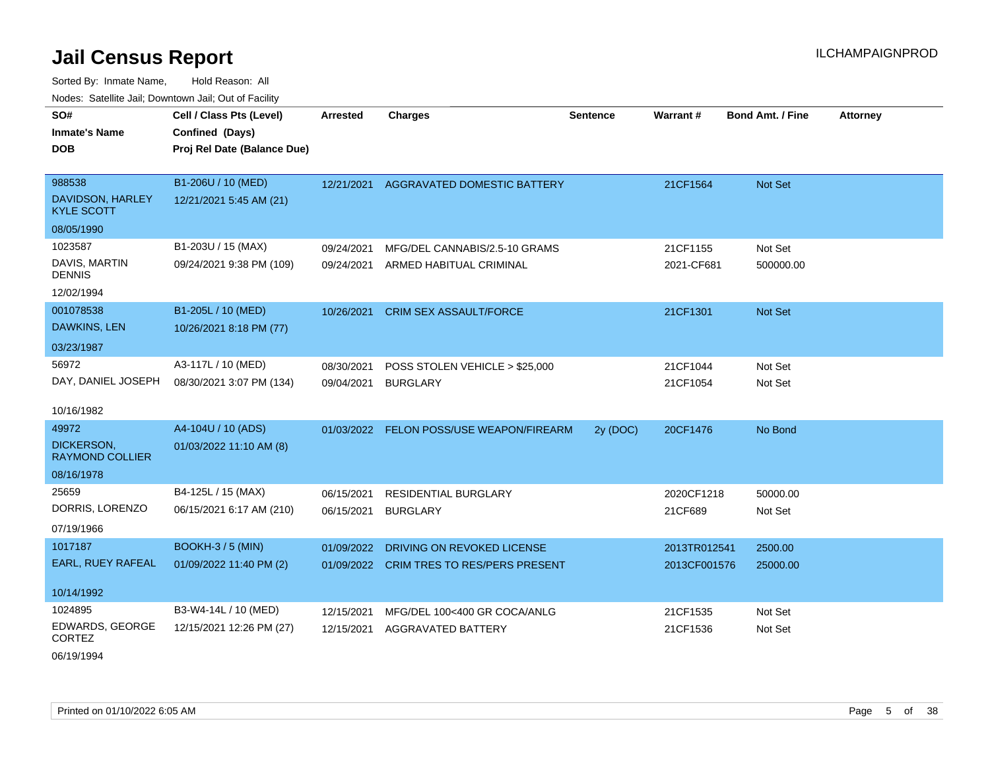Sorted By: Inmate Name, Hold Reason: All Nodes: Satellite Jail; Downtown Jail; Out of Facility

| SO#<br><b>Inmate's Name</b><br><b>DOB</b> | Cell / Class Pts (Level)<br>Confined (Days)<br>Proj Rel Date (Balance Due) | <b>Arrested</b> | <b>Charges</b>                           | <b>Sentence</b> | <b>Warrant#</b> | <b>Bond Amt. / Fine</b> | <b>Attorney</b> |
|-------------------------------------------|----------------------------------------------------------------------------|-----------------|------------------------------------------|-----------------|-----------------|-------------------------|-----------------|
|                                           |                                                                            |                 |                                          |                 |                 |                         |                 |
| 988538                                    | B1-206U / 10 (MED)                                                         |                 | 12/21/2021 AGGRAVATED DOMESTIC BATTERY   |                 | 21CF1564        | Not Set                 |                 |
| DAVIDSON, HARLEY<br><b>KYLE SCOTT</b>     | 12/21/2021 5:45 AM (21)                                                    |                 |                                          |                 |                 |                         |                 |
| 08/05/1990                                |                                                                            |                 |                                          |                 |                 |                         |                 |
| 1023587                                   | B1-203U / 15 (MAX)                                                         | 09/24/2021      | MFG/DEL CANNABIS/2.5-10 GRAMS            |                 | 21CF1155        | Not Set                 |                 |
| DAVIS, MARTIN<br><b>DENNIS</b>            | 09/24/2021 9:38 PM (109)                                                   | 09/24/2021      | ARMED HABITUAL CRIMINAL                  |                 | 2021-CF681      | 500000.00               |                 |
| 12/02/1994                                |                                                                            |                 |                                          |                 |                 |                         |                 |
| 001078538                                 | B1-205L / 10 (MED)                                                         | 10/26/2021      | <b>CRIM SEX ASSAULT/FORCE</b>            |                 | 21CF1301        | Not Set                 |                 |
| DAWKINS, LEN                              | 10/26/2021 8:18 PM (77)                                                    |                 |                                          |                 |                 |                         |                 |
| 03/23/1987                                |                                                                            |                 |                                          |                 |                 |                         |                 |
| 56972                                     | A3-117L / 10 (MED)                                                         | 08/30/2021      | POSS STOLEN VEHICLE > \$25,000           |                 | 21CF1044        | Not Set                 |                 |
| DAY, DANIEL JOSEPH                        | 08/30/2021 3:07 PM (134)                                                   | 09/04/2021      | <b>BURGLARY</b>                          |                 | 21CF1054        | Not Set                 |                 |
| 10/16/1982                                |                                                                            |                 |                                          |                 |                 |                         |                 |
| 49972                                     | A4-104U / 10 (ADS)                                                         | 01/03/2022      | FELON POSS/USE WEAPON/FIREARM            | 2y (DOC)        | 20CF1476        | No Bond                 |                 |
| DICKERSON,<br><b>RAYMOND COLLIER</b>      | 01/03/2022 11:10 AM (8)                                                    |                 |                                          |                 |                 |                         |                 |
| 08/16/1978                                |                                                                            |                 |                                          |                 |                 |                         |                 |
| 25659                                     | B4-125L / 15 (MAX)                                                         | 06/15/2021      | RESIDENTIAL BURGLARY                     |                 | 2020CF1218      | 50000.00                |                 |
| DORRIS, LORENZO                           | 06/15/2021 6:17 AM (210)                                                   | 06/15/2021      | <b>BURGLARY</b>                          |                 | 21CF689         | Not Set                 |                 |
| 07/19/1966                                |                                                                            |                 |                                          |                 |                 |                         |                 |
| 1017187                                   | BOOKH-3 / 5 (MIN)                                                          | 01/09/2022      | DRIVING ON REVOKED LICENSE               |                 | 2013TR012541    | 2500.00                 |                 |
| EARL, RUEY RAFEAL                         | 01/09/2022 11:40 PM (2)                                                    |                 | 01/09/2022 CRIM TRES TO RES/PERS PRESENT |                 | 2013CF001576    | 25000.00                |                 |
|                                           |                                                                            |                 |                                          |                 |                 |                         |                 |
| 10/14/1992                                |                                                                            |                 |                                          |                 |                 |                         |                 |
| 1024895                                   | B3-W4-14L / 10 (MED)                                                       | 12/15/2021      | MFG/DEL 100<400 GR COCA/ANLG             |                 | 21CF1535        | Not Set                 |                 |
| EDWARDS, GEORGE<br><b>CORTEZ</b>          | 12/15/2021 12:26 PM (27)                                                   | 12/15/2021      | AGGRAVATED BATTERY                       |                 | 21CF1536        | Not Set                 |                 |

06/19/1994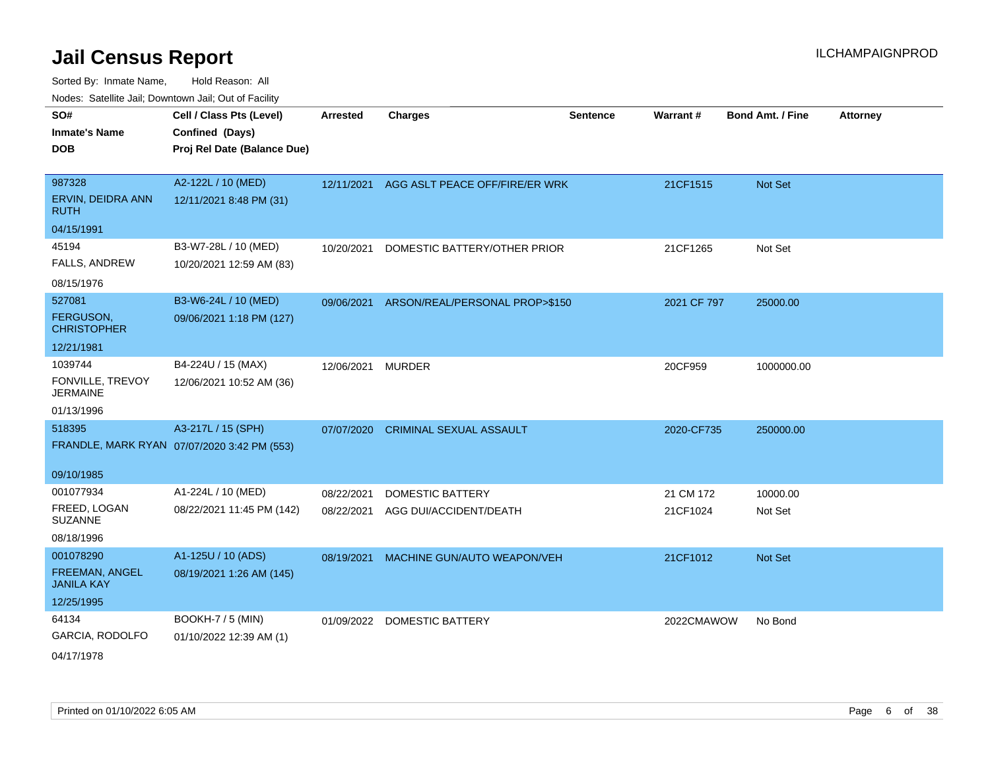Sorted By: Inmate Name, Hold Reason: All Nodes: Satellite Jail; Downtown Jail; Out of Facility

| SO#                                 | Cell / Class Pts (Level)                    | <b>Arrested</b> | <b>Charges</b>                 | <b>Sentence</b> | <b>Warrant#</b> | <b>Bond Amt. / Fine</b> | <b>Attorney</b> |
|-------------------------------------|---------------------------------------------|-----------------|--------------------------------|-----------------|-----------------|-------------------------|-----------------|
| <b>Inmate's Name</b>                | Confined (Days)                             |                 |                                |                 |                 |                         |                 |
| <b>DOB</b>                          | Proj Rel Date (Balance Due)                 |                 |                                |                 |                 |                         |                 |
|                                     |                                             |                 |                                |                 |                 |                         |                 |
| 987328                              | A2-122L / 10 (MED)                          | 12/11/2021      | AGG ASLT PEACE OFF/FIRE/ER WRK |                 | 21CF1515        | Not Set                 |                 |
| ERVIN, DEIDRA ANN<br><b>RUTH</b>    | 12/11/2021 8:48 PM (31)                     |                 |                                |                 |                 |                         |                 |
| 04/15/1991                          |                                             |                 |                                |                 |                 |                         |                 |
| 45194                               | B3-W7-28L / 10 (MED)                        | 10/20/2021      | DOMESTIC BATTERY/OTHER PRIOR   |                 | 21CF1265        | Not Set                 |                 |
| FALLS, ANDREW                       | 10/20/2021 12:59 AM (83)                    |                 |                                |                 |                 |                         |                 |
| 08/15/1976                          |                                             |                 |                                |                 |                 |                         |                 |
| 527081                              | B3-W6-24L / 10 (MED)                        | 09/06/2021      | ARSON/REAL/PERSONAL PROP>\$150 |                 | 2021 CF 797     | 25000.00                |                 |
| FERGUSON,<br><b>CHRISTOPHER</b>     | 09/06/2021 1:18 PM (127)                    |                 |                                |                 |                 |                         |                 |
| 12/21/1981                          |                                             |                 |                                |                 |                 |                         |                 |
| 1039744                             | B4-224U / 15 (MAX)                          | 12/06/2021      | <b>MURDER</b>                  |                 | 20CF959         | 1000000.00              |                 |
| FONVILLE, TREVOY<br><b>JERMAINE</b> | 12/06/2021 10:52 AM (36)                    |                 |                                |                 |                 |                         |                 |
| 01/13/1996                          |                                             |                 |                                |                 |                 |                         |                 |
| 518395                              | A3-217L / 15 (SPH)                          | 07/07/2020      | <b>CRIMINAL SEXUAL ASSAULT</b> |                 | 2020-CF735      | 250000.00               |                 |
|                                     | FRANDLE, MARK RYAN 07/07/2020 3:42 PM (553) |                 |                                |                 |                 |                         |                 |
|                                     |                                             |                 |                                |                 |                 |                         |                 |
| 09/10/1985                          |                                             |                 |                                |                 |                 |                         |                 |
| 001077934                           | A1-224L / 10 (MED)                          | 08/22/2021      | <b>DOMESTIC BATTERY</b>        |                 | 21 CM 172       | 10000.00                |                 |
| FREED, LOGAN<br><b>SUZANNE</b>      | 08/22/2021 11:45 PM (142)                   | 08/22/2021      | AGG DUI/ACCIDENT/DEATH         |                 | 21CF1024        | Not Set                 |                 |
| 08/18/1996                          |                                             |                 |                                |                 |                 |                         |                 |
| 001078290                           | A1-125U / 10 (ADS)                          | 08/19/2021      | MACHINE GUN/AUTO WEAPON/VEH    |                 | 21CF1012        | Not Set                 |                 |
| FREEMAN, ANGEL<br><b>JANILA KAY</b> | 08/19/2021 1:26 AM (145)                    |                 |                                |                 |                 |                         |                 |
| 12/25/1995                          |                                             |                 |                                |                 |                 |                         |                 |
| 64134                               | <b>BOOKH-7 / 5 (MIN)</b>                    |                 | 01/09/2022 DOMESTIC BATTERY    |                 | 2022CMAWOW      | No Bond                 |                 |
| GARCIA, RODOLFO                     | 01/10/2022 12:39 AM (1)                     |                 |                                |                 |                 |                         |                 |
|                                     |                                             |                 |                                |                 |                 |                         |                 |

04/17/1978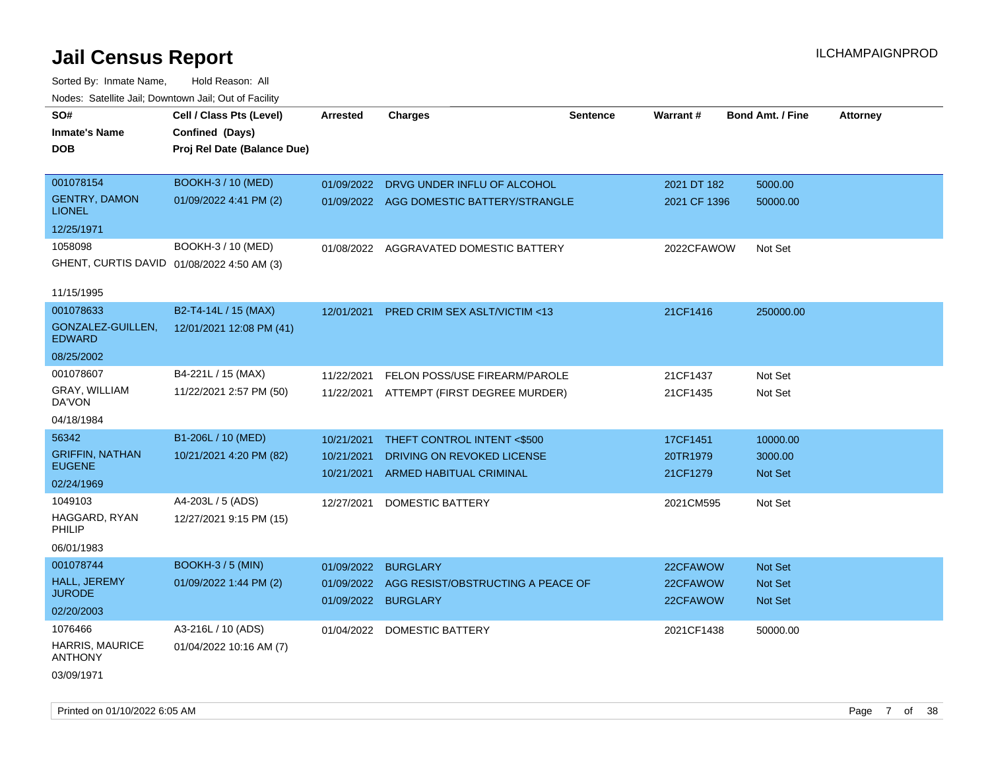| SO#                                        | Cell / Class Pts (Level)    | <b>Arrested</b>                   | <b>Charges</b>                           | <b>Sentence</b> | Warrant#             | <b>Bond Amt. / Fine</b>   | <b>Attorney</b> |
|--------------------------------------------|-----------------------------|-----------------------------------|------------------------------------------|-----------------|----------------------|---------------------------|-----------------|
| <b>Inmate's Name</b>                       | Confined (Days)             |                                   |                                          |                 |                      |                           |                 |
| DOB.                                       | Proj Rel Date (Balance Due) |                                   |                                          |                 |                      |                           |                 |
|                                            |                             |                                   |                                          |                 |                      |                           |                 |
| 001078154                                  | <b>BOOKH-3 / 10 (MED)</b>   | 01/09/2022                        | DRVG UNDER INFLU OF ALCOHOL              |                 | 2021 DT 182          | 5000.00                   |                 |
| <b>GENTRY, DAMON</b><br><b>LIONEL</b>      | 01/09/2022 4:41 PM (2)      |                                   | 01/09/2022 AGG DOMESTIC BATTERY/STRANGLE |                 | 2021 CF 1396         | 50000.00                  |                 |
| 12/25/1971                                 |                             |                                   |                                          |                 |                      |                           |                 |
| 1058098                                    | BOOKH-3 / 10 (MED)          |                                   | 01/08/2022 AGGRAVATED DOMESTIC BATTERY   |                 | 2022CFAWOW           | Not Set                   |                 |
| GHENT, CURTIS DAVID 01/08/2022 4:50 AM (3) |                             |                                   |                                          |                 |                      |                           |                 |
| 11/15/1995                                 |                             |                                   |                                          |                 |                      |                           |                 |
| 001078633                                  | B2-T4-14L / 15 (MAX)        | 12/01/2021                        | PRED CRIM SEX ASLT/VICTIM <13            |                 | 21CF1416             | 250000.00                 |                 |
| GONZALEZ-GUILLEN,<br><b>EDWARD</b>         | 12/01/2021 12:08 PM (41)    |                                   |                                          |                 |                      |                           |                 |
| 08/25/2002                                 |                             |                                   |                                          |                 |                      |                           |                 |
| 001078607                                  | B4-221L / 15 (MAX)          | 11/22/2021                        | FELON POSS/USE FIREARM/PAROLE            |                 | 21CF1437             | Not Set                   |                 |
| GRAY, WILLIAM<br>DA'VON                    | 11/22/2021 2:57 PM (50)     | 11/22/2021                        | ATTEMPT (FIRST DEGREE MURDER)            |                 | 21CF1435             | Not Set                   |                 |
| 04/18/1984                                 |                             |                                   |                                          |                 |                      |                           |                 |
| 56342                                      | B1-206L / 10 (MED)          | 10/21/2021                        | THEFT CONTROL INTENT <\$500              |                 | 17CF1451             | 10000.00                  |                 |
| <b>GRIFFIN, NATHAN</b>                     | 10/21/2021 4:20 PM (82)     | 10/21/2021                        | DRIVING ON REVOKED LICENSE               |                 | 20TR1979             | 3000.00                   |                 |
| <b>EUGENE</b>                              |                             | 10/21/2021                        | ARMED HABITUAL CRIMINAL                  |                 | 21CF1279             | <b>Not Set</b>            |                 |
| 02/24/1969                                 |                             |                                   |                                          |                 |                      |                           |                 |
| 1049103                                    | A4-203L / 5 (ADS)           | 12/27/2021                        | DOMESTIC BATTERY                         |                 | 2021CM595            | Not Set                   |                 |
| HAGGARD, RYAN<br>PHILIP                    | 12/27/2021 9:15 PM (15)     |                                   |                                          |                 |                      |                           |                 |
| 06/01/1983                                 |                             |                                   |                                          |                 |                      |                           |                 |
| 001078744                                  | <b>BOOKH-3/5 (MIN)</b>      | 01/09/2022                        | <b>BURGLARY</b>                          |                 | 22CFAWOW             | Not Set                   |                 |
| <b>HALL, JEREMY</b><br><b>JURODE</b>       | 01/09/2022 1:44 PM (2)      | 01/09/2022<br>01/09/2022 BURGLARY | AGG RESIST/OBSTRUCTING A PEACE OF        |                 | 22CFAWOW<br>22CFAWOW | <b>Not Set</b><br>Not Set |                 |
| 02/20/2003                                 |                             |                                   |                                          |                 |                      |                           |                 |
| 1076466                                    | A3-216L / 10 (ADS)          | 01/04/2022                        | <b>DOMESTIC BATTERY</b>                  |                 | 2021CF1438           | 50000.00                  |                 |
| HARRIS, MAURICE<br><b>ANTHONY</b>          | 01/04/2022 10:16 AM (7)     |                                   |                                          |                 |                      |                           |                 |
| 03/09/1971                                 |                             |                                   |                                          |                 |                      |                           |                 |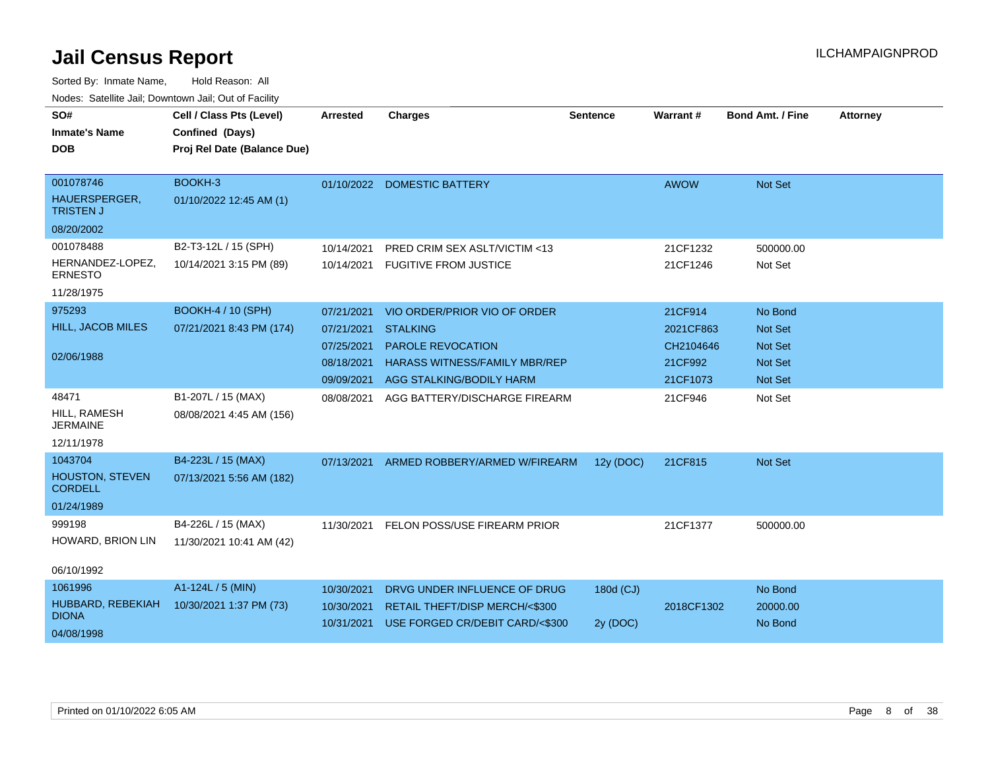| SO#<br><b>Inmate's Name</b><br><b>DOB</b>                         | Cell / Class Pts (Level)<br>Confined (Days)<br>Proj Rel Date (Balance Due) | <b>Arrested</b>                                                    | <b>Charges</b>                                                                                                                                  | <b>Sentence</b>       | Warrant#                                                 | <b>Bond Amt. / Fine</b>                                                  | <b>Attorney</b> |
|-------------------------------------------------------------------|----------------------------------------------------------------------------|--------------------------------------------------------------------|-------------------------------------------------------------------------------------------------------------------------------------------------|-----------------------|----------------------------------------------------------|--------------------------------------------------------------------------|-----------------|
| 001078746<br>HAUERSPERGER,<br><b>TRISTEN J</b><br>08/20/2002      | BOOKH-3<br>01/10/2022 12:45 AM (1)                                         |                                                                    | 01/10/2022 DOMESTIC BATTERY                                                                                                                     |                       | <b>AWOW</b>                                              | <b>Not Set</b>                                                           |                 |
| 001078488<br>HERNANDEZ-LOPEZ,<br><b>ERNESTO</b><br>11/28/1975     | B2-T3-12L / 15 (SPH)<br>10/14/2021 3:15 PM (89)                            | 10/14/2021<br>10/14/2021                                           | PRED CRIM SEX ASLT/VICTIM <13<br><b>FUGITIVE FROM JUSTICE</b>                                                                                   |                       | 21CF1232<br>21CF1246                                     | 500000.00<br>Not Set                                                     |                 |
| 975293<br>HILL, JACOB MILES<br>02/06/1988                         | <b>BOOKH-4 / 10 (SPH)</b><br>07/21/2021 8:43 PM (174)                      | 07/21/2021<br>07/21/2021<br>07/25/2021<br>08/18/2021<br>09/09/2021 | VIO ORDER/PRIOR VIO OF ORDER<br><b>STALKING</b><br><b>PAROLE REVOCATION</b><br><b>HARASS WITNESS/FAMILY MBR/REP</b><br>AGG STALKING/BODILY HARM |                       | 21CF914<br>2021CF863<br>CH2104646<br>21CF992<br>21CF1073 | No Bond<br><b>Not Set</b><br><b>Not Set</b><br><b>Not Set</b><br>Not Set |                 |
| 48471<br>HILL, RAMESH<br><b>JERMAINE</b><br>12/11/1978            | B1-207L / 15 (MAX)<br>08/08/2021 4:45 AM (156)                             | 08/08/2021                                                         | AGG BATTERY/DISCHARGE FIREARM                                                                                                                   |                       | 21CF946                                                  | Not Set                                                                  |                 |
| 1043704<br><b>HOUSTON, STEVEN</b><br><b>CORDELL</b><br>01/24/1989 | B4-223L / 15 (MAX)<br>07/13/2021 5:56 AM (182)                             |                                                                    | 07/13/2021 ARMED ROBBERY/ARMED W/FIREARM                                                                                                        | 12y (DOC)             | 21CF815                                                  | Not Set                                                                  |                 |
| 999198<br>HOWARD, BRION LIN<br>06/10/1992                         | B4-226L / 15 (MAX)<br>11/30/2021 10:41 AM (42)                             | 11/30/2021                                                         | FELON POSS/USE FIREARM PRIOR                                                                                                                    |                       | 21CF1377                                                 | 500000.00                                                                |                 |
| 1061996<br>HUBBARD, REBEKIAH<br><b>DIONA</b><br>04/08/1998        | A1-124L / 5 (MIN)<br>10/30/2021 1:37 PM (73)                               | 10/30/2021<br>10/30/2021<br>10/31/2021                             | DRVG UNDER INFLUENCE OF DRUG<br>RETAIL THEFT/DISP MERCH/<\$300<br>USE FORGED CR/DEBIT CARD/<\$300                                               | 180d (CJ)<br>2y (DOC) | 2018CF1302                                               | No Bond<br>20000.00<br>No Bond                                           |                 |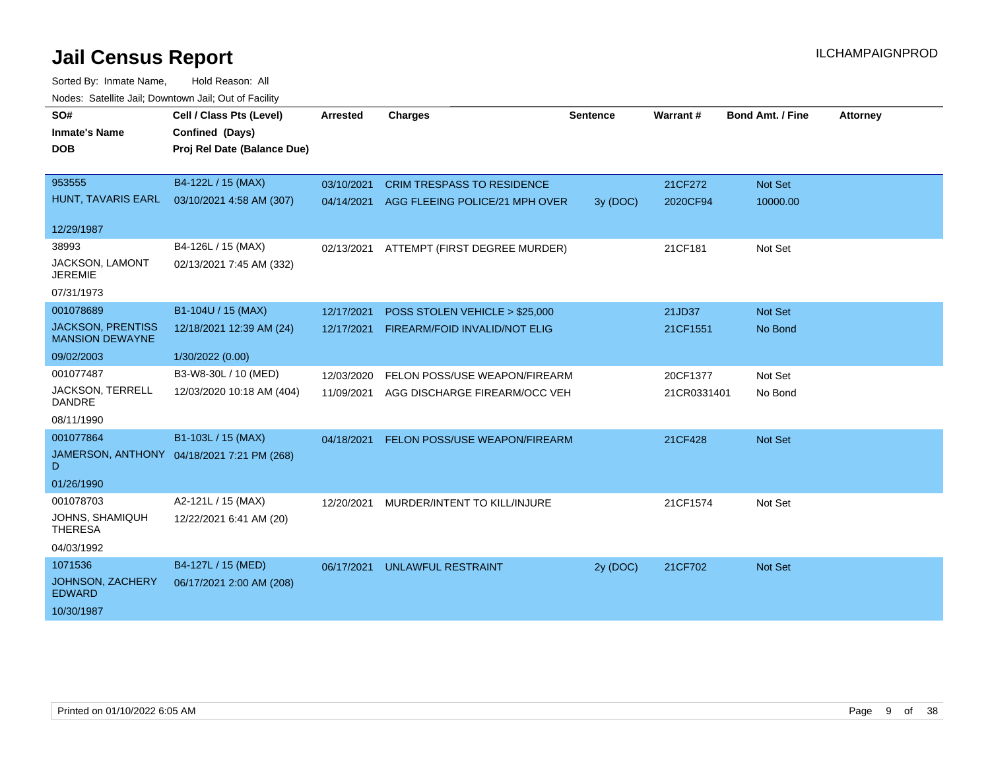| SO#                                                | Cell / Class Pts (Level)                   | <b>Arrested</b> | <b>Charges</b>                    | <b>Sentence</b> | Warrant#    | <b>Bond Amt. / Fine</b> | <b>Attorney</b> |
|----------------------------------------------------|--------------------------------------------|-----------------|-----------------------------------|-----------------|-------------|-------------------------|-----------------|
| <b>Inmate's Name</b>                               | Confined (Days)                            |                 |                                   |                 |             |                         |                 |
| <b>DOB</b>                                         | Proj Rel Date (Balance Due)                |                 |                                   |                 |             |                         |                 |
|                                                    |                                            |                 |                                   |                 |             |                         |                 |
| 953555                                             | B4-122L / 15 (MAX)                         | 03/10/2021      | <b>CRIM TRESPASS TO RESIDENCE</b> |                 | 21CF272     | Not Set                 |                 |
| HUNT, TAVARIS EARL                                 | 03/10/2021 4:58 AM (307)                   | 04/14/2021      | AGG FLEEING POLICE/21 MPH OVER    | 3y (DOC)        | 2020CF94    | 10000.00                |                 |
| 12/29/1987                                         |                                            |                 |                                   |                 |             |                         |                 |
| 38993                                              | B4-126L / 15 (MAX)                         | 02/13/2021      | ATTEMPT (FIRST DEGREE MURDER)     |                 | 21CF181     | Not Set                 |                 |
| JACKSON, LAMONT<br><b>JEREMIE</b>                  | 02/13/2021 7:45 AM (332)                   |                 |                                   |                 |             |                         |                 |
| 07/31/1973                                         |                                            |                 |                                   |                 |             |                         |                 |
| 001078689                                          | B1-104U / 15 (MAX)                         | 12/17/2021      | POSS STOLEN VEHICLE > \$25,000    |                 | 21JD37      | <b>Not Set</b>          |                 |
| <b>JACKSON, PRENTISS</b><br><b>MANSION DEWAYNE</b> | 12/18/2021 12:39 AM (24)                   | 12/17/2021      | FIREARM/FOID INVALID/NOT ELIG     |                 | 21CF1551    | No Bond                 |                 |
| 09/02/2003                                         | 1/30/2022 (0.00)                           |                 |                                   |                 |             |                         |                 |
| 001077487                                          | B3-W8-30L / 10 (MED)                       | 12/03/2020      | FELON POSS/USE WEAPON/FIREARM     |                 | 20CF1377    | Not Set                 |                 |
| JACKSON, TERRELL<br><b>DANDRE</b>                  | 12/03/2020 10:18 AM (404)                  | 11/09/2021      | AGG DISCHARGE FIREARM/OCC VEH     |                 | 21CR0331401 | No Bond                 |                 |
| 08/11/1990                                         |                                            |                 |                                   |                 |             |                         |                 |
| 001077864                                          | B1-103L / 15 (MAX)                         | 04/18/2021      | FELON POSS/USE WEAPON/FIREARM     |                 | 21CF428     | <b>Not Set</b>          |                 |
| D                                                  | JAMERSON, ANTHONY 04/18/2021 7:21 PM (268) |                 |                                   |                 |             |                         |                 |
| 01/26/1990                                         |                                            |                 |                                   |                 |             |                         |                 |
| 001078703                                          | A2-121L / 15 (MAX)                         | 12/20/2021      | MURDER/INTENT TO KILL/INJURE      |                 | 21CF1574    | Not Set                 |                 |
| JOHNS, SHAMIQUH<br><b>THERESA</b>                  | 12/22/2021 6:41 AM (20)                    |                 |                                   |                 |             |                         |                 |
| 04/03/1992                                         |                                            |                 |                                   |                 |             |                         |                 |
| 1071536                                            | B4-127L / 15 (MED)                         | 06/17/2021      | <b>UNLAWFUL RESTRAINT</b>         | 2y (DOC)        | 21CF702     | <b>Not Set</b>          |                 |
| <b>JOHNSON, ZACHERY</b><br><b>EDWARD</b>           | 06/17/2021 2:00 AM (208)                   |                 |                                   |                 |             |                         |                 |
| 10/30/1987                                         |                                            |                 |                                   |                 |             |                         |                 |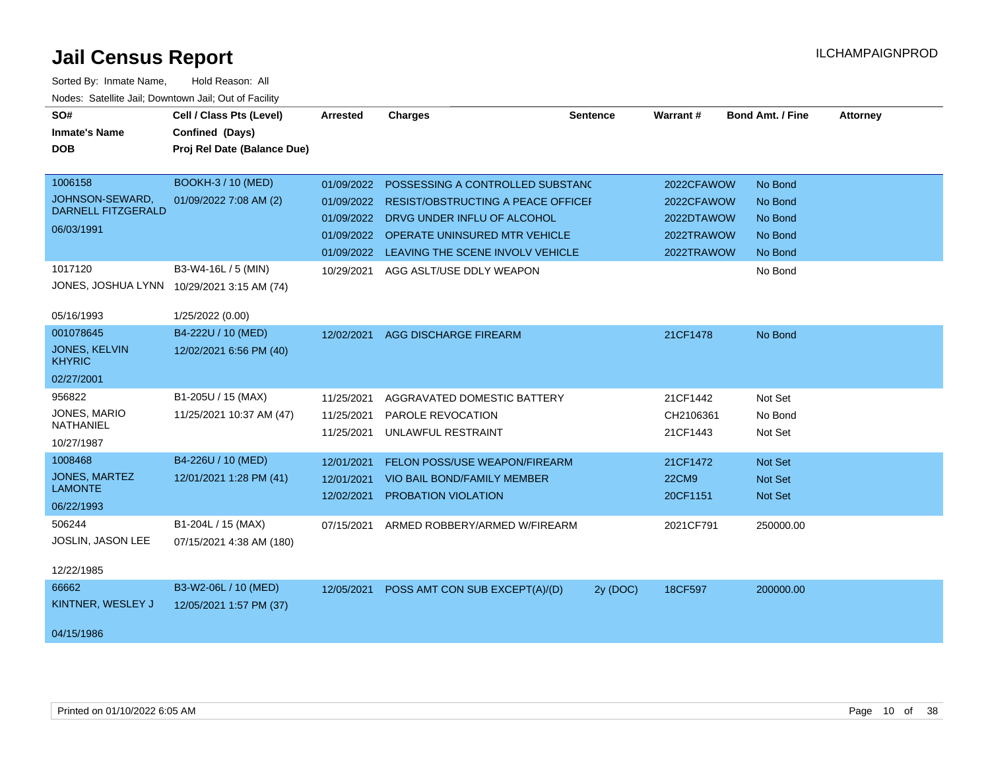| SO#                                          | Cell / Class Pts (Level)    | <b>Arrested</b> | <b>Charges</b>                            | <b>Sentence</b> | Warrant#     | <b>Bond Amt. / Fine</b> | <b>Attorney</b> |
|----------------------------------------------|-----------------------------|-----------------|-------------------------------------------|-----------------|--------------|-------------------------|-----------------|
| <b>Inmate's Name</b>                         | Confined (Days)             |                 |                                           |                 |              |                         |                 |
| <b>DOB</b>                                   | Proj Rel Date (Balance Due) |                 |                                           |                 |              |                         |                 |
|                                              |                             |                 |                                           |                 |              |                         |                 |
| 1006158                                      | <b>BOOKH-3 / 10 (MED)</b>   | 01/09/2022      | POSSESSING A CONTROLLED SUBSTANC          |                 | 2022CFAWOW   | No Bond                 |                 |
| JOHNSON-SEWARD,<br><b>DARNELL FITZGERALD</b> | 01/09/2022 7:08 AM (2)      | 01/09/2022      | <b>RESIST/OBSTRUCTING A PEACE OFFICEF</b> |                 | 2022CFAWOW   | No Bond                 |                 |
|                                              |                             |                 | 01/09/2022 DRVG UNDER INFLU OF ALCOHOL    |                 | 2022DTAWOW   | No Bond                 |                 |
| 06/03/1991                                   |                             | 01/09/2022      | OPERATE UNINSURED MTR VEHICLE             |                 | 2022TRAWOW   | No Bond                 |                 |
|                                              |                             | 01/09/2022      | LEAVING THE SCENE INVOLV VEHICLE          |                 | 2022TRAWOW   | No Bond                 |                 |
| 1017120                                      | B3-W4-16L / 5 (MIN)         | 10/29/2021      | AGG ASLT/USE DDLY WEAPON                  |                 |              | No Bond                 |                 |
| JONES, JOSHUA LYNN                           | 10/29/2021 3:15 AM (74)     |                 |                                           |                 |              |                         |                 |
| 05/16/1993                                   | 1/25/2022 (0.00)            |                 |                                           |                 |              |                         |                 |
| 001078645                                    | B4-222U / 10 (MED)          | 12/02/2021      | <b>AGG DISCHARGE FIREARM</b>              |                 | 21CF1478     | No Bond                 |                 |
| <b>JONES, KELVIN</b><br><b>KHYRIC</b>        | 12/02/2021 6:56 PM (40)     |                 |                                           |                 |              |                         |                 |
| 02/27/2001                                   |                             |                 |                                           |                 |              |                         |                 |
| 956822                                       | B1-205U / 15 (MAX)          | 11/25/2021      | AGGRAVATED DOMESTIC BATTERY               |                 | 21CF1442     | Not Set                 |                 |
| JONES, MARIO                                 | 11/25/2021 10:37 AM (47)    | 11/25/2021      | PAROLE REVOCATION                         |                 | CH2106361    | No Bond                 |                 |
| <b>NATHANIEL</b>                             |                             | 11/25/2021      | UNLAWFUL RESTRAINT                        |                 | 21CF1443     | Not Set                 |                 |
| 10/27/1987                                   |                             |                 |                                           |                 |              |                         |                 |
| 1008468                                      | B4-226U / 10 (MED)          | 12/01/2021      | <b>FELON POSS/USE WEAPON/FIREARM</b>      |                 | 21CF1472     | <b>Not Set</b>          |                 |
| JONES, MARTEZ<br><b>LAMONTE</b>              | 12/01/2021 1:28 PM (41)     | 12/01/2021      | <b>VIO BAIL BOND/FAMILY MEMBER</b>        |                 | <b>22CM9</b> | <b>Not Set</b>          |                 |
|                                              |                             | 12/02/2021      | PROBATION VIOLATION                       |                 | 20CF1151     | Not Set                 |                 |
| 06/22/1993                                   |                             |                 |                                           |                 |              |                         |                 |
| 506244                                       | B1-204L / 15 (MAX)          | 07/15/2021      | ARMED ROBBERY/ARMED W/FIREARM             |                 | 2021CF791    | 250000.00               |                 |
| JOSLIN, JASON LEE                            | 07/15/2021 4:38 AM (180)    |                 |                                           |                 |              |                         |                 |
| 12/22/1985                                   |                             |                 |                                           |                 |              |                         |                 |
| 66662                                        | B3-W2-06L / 10 (MED)        | 12/05/2021      | POSS AMT CON SUB EXCEPT(A)/(D)            | 2y (DOC)        | 18CF597      | 200000.00               |                 |
| KINTNER, WESLEY J                            | 12/05/2021 1:57 PM (37)     |                 |                                           |                 |              |                         |                 |
| 04/15/1986                                   |                             |                 |                                           |                 |              |                         |                 |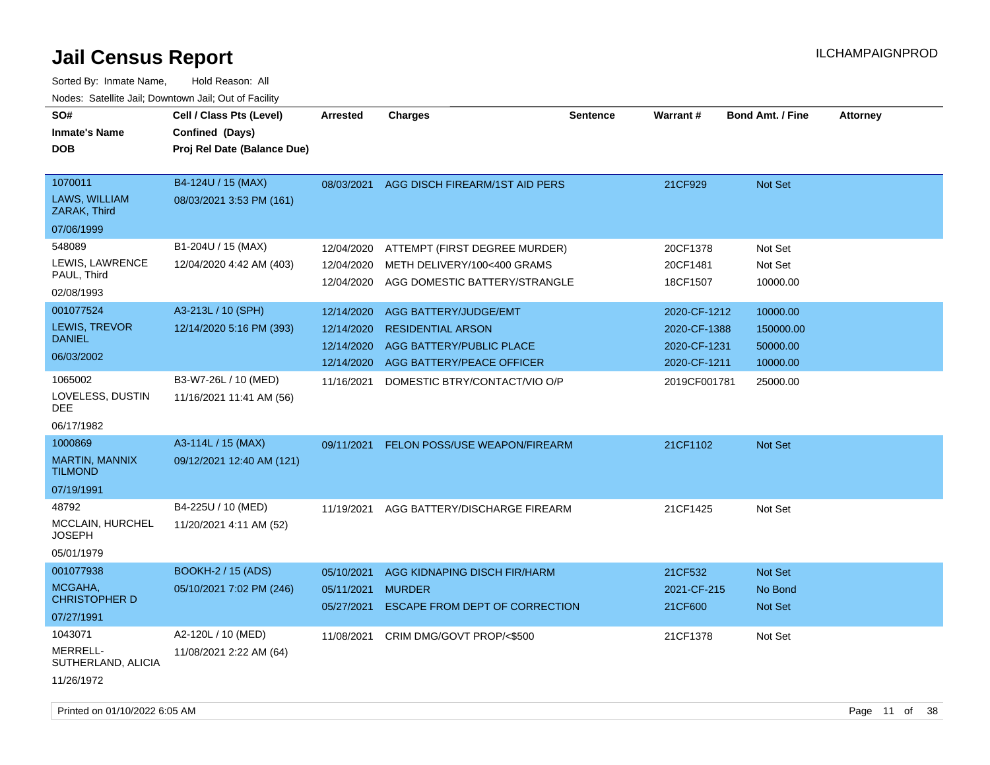| SO#<br><b>Inmate's Name</b><br><b>DOB</b>                                                              | Cell / Class Pts (Level)<br>Confined (Days)<br>Proj Rel Date (Balance Due)                         | <b>Arrested</b>                                                    | <b>Charges</b>                                                                                                                              | <b>Sentence</b> | Warrant#                                                                     | <b>Bond Amt. / Fine</b>                                   | <b>Attorney</b> |
|--------------------------------------------------------------------------------------------------------|----------------------------------------------------------------------------------------------------|--------------------------------------------------------------------|---------------------------------------------------------------------------------------------------------------------------------------------|-----------------|------------------------------------------------------------------------------|-----------------------------------------------------------|-----------------|
| 1070011<br>LAWS, WILLIAM<br>ZARAK, Third<br>07/06/1999                                                 | B4-124U / 15 (MAX)<br>08/03/2021 3:53 PM (161)                                                     | 08/03/2021                                                         | AGG DISCH FIREARM/1ST AID PERS                                                                                                              |                 | 21CF929                                                                      | Not Set                                                   |                 |
| 548089<br>LEWIS, LAWRENCE<br>PAUL, Third<br>02/08/1993                                                 | B1-204U / 15 (MAX)<br>12/04/2020 4:42 AM (403)                                                     | 12/04/2020<br>12/04/2020<br>12/04/2020                             | ATTEMPT (FIRST DEGREE MURDER)<br>METH DELIVERY/100<400 GRAMS<br>AGG DOMESTIC BATTERY/STRANGLE                                               |                 | 20CF1378<br>20CF1481<br>18CF1507                                             | Not Set<br>Not Set<br>10000.00                            |                 |
| 001077524<br><b>LEWIS, TREVOR</b><br><b>DANIEL</b><br>06/03/2002<br>1065002<br>LOVELESS, DUSTIN<br>DEE | A3-213L / 10 (SPH)<br>12/14/2020 5:16 PM (393)<br>B3-W7-26L / 10 (MED)<br>11/16/2021 11:41 AM (56) | 12/14/2020<br>12/14/2020<br>12/14/2020<br>12/14/2020<br>11/16/2021 | AGG BATTERY/JUDGE/EMT<br><b>RESIDENTIAL ARSON</b><br>AGG BATTERY/PUBLIC PLACE<br>AGG BATTERY/PEACE OFFICER<br>DOMESTIC BTRY/CONTACT/VIO O/P |                 | 2020-CF-1212<br>2020-CF-1388<br>2020-CF-1231<br>2020-CF-1211<br>2019CF001781 | 10000.00<br>150000.00<br>50000.00<br>10000.00<br>25000.00 |                 |
| 06/17/1982<br>1000869<br>MARTIN, MANNIX<br><b>TILMOND</b><br>07/19/1991                                | A3-114L / 15 (MAX)<br>09/12/2021 12:40 AM (121)                                                    | 09/11/2021                                                         | <b>FELON POSS/USE WEAPON/FIREARM</b>                                                                                                        |                 | 21CF1102                                                                     | Not Set                                                   |                 |
| 48792<br>MCCLAIN, HURCHEL<br>JOSEPH<br>05/01/1979                                                      | B4-225U / 10 (MED)<br>11/20/2021 4:11 AM (52)                                                      | 11/19/2021                                                         | AGG BATTERY/DISCHARGE FIREARM                                                                                                               |                 | 21CF1425                                                                     | Not Set                                                   |                 |
| 001077938<br>MCGAHA,<br><b>CHRISTOPHER D</b><br>07/27/1991                                             | <b>BOOKH-2 / 15 (ADS)</b><br>05/10/2021 7:02 PM (246)                                              | 05/10/2021<br>05/11/2021<br>05/27/2021                             | AGG KIDNAPING DISCH FIR/HARM<br><b>MURDER</b><br>ESCAPE FROM DEPT OF CORRECTION                                                             |                 | 21CF532<br>2021-CF-215<br>21CF600                                            | Not Set<br>No Bond<br>Not Set                             |                 |
| 1043071<br>MERRELL-<br>SUTHERLAND, ALICIA<br>11/26/1972                                                | A2-120L / 10 (MED)<br>11/08/2021 2:22 AM (64)                                                      | 11/08/2021                                                         | CRIM DMG/GOVT PROP/<\$500                                                                                                                   |                 | 21CF1378                                                                     | Not Set                                                   |                 |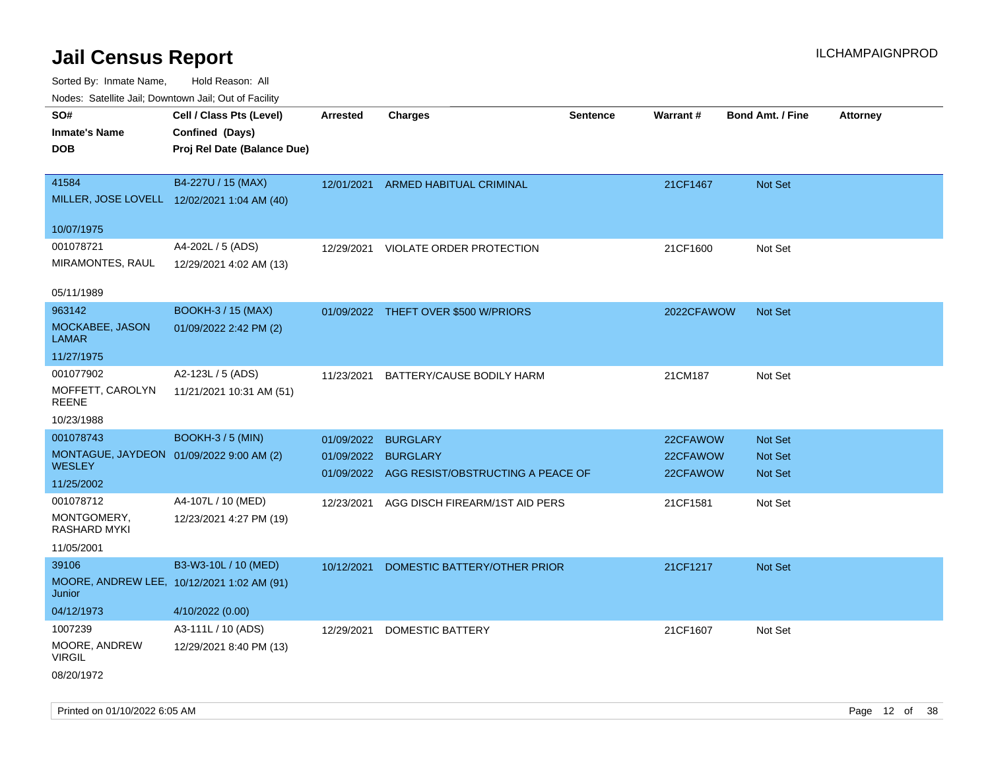| Nodes: Satellite Jail; Downtown Jail; Out of Facility |                                             |                 |                                      |                 |            |                         |                 |
|-------------------------------------------------------|---------------------------------------------|-----------------|--------------------------------------|-----------------|------------|-------------------------|-----------------|
| SO#                                                   | Cell / Class Pts (Level)                    | <b>Arrested</b> | <b>Charges</b>                       | <b>Sentence</b> | Warrant#   | <b>Bond Amt. / Fine</b> | <b>Attorney</b> |
| <b>Inmate's Name</b>                                  | Confined (Days)                             |                 |                                      |                 |            |                         |                 |
| <b>DOB</b>                                            | Proj Rel Date (Balance Due)                 |                 |                                      |                 |            |                         |                 |
|                                                       |                                             |                 |                                      |                 |            |                         |                 |
| 41584                                                 | B4-227U / 15 (MAX)                          | 12/01/2021      | ARMED HABITUAL CRIMINAL              |                 | 21CF1467   | Not Set                 |                 |
|                                                       | MILLER, JOSE LOVELL 12/02/2021 1:04 AM (40) |                 |                                      |                 |            |                         |                 |
|                                                       |                                             |                 |                                      |                 |            |                         |                 |
| 10/07/1975                                            |                                             |                 |                                      |                 |            |                         |                 |
| 001078721                                             | A4-202L / 5 (ADS)                           | 12/29/2021      | VIOLATE ORDER PROTECTION             |                 | 21CF1600   | Not Set                 |                 |
| MIRAMONTES, RAUL                                      | 12/29/2021 4:02 AM (13)                     |                 |                                      |                 |            |                         |                 |
| 05/11/1989                                            |                                             |                 |                                      |                 |            |                         |                 |
|                                                       |                                             |                 |                                      |                 |            |                         |                 |
| 963142                                                | <b>BOOKH-3 / 15 (MAX)</b>                   |                 | 01/09/2022 THEFT OVER \$500 W/PRIORS |                 | 2022CFAWOW | Not Set                 |                 |
| MOCKABEE, JASON<br><b>LAMAR</b>                       | 01/09/2022 2:42 PM (2)                      |                 |                                      |                 |            |                         |                 |
| 11/27/1975                                            |                                             |                 |                                      |                 |            |                         |                 |
| 001077902                                             | A2-123L / 5 (ADS)                           | 11/23/2021      | BATTERY/CAUSE BODILY HARM            |                 | 21CM187    | Not Set                 |                 |
| MOFFETT, CAROLYN                                      | 11/21/2021 10:31 AM (51)                    |                 |                                      |                 |            |                         |                 |
| <b>REENE</b>                                          |                                             |                 |                                      |                 |            |                         |                 |
| 10/23/1988                                            |                                             |                 |                                      |                 |            |                         |                 |
| 001078743                                             | <b>BOOKH-3 / 5 (MIN)</b>                    | 01/09/2022      | <b>BURGLARY</b>                      |                 | 22CFAWOW   | Not Set                 |                 |
|                                                       | MONTAGUE, JAYDEON 01/09/2022 9:00 AM (2)    | 01/09/2022      | <b>BURGLARY</b>                      |                 | 22CFAWOW   | Not Set                 |                 |
| <b>WESLEY</b>                                         |                                             | 01/09/2022      | AGG RESIST/OBSTRUCTING A PEACE OF    |                 | 22CFAWOW   | Not Set                 |                 |
| 11/25/2002                                            |                                             |                 |                                      |                 |            |                         |                 |
| 001078712                                             | A4-107L / 10 (MED)                          | 12/23/2021      | AGG DISCH FIREARM/1ST AID PERS       |                 | 21CF1581   | Not Set                 |                 |
| MONTGOMERY,<br>RASHARD MYKI                           | 12/23/2021 4:27 PM (19)                     |                 |                                      |                 |            |                         |                 |
| 11/05/2001                                            |                                             |                 |                                      |                 |            |                         |                 |
| 39106                                                 | B3-W3-10L / 10 (MED)                        |                 |                                      |                 |            |                         |                 |
|                                                       |                                             | 10/12/2021      | DOMESTIC BATTERY/OTHER PRIOR         |                 | 21CF1217   | Not Set                 |                 |
| Junior                                                | MOORE, ANDREW LEE, 10/12/2021 1:02 AM (91)  |                 |                                      |                 |            |                         |                 |
| 04/12/1973                                            | 4/10/2022 (0.00)                            |                 |                                      |                 |            |                         |                 |
| 1007239                                               | A3-111L / 10 (ADS)                          | 12/29/2021      | DOMESTIC BATTERY                     |                 | 21CF1607   | Not Set                 |                 |
| MOORE, ANDREW                                         | 12/29/2021 8:40 PM (13)                     |                 |                                      |                 |            |                         |                 |
| <b>VIRGIL</b>                                         |                                             |                 |                                      |                 |            |                         |                 |
| 08/20/1972                                            |                                             |                 |                                      |                 |            |                         |                 |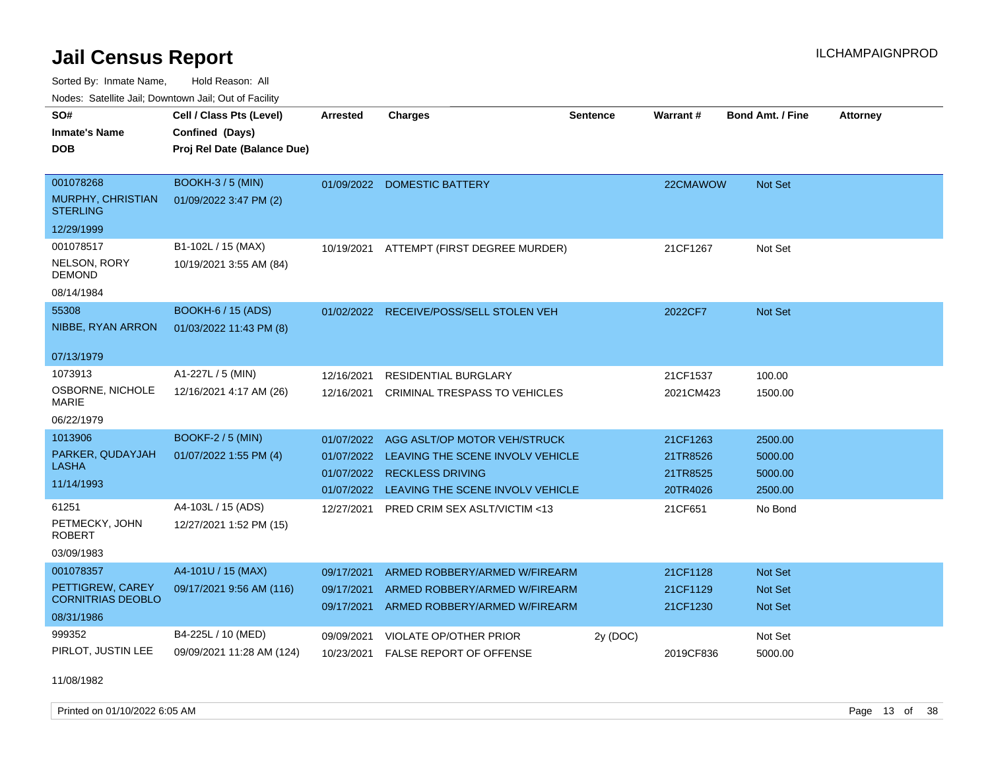Sorted By: Inmate Name, Hold Reason: All Nodes: Satellite Jail; Downtown Jail; Out of Facility

| SO#<br><b>Inmate's Name</b><br><b>DOB</b>                               | Cell / Class Pts (Level)<br>Confined (Days)<br>Proj Rel Date (Balance Due) | Arrested                                             | <b>Charges</b>                                                                                                                  | <b>Sentence</b> | Warrant#                                     | <b>Bond Amt. / Fine</b>                  | <b>Attorney</b> |
|-------------------------------------------------------------------------|----------------------------------------------------------------------------|------------------------------------------------------|---------------------------------------------------------------------------------------------------------------------------------|-----------------|----------------------------------------------|------------------------------------------|-----------------|
| 001078268<br>MURPHY, CHRISTIAN<br><b>STERLING</b><br>12/29/1999         | <b>BOOKH-3/5 (MIN)</b><br>01/09/2022 3:47 PM (2)                           | 01/09/2022                                           | DOMESTIC BATTERY                                                                                                                |                 | 22CMAWOW                                     | Not Set                                  |                 |
| 001078517<br>NELSON, RORY<br><b>DEMOND</b><br>08/14/1984                | B1-102L / 15 (MAX)<br>10/19/2021 3:55 AM (84)                              | 10/19/2021                                           | ATTEMPT (FIRST DEGREE MURDER)                                                                                                   |                 | 21CF1267                                     | Not Set                                  |                 |
| 55308<br>NIBBE, RYAN ARRON                                              | <b>BOOKH-6 / 15 (ADS)</b><br>01/03/2022 11:43 PM (8)                       |                                                      | 01/02/2022 RECEIVE/POSS/SELL STOLEN VEH                                                                                         |                 | 2022CF7                                      | Not Set                                  |                 |
| 07/13/1979<br>1073913<br>OSBORNE, NICHOLE<br>MARIE<br>06/22/1979        | A1-227L / 5 (MIN)<br>12/16/2021 4:17 AM (26)                               | 12/16/2021<br>12/16/2021                             | RESIDENTIAL BURGLARY<br>CRIMINAL TRESPASS TO VEHICLES                                                                           |                 | 21CF1537<br>2021CM423                        | 100.00<br>1500.00                        |                 |
| 1013906<br>PARKER, QUDAYJAH<br>LASHA<br>11/14/1993                      | <b>BOOKF-2 / 5 (MIN)</b><br>01/07/2022 1:55 PM (4)                         | 01/07/2022<br>01/07/2022<br>01/07/2022<br>01/07/2022 | AGG ASLT/OP MOTOR VEH/STRUCK<br>LEAVING THE SCENE INVOLV VEHICLE<br><b>RECKLESS DRIVING</b><br>LEAVING THE SCENE INVOLV VEHICLE |                 | 21CF1263<br>21TR8526<br>21TR8525<br>20TR4026 | 2500.00<br>5000.00<br>5000.00<br>2500.00 |                 |
| 61251<br>PETMECKY, JOHN<br>ROBERT<br>03/09/1983                         | A4-103L / 15 (ADS)<br>12/27/2021 1:52 PM (15)                              | 12/27/2021                                           | PRED CRIM SEX ASLT/VICTIM <13                                                                                                   |                 | 21CF651                                      | No Bond                                  |                 |
| 001078357<br>PETTIGREW, CAREY<br><b>CORNITRIAS DEOBLO</b><br>08/31/1986 | A4-101U / 15 (MAX)<br>09/17/2021 9:56 AM (116)                             | 09/17/2021<br>09/17/2021<br>09/17/2021               | ARMED ROBBERY/ARMED W/FIREARM<br>ARMED ROBBERY/ARMED W/FIREARM<br>ARMED ROBBERY/ARMED W/FIREARM                                 |                 | 21CF1128<br>21CF1129<br>21CF1230             | Not Set<br><b>Not Set</b><br>Not Set     |                 |
| 999352<br>PIRLOT, JUSTIN LEE<br>11/08/1982                              | B4-225L / 10 (MED)<br>09/09/2021 11:28 AM (124)                            | 09/09/2021<br>10/23/2021                             | <b>VIOLATE OP/OTHER PRIOR</b><br><b>FALSE REPORT OF OFFENSE</b>                                                                 | 2y (DOC)        | 2019CF836                                    | Not Set<br>5000.00                       |                 |

Printed on 01/10/2022 6:05 AM **Page 13** of 38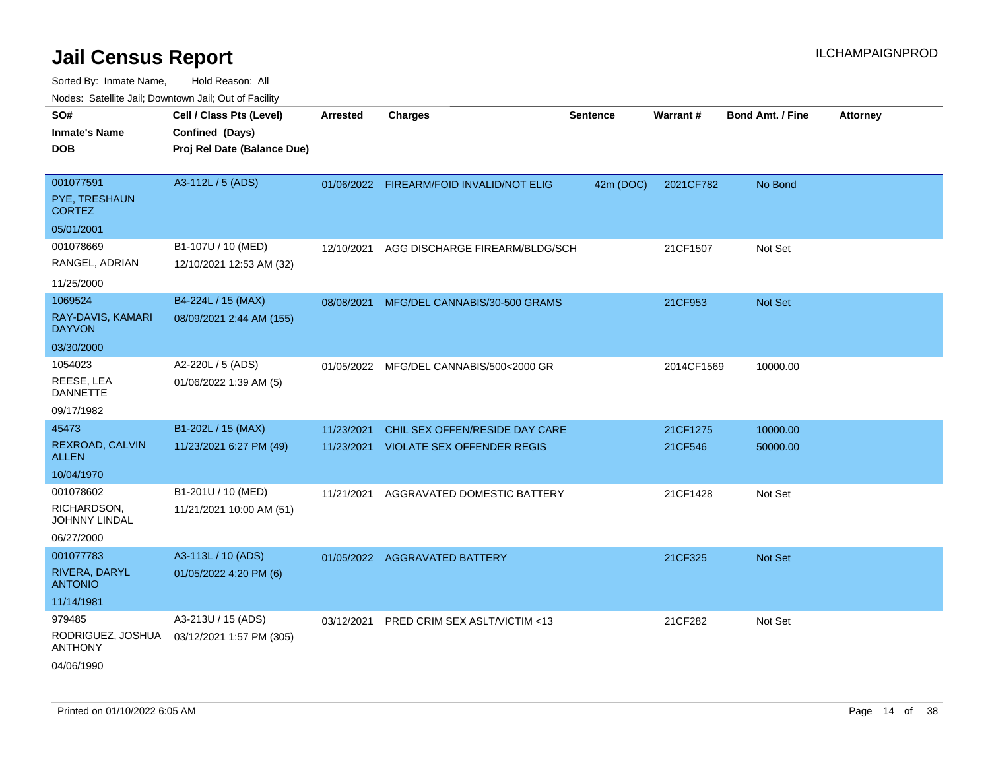| SO#                                 | Cell / Class Pts (Level)    | <b>Arrested</b> | <b>Charges</b>                          | <b>Sentence</b> | Warrant#   | <b>Bond Amt. / Fine</b> | <b>Attorney</b> |
|-------------------------------------|-----------------------------|-----------------|-----------------------------------------|-----------------|------------|-------------------------|-----------------|
| <b>Inmate's Name</b>                | Confined (Days)             |                 |                                         |                 |            |                         |                 |
| <b>DOB</b>                          | Proj Rel Date (Balance Due) |                 |                                         |                 |            |                         |                 |
|                                     |                             |                 |                                         |                 |            |                         |                 |
| 001077591                           | A3-112L / 5 (ADS)           | 01/06/2022      | FIREARM/FOID INVALID/NOT ELIG           | 42m (DOC)       | 2021CF782  | No Bond                 |                 |
| PYE, TRESHAUN<br><b>CORTEZ</b>      |                             |                 |                                         |                 |            |                         |                 |
| 05/01/2001                          |                             |                 |                                         |                 |            |                         |                 |
| 001078669                           | B1-107U / 10 (MED)          | 12/10/2021      | AGG DISCHARGE FIREARM/BLDG/SCH          |                 | 21CF1507   | Not Set                 |                 |
| RANGEL, ADRIAN                      | 12/10/2021 12:53 AM (32)    |                 |                                         |                 |            |                         |                 |
| 11/25/2000                          |                             |                 |                                         |                 |            |                         |                 |
| 1069524                             | B4-224L / 15 (MAX)          | 08/08/2021      | MFG/DEL CANNABIS/30-500 GRAMS           |                 | 21CF953    | Not Set                 |                 |
| RAY-DAVIS, KAMARI<br><b>DAYVON</b>  | 08/09/2021 2:44 AM (155)    |                 |                                         |                 |            |                         |                 |
| 03/30/2000                          |                             |                 |                                         |                 |            |                         |                 |
| 1054023                             | A2-220L / 5 (ADS)           |                 | 01/05/2022 MFG/DEL CANNABIS/500<2000 GR |                 | 2014CF1569 | 10000.00                |                 |
| REESE, LEA<br><b>DANNETTE</b>       | 01/06/2022 1:39 AM (5)      |                 |                                         |                 |            |                         |                 |
| 09/17/1982                          |                             |                 |                                         |                 |            |                         |                 |
| 45473                               | B1-202L / 15 (MAX)          | 11/23/2021      | CHIL SEX OFFEN/RESIDE DAY CARE          |                 | 21CF1275   | 10000.00                |                 |
| REXROAD, CALVIN<br><b>ALLEN</b>     | 11/23/2021 6:27 PM (49)     | 11/23/2021      | <b>VIOLATE SEX OFFENDER REGIS</b>       |                 | 21CF546    | 50000.00                |                 |
| 10/04/1970                          |                             |                 |                                         |                 |            |                         |                 |
| 001078602                           | B1-201U / 10 (MED)          | 11/21/2021      | AGGRAVATED DOMESTIC BATTERY             |                 | 21CF1428   | Not Set                 |                 |
| RICHARDSON,<br>JOHNNY LINDAL        | 11/21/2021 10:00 AM (51)    |                 |                                         |                 |            |                         |                 |
| 06/27/2000                          |                             |                 |                                         |                 |            |                         |                 |
| 001077783                           | A3-113L / 10 (ADS)          |                 | 01/05/2022 AGGRAVATED BATTERY           |                 | 21CF325    | Not Set                 |                 |
| RIVERA, DARYL<br><b>ANTONIO</b>     | 01/05/2022 4:20 PM (6)      |                 |                                         |                 |            |                         |                 |
| 11/14/1981                          |                             |                 |                                         |                 |            |                         |                 |
| 979485                              | A3-213U / 15 (ADS)          | 03/12/2021      | PRED CRIM SEX ASLT/VICTIM <13           |                 | 21CF282    | Not Set                 |                 |
| RODRIGUEZ, JOSHUA<br><b>ANTHONY</b> | 03/12/2021 1:57 PM (305)    |                 |                                         |                 |            |                         |                 |
| 04/06/1990                          |                             |                 |                                         |                 |            |                         |                 |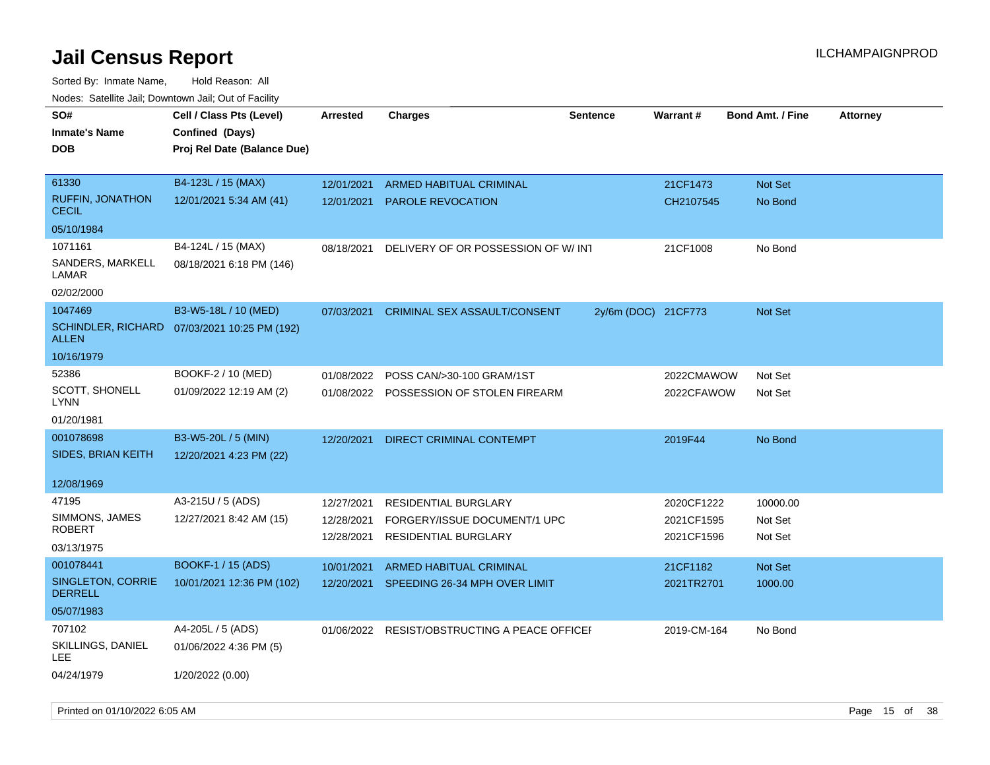| roaco. Catolino cali, Downtown cali, Out of Facility |                                              |                 |                                                |                     |                 |                         |                 |
|------------------------------------------------------|----------------------------------------------|-----------------|------------------------------------------------|---------------------|-----------------|-------------------------|-----------------|
| SO#                                                  | Cell / Class Pts (Level)                     | <b>Arrested</b> | <b>Charges</b>                                 | <b>Sentence</b>     | <b>Warrant#</b> | <b>Bond Amt. / Fine</b> | <b>Attorney</b> |
| Inmate's Name                                        | Confined (Days)                              |                 |                                                |                     |                 |                         |                 |
| <b>DOB</b>                                           | Proj Rel Date (Balance Due)                  |                 |                                                |                     |                 |                         |                 |
|                                                      |                                              |                 |                                                |                     |                 |                         |                 |
| 61330                                                | B4-123L / 15 (MAX)                           | 12/01/2021      | ARMED HABITUAL CRIMINAL                        |                     | 21CF1473        | Not Set                 |                 |
| <b>RUFFIN, JONATHON</b><br><b>CECIL</b>              | 12/01/2021 5:34 AM (41)                      | 12/01/2021      | <b>PAROLE REVOCATION</b>                       |                     | CH2107545       | No Bond                 |                 |
| 05/10/1984                                           |                                              |                 |                                                |                     |                 |                         |                 |
| 1071161                                              | B4-124L / 15 (MAX)                           | 08/18/2021      | DELIVERY OF OR POSSESSION OF W/INT             |                     | 21CF1008        | No Bond                 |                 |
| SANDERS, MARKELL<br>LAMAR                            | 08/18/2021 6:18 PM (146)                     |                 |                                                |                     |                 |                         |                 |
| 02/02/2000                                           |                                              |                 |                                                |                     |                 |                         |                 |
| 1047469                                              | B3-W5-18L / 10 (MED)                         | 07/03/2021      | CRIMINAL SEX ASSAULT/CONSENT                   | 2y/6m (DOC) 21CF773 |                 | Not Set                 |                 |
| <b>ALLEN</b>                                         | SCHINDLER, RICHARD 07/03/2021 10:25 PM (192) |                 |                                                |                     |                 |                         |                 |
| 10/16/1979                                           |                                              |                 |                                                |                     |                 |                         |                 |
| 52386                                                | BOOKF-2 / 10 (MED)                           | 01/08/2022      | POSS CAN/>30-100 GRAM/1ST                      |                     | 2022CMAWOW      | Not Set                 |                 |
| <b>SCOTT, SHONELL</b><br><b>LYNN</b>                 | 01/09/2022 12:19 AM (2)                      |                 | 01/08/2022 POSSESSION OF STOLEN FIREARM        |                     | 2022CFAWOW      | Not Set                 |                 |
| 01/20/1981                                           |                                              |                 |                                                |                     |                 |                         |                 |
| 001078698                                            | B3-W5-20L / 5 (MIN)                          | 12/20/2021      | <b>DIRECT CRIMINAL CONTEMPT</b>                |                     | 2019F44         | No Bond                 |                 |
| SIDES, BRIAN KEITH                                   | 12/20/2021 4:23 PM (22)                      |                 |                                                |                     |                 |                         |                 |
|                                                      |                                              |                 |                                                |                     |                 |                         |                 |
| 12/08/1969                                           |                                              |                 |                                                |                     |                 |                         |                 |
| 47195                                                | A3-215U / 5 (ADS)                            | 12/27/2021      | <b>RESIDENTIAL BURGLARY</b>                    |                     | 2020CF1222      | 10000.00                |                 |
| SIMMONS, JAMES<br>ROBERT                             | 12/27/2021 8:42 AM (15)                      | 12/28/2021      | FORGERY/ISSUE DOCUMENT/1 UPC                   |                     | 2021CF1595      | Not Set                 |                 |
| 03/13/1975                                           |                                              | 12/28/2021      | RESIDENTIAL BURGLARY                           |                     | 2021CF1596      | Not Set                 |                 |
|                                                      |                                              |                 |                                                |                     |                 |                         |                 |
| 001078441                                            | <b>BOOKF-1 / 15 (ADS)</b>                    | 10/01/2021      | <b>ARMED HABITUAL CRIMINAL</b>                 |                     | 21CF1182        | Not Set                 |                 |
| SINGLETON, CORRIE<br><b>DERRELL</b>                  | 10/01/2021 12:36 PM (102)                    | 12/20/2021      | SPEEDING 26-34 MPH OVER LIMIT                  |                     | 2021TR2701      | 1000.00                 |                 |
| 05/07/1983                                           |                                              |                 |                                                |                     |                 |                         |                 |
| 707102                                               | A4-205L / 5 (ADS)                            |                 | 01/06/2022 RESIST/OBSTRUCTING A PEACE OFFICE I |                     | 2019-CM-164     | No Bond                 |                 |
| SKILLINGS, DANIEL<br>LEE                             | 01/06/2022 4:36 PM (5)                       |                 |                                                |                     |                 |                         |                 |
| 04/24/1979                                           | 1/20/2022 (0.00)                             |                 |                                                |                     |                 |                         |                 |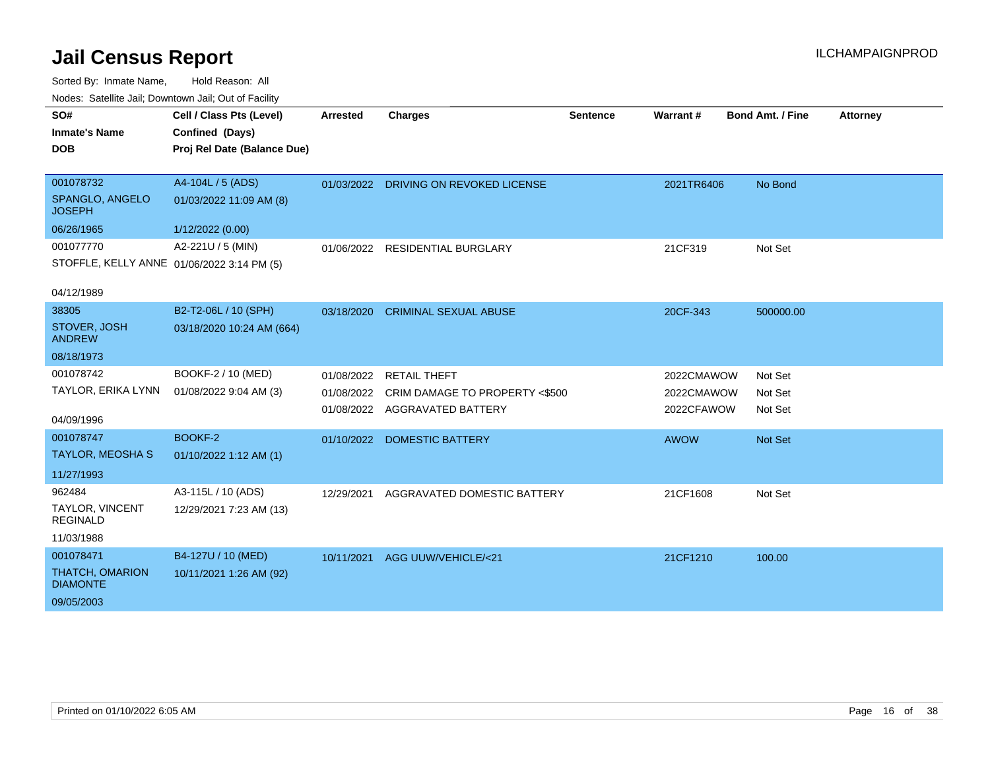| SO#                                        | Cell / Class Pts (Level)    | <b>Arrested</b> | <b>Charges</b>                        | <b>Sentence</b> | Warrant#    | <b>Bond Amt. / Fine</b> | <b>Attorney</b> |
|--------------------------------------------|-----------------------------|-----------------|---------------------------------------|-----------------|-------------|-------------------------|-----------------|
| <b>Inmate's Name</b>                       | Confined (Days)             |                 |                                       |                 |             |                         |                 |
| <b>DOB</b>                                 | Proj Rel Date (Balance Due) |                 |                                       |                 |             |                         |                 |
|                                            |                             |                 |                                       |                 |             |                         |                 |
| 001078732                                  | A4-104L / 5 (ADS)           |                 | 01/03/2022 DRIVING ON REVOKED LICENSE |                 | 2021TR6406  | No Bond                 |                 |
| SPANGLO, ANGELO<br><b>JOSEPH</b>           | 01/03/2022 11:09 AM (8)     |                 |                                       |                 |             |                         |                 |
| 06/26/1965                                 | 1/12/2022 (0.00)            |                 |                                       |                 |             |                         |                 |
| 001077770                                  | A2-221U / 5 (MIN)           |                 | 01/06/2022 RESIDENTIAL BURGLARY       |                 | 21CF319     | Not Set                 |                 |
| STOFFLE, KELLY ANNE 01/06/2022 3:14 PM (5) |                             |                 |                                       |                 |             |                         |                 |
| 04/12/1989                                 |                             |                 |                                       |                 |             |                         |                 |
| 38305                                      | B2-T2-06L / 10 (SPH)        | 03/18/2020      | <b>CRIMINAL SEXUAL ABUSE</b>          |                 | 20CF-343    | 500000.00               |                 |
| STOVER, JOSH<br><b>ANDREW</b>              | 03/18/2020 10:24 AM (664)   |                 |                                       |                 |             |                         |                 |
| 08/18/1973                                 |                             |                 |                                       |                 |             |                         |                 |
| 001078742                                  | BOOKF-2 / 10 (MED)          | 01/08/2022      | <b>RETAIL THEFT</b>                   |                 | 2022CMAWOW  | Not Set                 |                 |
| TAYLOR, ERIKA LYNN                         | 01/08/2022 9:04 AM (3)      | 01/08/2022      | CRIM DAMAGE TO PROPERTY <\$500        |                 | 2022CMAWOW  | Not Set                 |                 |
| 04/09/1996                                 |                             |                 | 01/08/2022 AGGRAVATED BATTERY         |                 | 2022CFAWOW  | Not Set                 |                 |
| 001078747                                  | BOOKF-2                     |                 | 01/10/2022 DOMESTIC BATTERY           |                 | <b>AWOW</b> | Not Set                 |                 |
| <b>TAYLOR, MEOSHA S</b>                    | 01/10/2022 1:12 AM (1)      |                 |                                       |                 |             |                         |                 |
| 11/27/1993                                 |                             |                 |                                       |                 |             |                         |                 |
| 962484                                     | A3-115L / 10 (ADS)          | 12/29/2021      | AGGRAVATED DOMESTIC BATTERY           |                 | 21CF1608    | Not Set                 |                 |
| <b>TAYLOR, VINCENT</b><br><b>REGINALD</b>  | 12/29/2021 7:23 AM (13)     |                 |                                       |                 |             |                         |                 |
| 11/03/1988                                 |                             |                 |                                       |                 |             |                         |                 |
| 001078471                                  | B4-127U / 10 (MED)          | 10/11/2021      | AGG UUW/VEHICLE/<21                   |                 | 21CF1210    | 100.00                  |                 |
| <b>THATCH, OMARION</b><br><b>DIAMONTE</b>  | 10/11/2021 1:26 AM (92)     |                 |                                       |                 |             |                         |                 |
| 09/05/2003                                 |                             |                 |                                       |                 |             |                         |                 |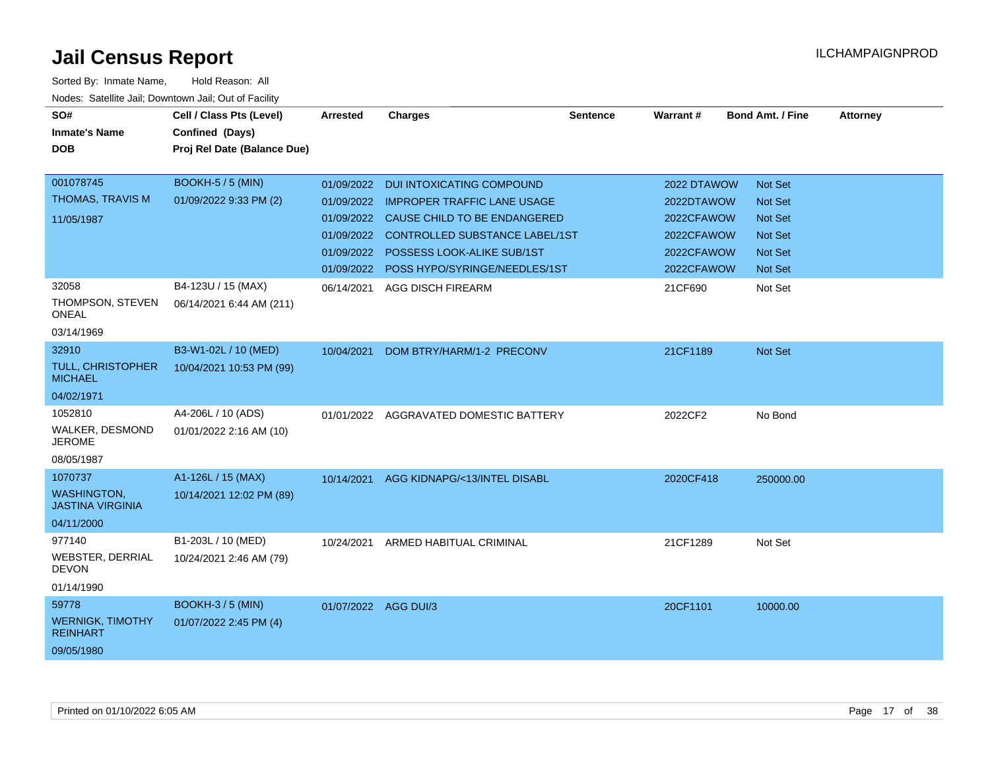| SO#<br><b>Inmate's Name</b><br><b>DOB</b>                              | Cell / Class Pts (Level)<br>Confined (Days)<br>Proj Rel Date (Balance Due) | <b>Arrested</b>      | <b>Charges</b>                                                                                                                 | <b>Sentence</b> | Warrant#                                | <b>Bond Amt. / Fine</b>              | <b>Attorney</b> |
|------------------------------------------------------------------------|----------------------------------------------------------------------------|----------------------|--------------------------------------------------------------------------------------------------------------------------------|-----------------|-----------------------------------------|--------------------------------------|-----------------|
|                                                                        |                                                                            |                      |                                                                                                                                |                 |                                         |                                      |                 |
| 001078745<br><b>THOMAS, TRAVIS M</b><br>11/05/1987                     | <b>BOOKH-5 / 5 (MIN)</b><br>01/09/2022 9:33 PM (2)                         | 01/09/2022           | 01/09/2022 DUI INTOXICATING COMPOUND<br><b>IMPROPER TRAFFIC LANE USAGE</b><br>01/09/2022 CAUSE CHILD TO BE ENDANGERED          |                 | 2022 DTAWOW<br>2022DTAWOW<br>2022CFAWOW | Not Set<br>Not Set<br><b>Not Set</b> |                 |
|                                                                        |                                                                            |                      | 01/09/2022 CONTROLLED SUBSTANCE LABEL/1ST<br>01/09/2022 POSSESS LOOK-ALIKE SUB/1ST<br>01/09/2022 POSS HYPO/SYRINGE/NEEDLES/1ST |                 | 2022CFAWOW<br>2022CFAWOW<br>2022CFAWOW  | Not Set<br><b>Not Set</b><br>Not Set |                 |
| 32058<br>THOMPSON, STEVEN<br><b>ONEAL</b><br>03/14/1969                | B4-123U / 15 (MAX)<br>06/14/2021 6:44 AM (211)                             |                      | 06/14/2021 AGG DISCH FIREARM                                                                                                   |                 | 21CF690                                 | Not Set                              |                 |
| 32910<br><b>TULL, CHRISTOPHER</b><br><b>MICHAEL</b><br>04/02/1971      | B3-W1-02L / 10 (MED)<br>10/04/2021 10:53 PM (99)                           | 10/04/2021           | DOM BTRY/HARM/1-2 PRECONV                                                                                                      |                 | 21CF1189                                | Not Set                              |                 |
| 1052810<br>WALKER, DESMOND<br><b>JEROME</b><br>08/05/1987              | A4-206L / 10 (ADS)<br>01/01/2022 2:16 AM (10)                              |                      | 01/01/2022 AGGRAVATED DOMESTIC BATTERY                                                                                         |                 | 2022CF2                                 | No Bond                              |                 |
| 1070737<br><b>WASHINGTON,</b><br><b>JASTINA VIRGINIA</b><br>04/11/2000 | A1-126L / 15 (MAX)<br>10/14/2021 12:02 PM (89)                             |                      | 10/14/2021 AGG KIDNAPG/<13/INTEL DISABL                                                                                        |                 | 2020CF418                               | 250000.00                            |                 |
| 977140<br><b>WEBSTER, DERRIAL</b><br><b>DEVON</b><br>01/14/1990        | B1-203L / 10 (MED)<br>10/24/2021 2:46 AM (79)                              | 10/24/2021           | ARMED HABITUAL CRIMINAL                                                                                                        |                 | 21CF1289                                | Not Set                              |                 |
| 59778<br><b>WERNIGK, TIMOTHY</b><br><b>REINHART</b><br>09/05/1980      | <b>BOOKH-3/5 (MIN)</b><br>01/07/2022 2:45 PM (4)                           | 01/07/2022 AGG DUI/3 |                                                                                                                                |                 | 20CF1101                                | 10000.00                             |                 |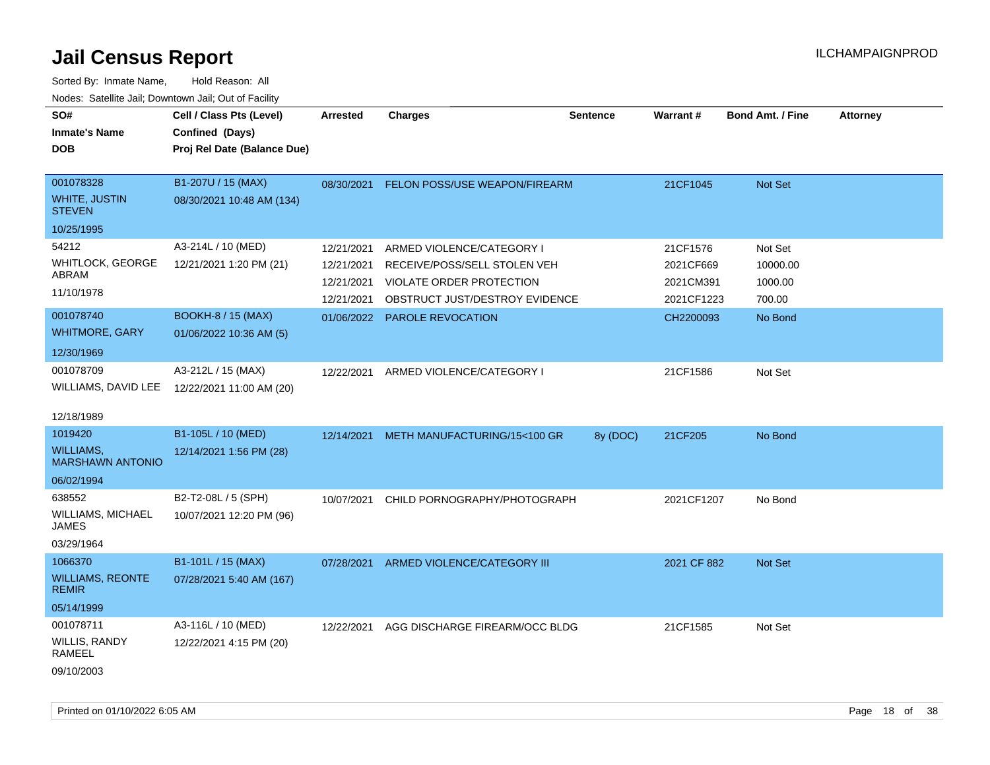| SO#<br><b>Inmate's Name</b><br><b>DOB</b>                            | Cell / Class Pts (Level)<br>Confined (Days)<br>Proj Rel Date (Balance Due) | <b>Arrested</b>                                      | <b>Charges</b>                                                                                                                 | <b>Sentence</b> | Warrant#                                         | <b>Bond Amt. / Fine</b>                  | Attorney |
|----------------------------------------------------------------------|----------------------------------------------------------------------------|------------------------------------------------------|--------------------------------------------------------------------------------------------------------------------------------|-----------------|--------------------------------------------------|------------------------------------------|----------|
| 001078328<br>WHITE, JUSTIN<br><b>STEVEN</b><br>10/25/1995            | B1-207U / 15 (MAX)<br>08/30/2021 10:48 AM (134)                            | 08/30/2021                                           | <b>FELON POSS/USE WEAPON/FIREARM</b>                                                                                           |                 | 21CF1045                                         | Not Set                                  |          |
| 54212<br>WHITLOCK, GEORGE<br>ABRAM<br>11/10/1978                     | A3-214L / 10 (MED)<br>12/21/2021 1:20 PM (21)                              | 12/21/2021<br>12/21/2021<br>12/21/2021<br>12/21/2021 | ARMED VIOLENCE/CATEGORY I<br>RECEIVE/POSS/SELL STOLEN VEH<br><b>VIOLATE ORDER PROTECTION</b><br>OBSTRUCT JUST/DESTROY EVIDENCE |                 | 21CF1576<br>2021CF669<br>2021CM391<br>2021CF1223 | Not Set<br>10000.00<br>1000.00<br>700.00 |          |
| 001078740<br><b>WHITMORE, GARY</b><br>12/30/1969                     | <b>BOOKH-8 / 15 (MAX)</b><br>01/06/2022 10:36 AM (5)                       | 01/06/2022                                           | PAROLE REVOCATION                                                                                                              |                 | CH2200093                                        | No Bond                                  |          |
| 001078709<br>WILLIAMS, DAVID LEE<br>12/18/1989                       | A3-212L / 15 (MAX)<br>12/22/2021 11:00 AM (20)                             | 12/22/2021                                           | ARMED VIOLENCE/CATEGORY I                                                                                                      |                 | 21CF1586                                         | Not Set                                  |          |
| 1019420<br><b>WILLIAMS,</b><br><b>MARSHAWN ANTONIO</b><br>06/02/1994 | B1-105L / 10 (MED)<br>12/14/2021 1:56 PM (28)                              | 12/14/2021                                           | METH MANUFACTURING/15<100 GR                                                                                                   | 8y (DOC)        | 21CF205                                          | No Bond                                  |          |
| 638552<br>WILLIAMS, MICHAEL<br><b>JAMES</b><br>03/29/1964            | B2-T2-08L / 5 (SPH)<br>10/07/2021 12:20 PM (96)                            | 10/07/2021                                           | CHILD PORNOGRAPHY/PHOTOGRAPH                                                                                                   |                 | 2021CF1207                                       | No Bond                                  |          |
| 1066370<br><b>WILLIAMS, REONTE</b><br><b>REMIR</b><br>05/14/1999     | B1-101L / 15 (MAX)<br>07/28/2021 5:40 AM (167)                             | 07/28/2021                                           | ARMED VIOLENCE/CATEGORY III                                                                                                    |                 | 2021 CF 882                                      | Not Set                                  |          |
| 001078711<br>WILLIS, RANDY<br>RAMEEL<br>09/10/2003                   | A3-116L / 10 (MED)<br>12/22/2021 4:15 PM (20)                              | 12/22/2021                                           | AGG DISCHARGE FIREARM/OCC BLDG                                                                                                 |                 | 21CF1585                                         | Not Set                                  |          |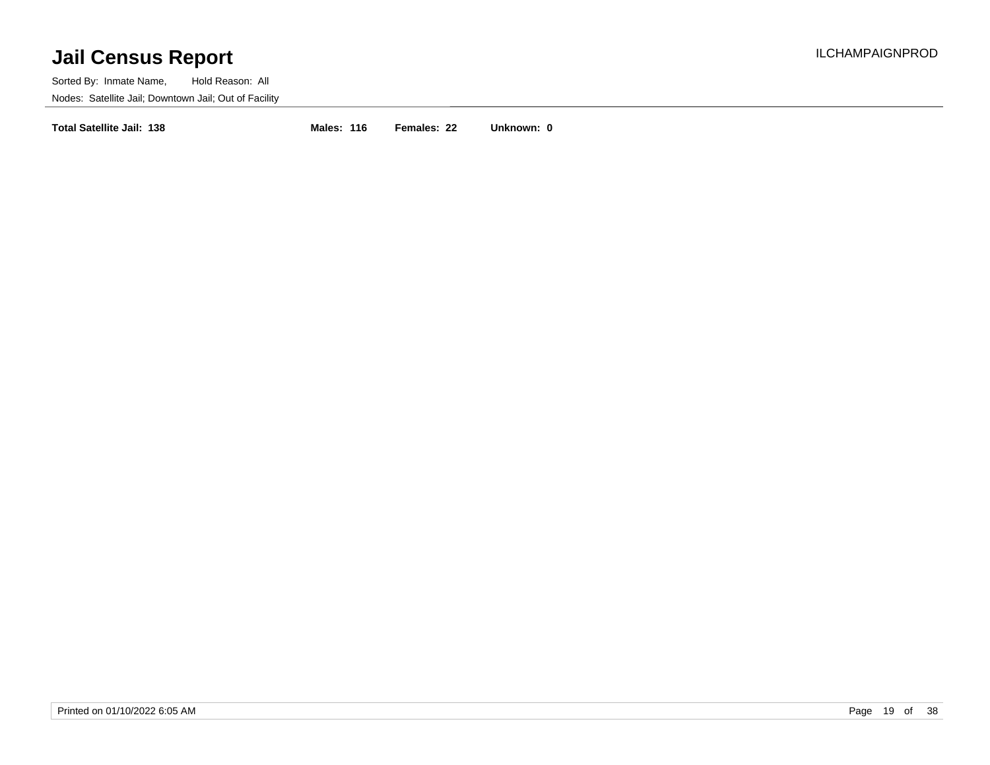Sorted By: Inmate Name, Hold Reason: All Nodes: Satellite Jail; Downtown Jail; Out of Facility

**Total Satellite Jail: 138 Males: 116 Females: 22 Unknown: 0**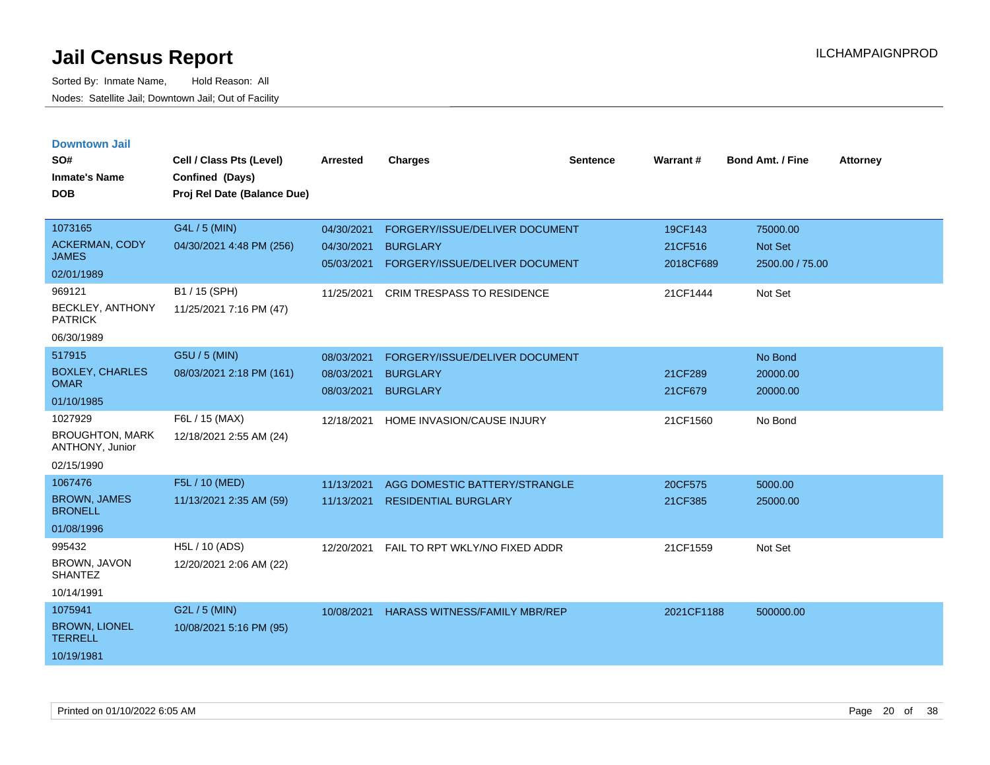|  | <b>Downtown Jail</b> |  |
|--|----------------------|--|
|  |                      |  |
|  |                      |  |

| SO#<br><b>Inmate's Name</b><br><b>DOB</b>                                                    | Cell / Class Pts (Level)<br>Confined (Days)<br>Proj Rel Date (Balance Due)            | <b>Arrested</b>                                      | <b>Charges</b>                                                                                                    | <b>Sentence</b> | Warrant#                                    | <b>Bond Amt. / Fine</b>                           | <b>Attorney</b> |
|----------------------------------------------------------------------------------------------|---------------------------------------------------------------------------------------|------------------------------------------------------|-------------------------------------------------------------------------------------------------------------------|-----------------|---------------------------------------------|---------------------------------------------------|-----------------|
| 1073165<br>ACKERMAN, CODY<br><b>JAMES</b><br>02/01/1989<br>969121<br><b>BECKLEY, ANTHONY</b> | G4L / 5 (MIN)<br>04/30/2021 4:48 PM (256)<br>B1 / 15 (SPH)<br>11/25/2021 7:16 PM (47) | 04/30/2021<br>04/30/2021<br>05/03/2021<br>11/25/2021 | FORGERY/ISSUE/DELIVER DOCUMENT<br><b>BURGLARY</b><br>FORGERY/ISSUE/DELIVER DOCUMENT<br>CRIM TRESPASS TO RESIDENCE |                 | 19CF143<br>21CF516<br>2018CF689<br>21CF1444 | 75000.00<br>Not Set<br>2500.00 / 75.00<br>Not Set |                 |
| <b>PATRICK</b><br>06/30/1989                                                                 |                                                                                       |                                                      |                                                                                                                   |                 |                                             |                                                   |                 |
| 517915<br><b>BOXLEY, CHARLES</b><br><b>OMAR</b><br>01/10/1985                                | G5U / 5 (MIN)<br>08/03/2021 2:18 PM (161)                                             | 08/03/2021<br>08/03/2021<br>08/03/2021               | FORGERY/ISSUE/DELIVER DOCUMENT<br><b>BURGLARY</b><br><b>BURGLARY</b>                                              |                 | 21CF289<br>21CF679                          | No Bond<br>20000.00<br>20000.00                   |                 |
| 1027929<br><b>BROUGHTON, MARK</b><br>ANTHONY, Junior<br>02/15/1990                           | F6L / 15 (MAX)<br>12/18/2021 2:55 AM (24)                                             | 12/18/2021                                           | HOME INVASION/CAUSE INJURY                                                                                        |                 | 21CF1560                                    | No Bond                                           |                 |
| 1067476<br><b>BROWN, JAMES</b><br><b>BRONELL</b><br>01/08/1996                               | F5L / 10 (MED)<br>11/13/2021 2:35 AM (59)                                             | 11/13/2021<br>11/13/2021                             | AGG DOMESTIC BATTERY/STRANGLE<br><b>RESIDENTIAL BURGLARY</b>                                                      |                 | 20CF575<br>21CF385                          | 5000.00<br>25000.00                               |                 |
| 995432<br>BROWN, JAVON<br><b>SHANTEZ</b><br>10/14/1991                                       | H5L / 10 (ADS)<br>12/20/2021 2:06 AM (22)                                             | 12/20/2021                                           | FAIL TO RPT WKLY/NO FIXED ADDR                                                                                    |                 | 21CF1559                                    | Not Set                                           |                 |
| 1075941<br><b>BROWN, LIONEL</b><br><b>TERRELL</b><br>10/19/1981                              | G2L / 5 (MIN)<br>10/08/2021 5:16 PM (95)                                              | 10/08/2021                                           | <b>HARASS WITNESS/FAMILY MBR/REP</b>                                                                              |                 | 2021CF1188                                  | 500000.00                                         |                 |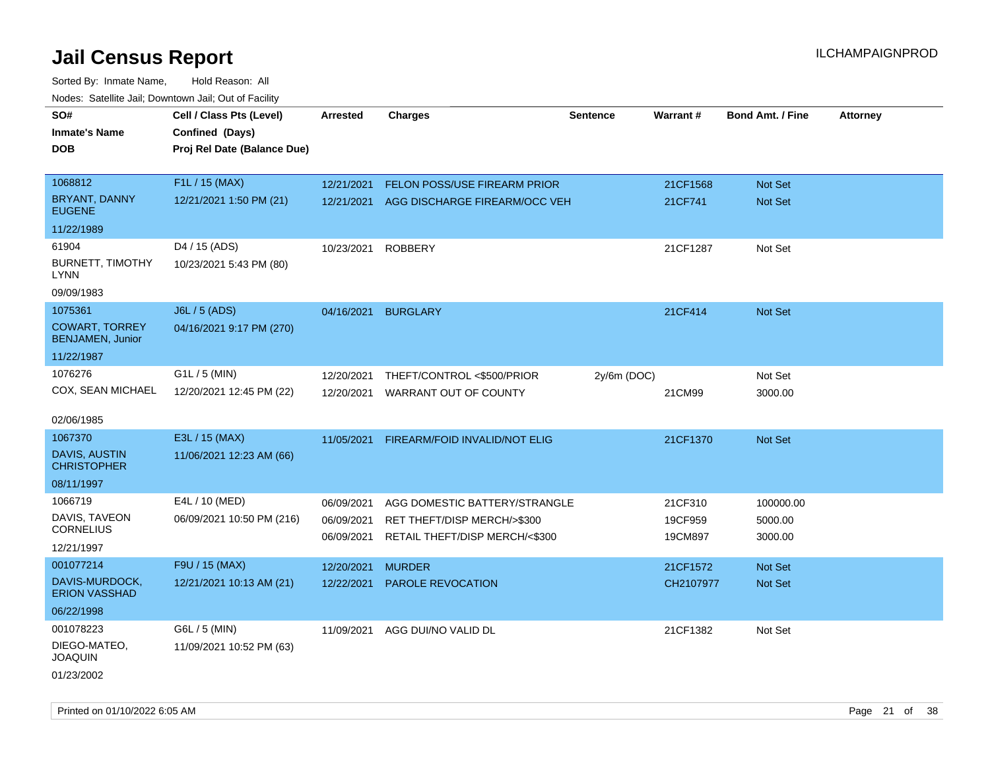| SO#                                              | Cell / Class Pts (Level)    | <b>Arrested</b> | <b>Charges</b>                           | <b>Sentence</b> | Warrant#  | <b>Bond Amt. / Fine</b> | <b>Attorney</b> |
|--------------------------------------------------|-----------------------------|-----------------|------------------------------------------|-----------------|-----------|-------------------------|-----------------|
| <b>Inmate's Name</b>                             | Confined (Days)             |                 |                                          |                 |           |                         |                 |
| <b>DOB</b>                                       | Proj Rel Date (Balance Due) |                 |                                          |                 |           |                         |                 |
|                                                  |                             |                 |                                          |                 |           |                         |                 |
| 1068812                                          | F1L / 15 (MAX)              | 12/21/2021      | FELON POSS/USE FIREARM PRIOR             |                 | 21CF1568  | Not Set                 |                 |
| <b>BRYANT, DANNY</b><br><b>EUGENE</b>            | 12/21/2021 1:50 PM (21)     |                 | 12/21/2021 AGG DISCHARGE FIREARM/OCC VEH |                 | 21CF741   | Not Set                 |                 |
| 11/22/1989                                       |                             |                 |                                          |                 |           |                         |                 |
| 61904                                            | D4 / 15 (ADS)               | 10/23/2021      | <b>ROBBERY</b>                           |                 | 21CF1287  | Not Set                 |                 |
| <b>BURNETT, TIMOTHY</b><br><b>LYNN</b>           | 10/23/2021 5:43 PM (80)     |                 |                                          |                 |           |                         |                 |
| 09/09/1983                                       |                             |                 |                                          |                 |           |                         |                 |
| 1075361                                          | <b>J6L / 5 (ADS)</b>        | 04/16/2021      | <b>BURGLARY</b>                          |                 | 21CF414   | Not Set                 |                 |
| <b>COWART, TORREY</b><br><b>BENJAMEN, Junior</b> | 04/16/2021 9:17 PM (270)    |                 |                                          |                 |           |                         |                 |
| 11/22/1987                                       |                             |                 |                                          |                 |           |                         |                 |
| 1076276                                          | G1L / 5 (MIN)               | 12/20/2021      | THEFT/CONTROL <\$500/PRIOR               | 2y/6m (DOC)     |           | Not Set                 |                 |
| COX, SEAN MICHAEL                                | 12/20/2021 12:45 PM (22)    | 12/20/2021      | WARRANT OUT OF COUNTY                    |                 | 21CM99    | 3000.00                 |                 |
|                                                  |                             |                 |                                          |                 |           |                         |                 |
| 02/06/1985                                       |                             |                 |                                          |                 |           |                         |                 |
| 1067370                                          | E3L / 15 (MAX)              | 11/05/2021      | FIREARM/FOID INVALID/NOT ELIG            |                 | 21CF1370  | Not Set                 |                 |
| <b>DAVIS, AUSTIN</b><br><b>CHRISTOPHER</b>       | 11/06/2021 12:23 AM (66)    |                 |                                          |                 |           |                         |                 |
| 08/11/1997                                       |                             |                 |                                          |                 |           |                         |                 |
| 1066719                                          | E4L / 10 (MED)              | 06/09/2021      | AGG DOMESTIC BATTERY/STRANGLE            |                 | 21CF310   | 100000.00               |                 |
| DAVIS, TAVEON                                    | 06/09/2021 10:50 PM (216)   | 06/09/2021      | RET THEFT/DISP MERCH/>\$300              |                 | 19CF959   | 5000.00                 |                 |
| <b>CORNELIUS</b>                                 |                             | 06/09/2021      | RETAIL THEFT/DISP MERCH/<\$300           |                 | 19CM897   | 3000.00                 |                 |
| 12/21/1997                                       |                             |                 |                                          |                 |           |                         |                 |
| 001077214                                        | F9U / 15 (MAX)              | 12/20/2021      | <b>MURDER</b>                            |                 | 21CF1572  | Not Set                 |                 |
| DAVIS-MURDOCK,<br><b>ERION VASSHAD</b>           | 12/21/2021 10:13 AM (21)    | 12/22/2021      | PAROLE REVOCATION                        |                 | CH2107977 | Not Set                 |                 |
| 06/22/1998                                       |                             |                 |                                          |                 |           |                         |                 |
| 001078223                                        | G6L / 5 (MIN)               | 11/09/2021      | AGG DUI/NO VALID DL                      |                 | 21CF1382  | Not Set                 |                 |
| DIEGO-MATEO,<br><b>JOAQUIN</b>                   | 11/09/2021 10:52 PM (63)    |                 |                                          |                 |           |                         |                 |
| 01/23/2002                                       |                             |                 |                                          |                 |           |                         |                 |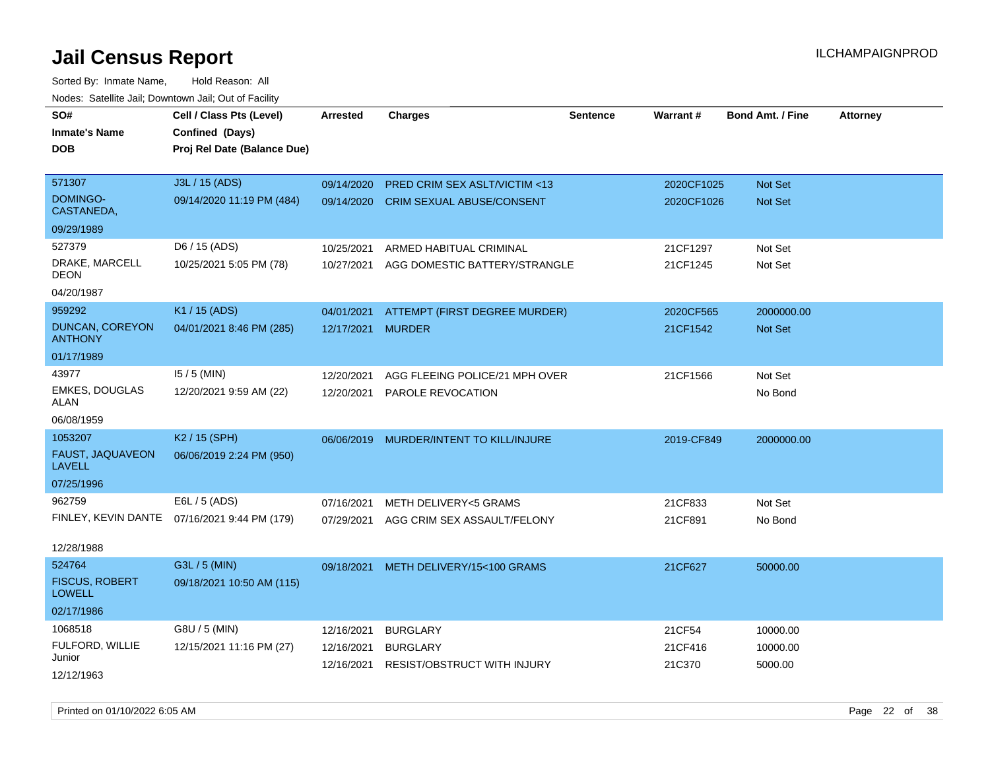| roaco. Calcinio dan, Domnomi dan, Cal or Fability |                                              |                   |                                    |                 |            |                         |                 |
|---------------------------------------------------|----------------------------------------------|-------------------|------------------------------------|-----------------|------------|-------------------------|-----------------|
| SO#                                               | Cell / Class Pts (Level)                     | <b>Arrested</b>   | <b>Charges</b>                     | <b>Sentence</b> | Warrant#   | <b>Bond Amt. / Fine</b> | <b>Attorney</b> |
| <b>Inmate's Name</b>                              | Confined (Days)                              |                   |                                    |                 |            |                         |                 |
| <b>DOB</b>                                        | Proj Rel Date (Balance Due)                  |                   |                                    |                 |            |                         |                 |
|                                                   |                                              |                   |                                    |                 |            |                         |                 |
| 571307                                            | J3L / 15 (ADS)                               | 09/14/2020        | PRED CRIM SEX ASLT/VICTIM <13      |                 | 2020CF1025 | Not Set                 |                 |
| <b>DOMINGO-</b><br>CASTANEDA,                     | 09/14/2020 11:19 PM (484)                    | 09/14/2020        | <b>CRIM SEXUAL ABUSE/CONSENT</b>   |                 | 2020CF1026 | <b>Not Set</b>          |                 |
| 09/29/1989                                        |                                              |                   |                                    |                 |            |                         |                 |
| 527379                                            | D6 / 15 (ADS)                                | 10/25/2021        | ARMED HABITUAL CRIMINAL            |                 | 21CF1297   | Not Set                 |                 |
| DRAKE, MARCELL<br>DEON                            | 10/25/2021 5:05 PM (78)                      | 10/27/2021        | AGG DOMESTIC BATTERY/STRANGLE      |                 | 21CF1245   | Not Set                 |                 |
| 04/20/1987                                        |                                              |                   |                                    |                 |            |                         |                 |
| 959292                                            | K1 / 15 (ADS)                                | 04/01/2021        | ATTEMPT (FIRST DEGREE MURDER)      |                 | 2020CF565  | 2000000.00              |                 |
| <b>DUNCAN, COREYON</b><br><b>ANTHONY</b>          | 04/01/2021 8:46 PM (285)                     | 12/17/2021 MURDER |                                    |                 | 21CF1542   | Not Set                 |                 |
| 01/17/1989                                        |                                              |                   |                                    |                 |            |                         |                 |
| 43977                                             | $15/5$ (MIN)                                 | 12/20/2021        | AGG FLEEING POLICE/21 MPH OVER     |                 | 21CF1566   | Not Set                 |                 |
| EMKES, DOUGLAS<br>ALAN                            | 12/20/2021 9:59 AM (22)                      | 12/20/2021        | PAROLE REVOCATION                  |                 |            | No Bond                 |                 |
| 06/08/1959                                        |                                              |                   |                                    |                 |            |                         |                 |
| 1053207                                           | K2 / 15 (SPH)                                | 06/06/2019        | MURDER/INTENT TO KILL/INJURE       |                 | 2019-CF849 | 2000000.00              |                 |
| FAUST, JAQUAVEON<br><b>LAVELL</b>                 | 06/06/2019 2:24 PM (950)                     |                   |                                    |                 |            |                         |                 |
| 07/25/1996                                        |                                              |                   |                                    |                 |            |                         |                 |
| 962759                                            | E6L / 5 (ADS)                                | 07/16/2021        | <b>METH DELIVERY&lt;5 GRAMS</b>    |                 | 21CF833    | Not Set                 |                 |
|                                                   | FINLEY, KEVIN DANTE 07/16/2021 9:44 PM (179) | 07/29/2021        | AGG CRIM SEX ASSAULT/FELONY        |                 | 21CF891    | No Bond                 |                 |
|                                                   |                                              |                   |                                    |                 |            |                         |                 |
| 12/28/1988                                        |                                              |                   |                                    |                 |            |                         |                 |
| 524764                                            | G3L / 5 (MIN)                                | 09/18/2021        | METH DELIVERY/15<100 GRAMS         |                 | 21CF627    | 50000.00                |                 |
| <b>FISCUS, ROBERT</b><br><b>LOWELL</b>            | 09/18/2021 10:50 AM (115)                    |                   |                                    |                 |            |                         |                 |
| 02/17/1986                                        |                                              |                   |                                    |                 |            |                         |                 |
| 1068518                                           | G8U / 5 (MIN)                                | 12/16/2021        | <b>BURGLARY</b>                    |                 | 21CF54     | 10000.00                |                 |
| FULFORD, WILLIE                                   | 12/15/2021 11:16 PM (27)                     | 12/16/2021        | <b>BURGLARY</b>                    |                 | 21CF416    | 10000.00                |                 |
| Junior                                            |                                              | 12/16/2021        | <b>RESIST/OBSTRUCT WITH INJURY</b> |                 | 21C370     | 5000.00                 |                 |
| 12/12/1963                                        |                                              |                   |                                    |                 |            |                         |                 |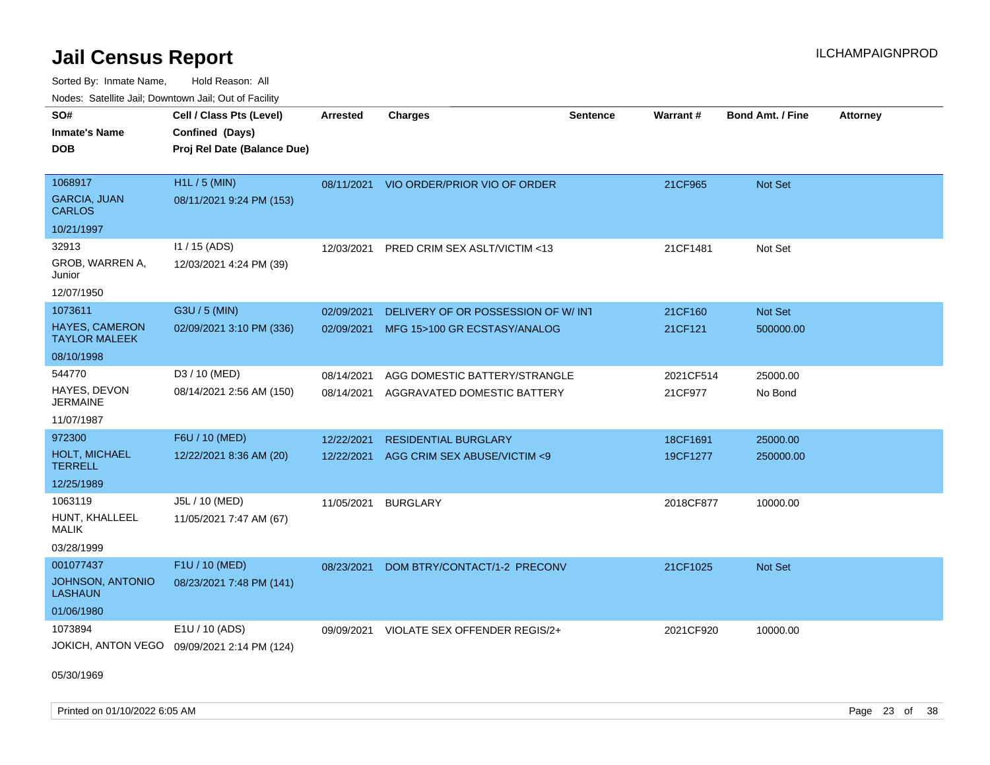Sorted By: Inmate Name, Hold Reason: All Nodes: Satellite Jail; Downtown Jail; Out of Facility

| rouco. Calcinic Jan, Downtown Jan, Out of Facility |                                             |                 |                                         |                 |                 |                         |                 |
|----------------------------------------------------|---------------------------------------------|-----------------|-----------------------------------------|-----------------|-----------------|-------------------------|-----------------|
| SO#                                                | Cell / Class Pts (Level)                    | <b>Arrested</b> | <b>Charges</b>                          | <b>Sentence</b> | <b>Warrant#</b> | <b>Bond Amt. / Fine</b> | <b>Attorney</b> |
| Inmate's Name                                      | Confined (Days)                             |                 |                                         |                 |                 |                         |                 |
| DOB                                                | Proj Rel Date (Balance Due)                 |                 |                                         |                 |                 |                         |                 |
|                                                    |                                             |                 |                                         |                 |                 |                         |                 |
| 1068917                                            | $H1L / 5$ (MIN)                             |                 | 08/11/2021 VIO ORDER/PRIOR VIO OF ORDER |                 | 21CF965         | Not Set                 |                 |
| <b>GARCIA, JUAN</b><br><b>CARLOS</b>               | 08/11/2021 9:24 PM (153)                    |                 |                                         |                 |                 |                         |                 |
| 10/21/1997                                         |                                             |                 |                                         |                 |                 |                         |                 |
| 32913                                              | $11 / 15$ (ADS)                             | 12/03/2021      | <b>PRED CRIM SEX ASLT/VICTIM &lt;13</b> |                 | 21CF1481        | Not Set                 |                 |
| GROB, WARREN A,<br>Junior                          | 12/03/2021 4:24 PM (39)                     |                 |                                         |                 |                 |                         |                 |
| 12/07/1950                                         |                                             |                 |                                         |                 |                 |                         |                 |
| 1073611                                            | G3U / 5 (MIN)                               | 02/09/2021      | DELIVERY OF OR POSSESSION OF W/INT      |                 | 21CF160         | Not Set                 |                 |
| <b>HAYES, CAMERON</b><br><b>TAYLOR MALEEK</b>      | 02/09/2021 3:10 PM (336)                    | 02/09/2021      | MFG 15>100 GR ECSTASY/ANALOG            |                 | 21CF121         | 500000.00               |                 |
| 08/10/1998                                         |                                             |                 |                                         |                 |                 |                         |                 |
| 544770                                             | D3 / 10 (MED)                               | 08/14/2021      | AGG DOMESTIC BATTERY/STRANGLE           |                 | 2021CF514       | 25000.00                |                 |
| HAYES, DEVON<br>JERMAINE                           | 08/14/2021 2:56 AM (150)                    | 08/14/2021      | AGGRAVATED DOMESTIC BATTERY             |                 | 21CF977         | No Bond                 |                 |
| 11/07/1987                                         |                                             |                 |                                         |                 |                 |                         |                 |
| 972300                                             | F6U / 10 (MED)                              | 12/22/2021      | <b>RESIDENTIAL BURGLARY</b>             |                 | 18CF1691        | 25000.00                |                 |
| <b>HOLT, MICHAEL</b><br>TERRELL                    | 12/22/2021 8:36 AM (20)                     | 12/22/2021      | AGG CRIM SEX ABUSE/VICTIM <9            |                 | 19CF1277        | 250000.00               |                 |
| 12/25/1989                                         |                                             |                 |                                         |                 |                 |                         |                 |
| 1063119                                            | J5L / 10 (MED)                              | 11/05/2021      | BURGLARY                                |                 | 2018CF877       | 10000.00                |                 |
| HUNT, KHALLEEL<br>MALIK                            | 11/05/2021 7:47 AM (67)                     |                 |                                         |                 |                 |                         |                 |
| 03/28/1999                                         |                                             |                 |                                         |                 |                 |                         |                 |
| 001077437                                          | F1U / 10 (MED)                              | 08/23/2021      | DOM BTRY/CONTACT/1-2 PRECONV            |                 | 21CF1025        | Not Set                 |                 |
| <b>JOHNSON, ANTONIO</b><br>LASHAUN                 | 08/23/2021 7:48 PM (141)                    |                 |                                         |                 |                 |                         |                 |
| 01/06/1980                                         |                                             |                 |                                         |                 |                 |                         |                 |
| 1073894                                            | E1U / 10 (ADS)                              | 09/09/2021      | VIOLATE SEX OFFENDER REGIS/2+           |                 | 2021CF920       | 10000.00                |                 |
|                                                    | JOKICH, ANTON VEGO 09/09/2021 2:14 PM (124) |                 |                                         |                 |                 |                         |                 |

05/30/1969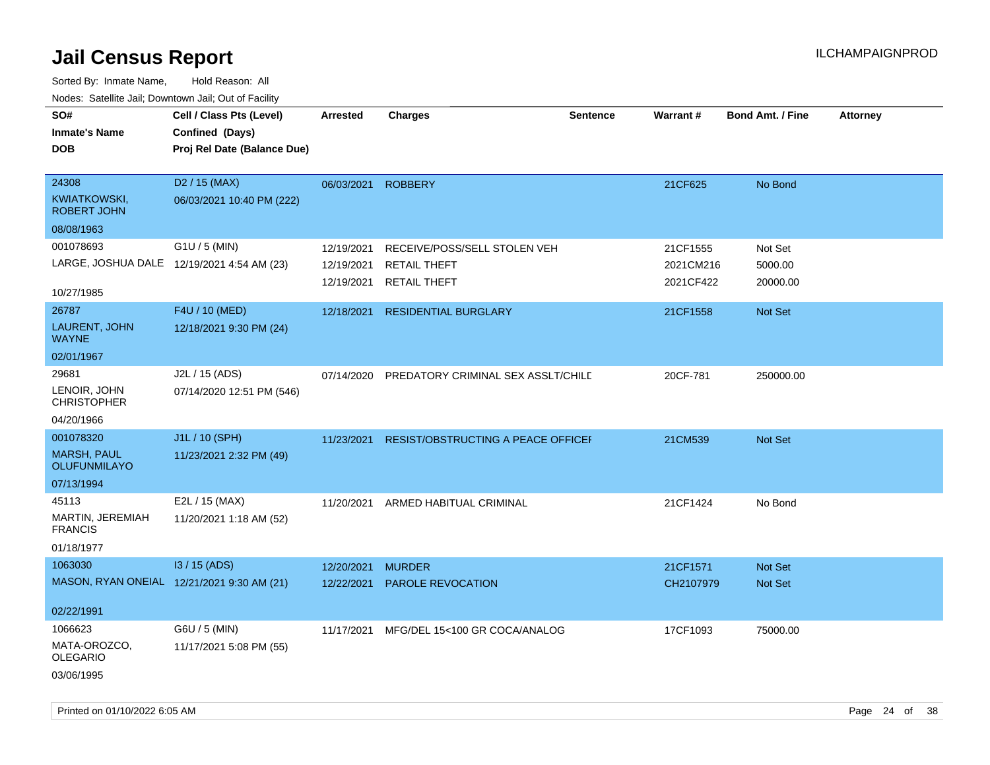| SO#<br><b>Inmate's Name</b><br><b>DOB</b>          | Cell / Class Pts (Level)<br>Confined (Days)<br>Proj Rel Date (Balance Due) | <b>Arrested</b> | <b>Charges</b>                           | <b>Sentence</b> | <b>Warrant#</b> | Bond Amt. / Fine | <b>Attorney</b> |
|----------------------------------------------------|----------------------------------------------------------------------------|-----------------|------------------------------------------|-----------------|-----------------|------------------|-----------------|
| 24308<br><b>KWIATKOWSKI,</b><br><b>ROBERT JOHN</b> | D <sub>2</sub> / 15 (MAX)<br>06/03/2021 10:40 PM (222)                     | 06/03/2021      | <b>ROBBERY</b>                           |                 | 21CF625         | No Bond          |                 |
| 08/08/1963                                         |                                                                            |                 |                                          |                 |                 |                  |                 |
| 001078693                                          | G1U / 5 (MIN)                                                              | 12/19/2021      | RECEIVE/POSS/SELL STOLEN VEH             |                 | 21CF1555        | Not Set          |                 |
|                                                    | LARGE, JOSHUA DALE 12/19/2021 4:54 AM (23)                                 | 12/19/2021      | <b>RETAIL THEFT</b>                      |                 | 2021CM216       | 5000.00          |                 |
| 10/27/1985                                         |                                                                            |                 | 12/19/2021 RETAIL THEFT                  |                 | 2021CF422       | 20000.00         |                 |
| 26787                                              | F4U / 10 (MED)                                                             | 12/18/2021      | <b>RESIDENTIAL BURGLARY</b>              |                 | 21CF1558        | Not Set          |                 |
| LAURENT, JOHN<br><b>WAYNE</b>                      | 12/18/2021 9:30 PM (24)                                                    |                 |                                          |                 |                 |                  |                 |
| 02/01/1967                                         |                                                                            |                 |                                          |                 |                 |                  |                 |
| 29681                                              | J2L / 15 (ADS)                                                             | 07/14/2020      | PREDATORY CRIMINAL SEX ASSLT/CHILD       |                 | 20CF-781        | 250000.00        |                 |
| LENOIR, JOHN<br><b>CHRISTOPHER</b>                 | 07/14/2020 12:51 PM (546)                                                  |                 |                                          |                 |                 |                  |                 |
| 04/20/1966                                         |                                                                            |                 |                                          |                 |                 |                  |                 |
| 001078320                                          | J1L / 10 (SPH)                                                             | 11/23/2021      | RESIST/OBSTRUCTING A PEACE OFFICEI       |                 | 21CM539         | Not Set          |                 |
| <b>MARSH, PAUL</b><br><b>OLUFUNMILAYO</b>          | 11/23/2021 2:32 PM (49)                                                    |                 |                                          |                 |                 |                  |                 |
| 07/13/1994                                         |                                                                            |                 |                                          |                 |                 |                  |                 |
| 45113                                              | E2L / 15 (MAX)                                                             | 11/20/2021      | ARMED HABITUAL CRIMINAL                  |                 | 21CF1424        | No Bond          |                 |
| MARTIN, JEREMIAH<br><b>FRANCIS</b>                 | 11/20/2021 1:18 AM (52)                                                    |                 |                                          |                 |                 |                  |                 |
| 01/18/1977                                         |                                                                            |                 |                                          |                 |                 |                  |                 |
| 1063030                                            | I3 / 15 (ADS)                                                              | 12/20/2021      | <b>MURDER</b>                            |                 | 21CF1571        | Not Set          |                 |
|                                                    | MASON, RYAN ONEIAL 12/21/2021 9:30 AM (21)                                 | 12/22/2021      | PAROLE REVOCATION                        |                 | CH2107979       | Not Set          |                 |
| 02/22/1991                                         |                                                                            |                 |                                          |                 |                 |                  |                 |
| 1066623                                            | G6U / 5 (MIN)                                                              |                 | 11/17/2021 MFG/DEL 15<100 GR COCA/ANALOG |                 | 17CF1093        | 75000.00         |                 |
| MATA-OROZCO,<br><b>OLEGARIO</b>                    | 11/17/2021 5:08 PM (55)                                                    |                 |                                          |                 |                 |                  |                 |
| 03/06/1995                                         |                                                                            |                 |                                          |                 |                 |                  |                 |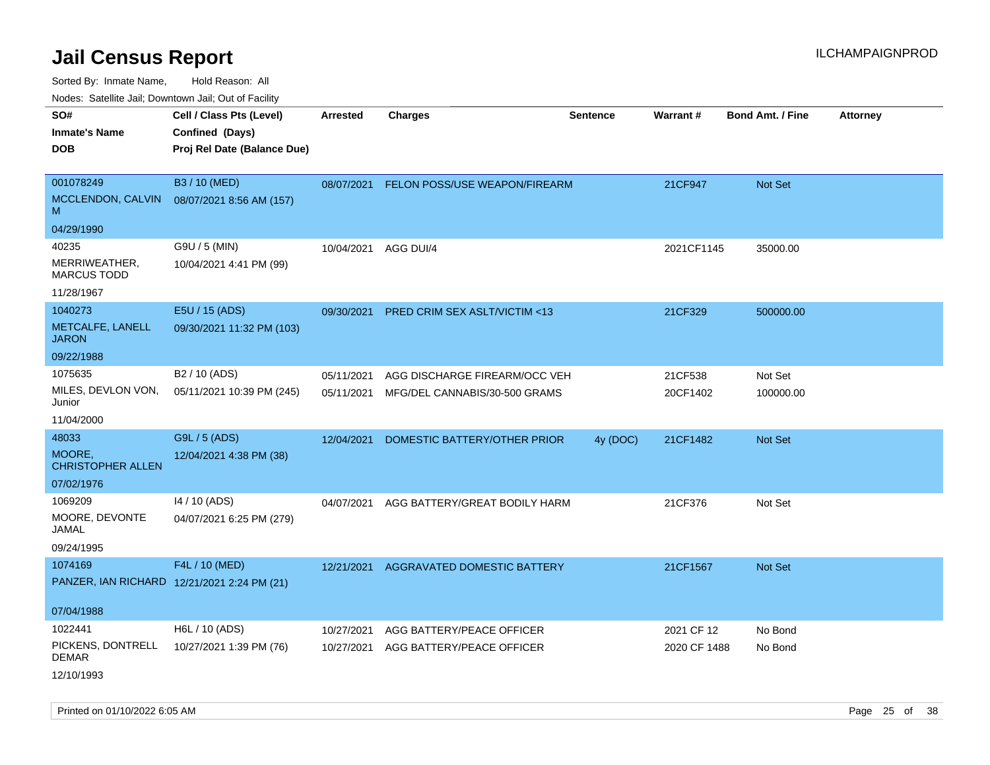Sorted By: Inmate Name, Hold Reason: All

Nodes: Satellite Jail; Downtown Jail; Out of Facility

| SO#                                 | Cell / Class Pts (Level)                    | <b>Arrested</b> | <b>Charges</b>                     | <b>Sentence</b> | <b>Warrant#</b> | <b>Bond Amt. / Fine</b> | <b>Attorney</b> |
|-------------------------------------|---------------------------------------------|-----------------|------------------------------------|-----------------|-----------------|-------------------------|-----------------|
| <b>Inmate's Name</b>                | Confined (Days)                             |                 |                                    |                 |                 |                         |                 |
| <b>DOB</b>                          | Proj Rel Date (Balance Due)                 |                 |                                    |                 |                 |                         |                 |
|                                     |                                             |                 |                                    |                 |                 |                         |                 |
| 001078249                           | B3 / 10 (MED)                               | 08/07/2021      | FELON POSS/USE WEAPON/FIREARM      |                 | 21CF947         | <b>Not Set</b>          |                 |
| MCCLENDON, CALVIN<br>M              | 08/07/2021 8:56 AM (157)                    |                 |                                    |                 |                 |                         |                 |
| 04/29/1990                          |                                             |                 |                                    |                 |                 |                         |                 |
| 40235                               | G9U / 5 (MIN)                               | 10/04/2021      | AGG DUI/4                          |                 | 2021CF1145      | 35000.00                |                 |
| MERRIWEATHER,<br><b>MARCUS TODD</b> | 10/04/2021 4:41 PM (99)                     |                 |                                    |                 |                 |                         |                 |
| 11/28/1967                          |                                             |                 |                                    |                 |                 |                         |                 |
| 1040273                             | E5U / 15 (ADS)                              | 09/30/2021      | PRED CRIM SEX ASLT/VICTIM <13      |                 | 21CF329         | 500000.00               |                 |
| METCALFE, LANELL<br><b>JARON</b>    | 09/30/2021 11:32 PM (103)                   |                 |                                    |                 |                 |                         |                 |
| 09/22/1988                          |                                             |                 |                                    |                 |                 |                         |                 |
| 1075635                             | B <sub>2</sub> / 10 (ADS)                   | 05/11/2021      | AGG DISCHARGE FIREARM/OCC VEH      |                 | 21CF538         | Not Set                 |                 |
| MILES, DEVLON VON,<br>Junior        | 05/11/2021 10:39 PM (245)                   | 05/11/2021      | MFG/DEL CANNABIS/30-500 GRAMS      |                 | 20CF1402        | 100000.00               |                 |
| 11/04/2000                          |                                             |                 |                                    |                 |                 |                         |                 |
| 48033                               | G9L / 5 (ADS)                               | 12/04/2021      | DOMESTIC BATTERY/OTHER PRIOR       | 4y (DOC)        | 21CF1482        | Not Set                 |                 |
| MOORE,<br><b>CHRISTOPHER ALLEN</b>  | 12/04/2021 4:38 PM (38)                     |                 |                                    |                 |                 |                         |                 |
| 07/02/1976                          |                                             |                 |                                    |                 |                 |                         |                 |
| 1069209                             | 14 / 10 (ADS)                               | 04/07/2021      | AGG BATTERY/GREAT BODILY HARM      |                 | 21CF376         | Not Set                 |                 |
| MOORE, DEVONTE<br>JAMAL             | 04/07/2021 6:25 PM (279)                    |                 |                                    |                 |                 |                         |                 |
| 09/24/1995                          |                                             |                 |                                    |                 |                 |                         |                 |
| 1074169                             | F4L / 10 (MED)                              | 12/21/2021      | <b>AGGRAVATED DOMESTIC BATTERY</b> |                 | 21CF1567        | <b>Not Set</b>          |                 |
|                                     | PANZER, IAN RICHARD 12/21/2021 2:24 PM (21) |                 |                                    |                 |                 |                         |                 |
| 07/04/1988                          |                                             |                 |                                    |                 |                 |                         |                 |
| 1022441                             | H6L / 10 (ADS)                              | 10/27/2021      | AGG BATTERY/PEACE OFFICER          |                 | 2021 CF 12      | No Bond                 |                 |
| PICKENS, DONTRELL<br><b>DEMAR</b>   | 10/27/2021 1:39 PM (76)                     | 10/27/2021      | AGG BATTERY/PEACE OFFICER          |                 | 2020 CF 1488    | No Bond                 |                 |
| 12/10/1993                          |                                             |                 |                                    |                 |                 |                         |                 |

Printed on 01/10/2022 6:05 AM Page 25 of 38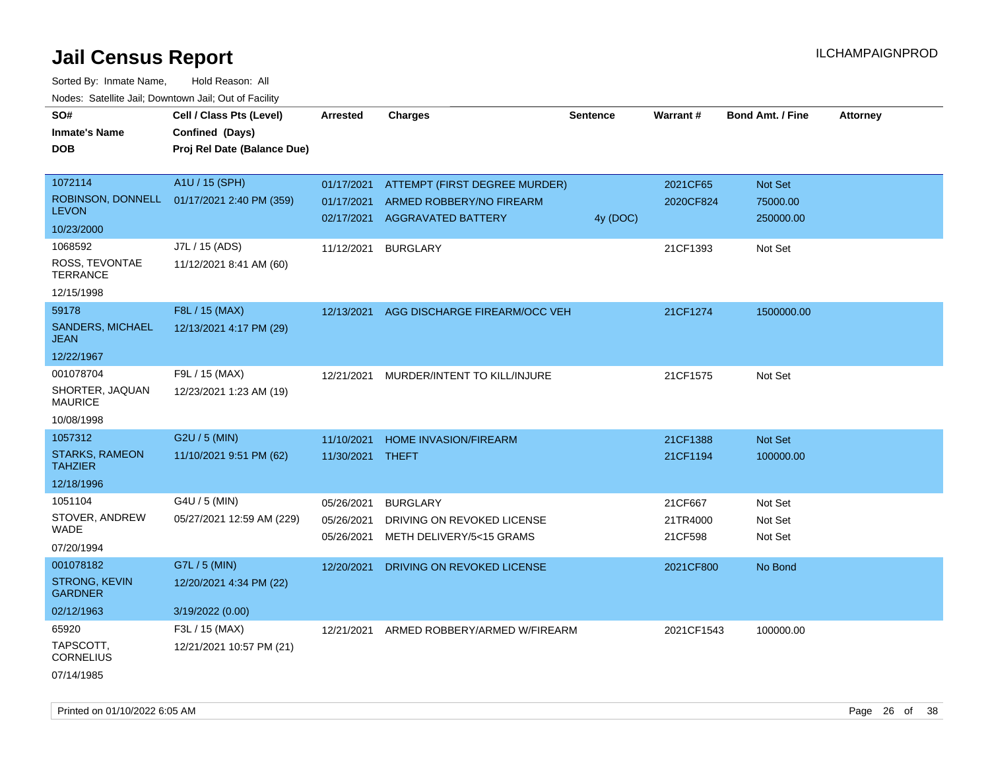| SO#                                     |                             |                 |                               |                 | Warrant#   | <b>Bond Amt. / Fine</b> |                 |
|-----------------------------------------|-----------------------------|-----------------|-------------------------------|-----------------|------------|-------------------------|-----------------|
|                                         | Cell / Class Pts (Level)    | <b>Arrested</b> | <b>Charges</b>                | <b>Sentence</b> |            |                         | <b>Attorney</b> |
| <b>Inmate's Name</b>                    | Confined (Days)             |                 |                               |                 |            |                         |                 |
| DOB                                     | Proj Rel Date (Balance Due) |                 |                               |                 |            |                         |                 |
| 1072114                                 | A1U / 15 (SPH)              | 01/17/2021      | ATTEMPT (FIRST DEGREE MURDER) |                 | 2021CF65   | Not Set                 |                 |
| ROBINSON, DONNELL                       | 01/17/2021 2:40 PM (359)    | 01/17/2021      | ARMED ROBBERY/NO FIREARM      |                 | 2020CF824  | 75000.00                |                 |
| <b>LEVON</b>                            |                             | 02/17/2021      | <b>AGGRAVATED BATTERY</b>     | 4y (DOC)        |            | 250000.00               |                 |
| 10/23/2000                              |                             |                 |                               |                 |            |                         |                 |
| 1068592                                 | J7L / 15 (ADS)              | 11/12/2021      | <b>BURGLARY</b>               |                 | 21CF1393   | Not Set                 |                 |
| ROSS, TEVONTAE<br><b>TERRANCE</b>       | 11/12/2021 8:41 AM (60)     |                 |                               |                 |            |                         |                 |
| 12/15/1998                              |                             |                 |                               |                 |            |                         |                 |
| 59178                                   | F8L / 15 (MAX)              | 12/13/2021      | AGG DISCHARGE FIREARM/OCC VEH |                 | 21CF1274   | 1500000.00              |                 |
| SANDERS, MICHAEL<br><b>JEAN</b>         | 12/13/2021 4:17 PM (29)     |                 |                               |                 |            |                         |                 |
| 12/22/1967                              |                             |                 |                               |                 |            |                         |                 |
| 001078704                               | F9L / 15 (MAX)              | 12/21/2021      | MURDER/INTENT TO KILL/INJURE  |                 | 21CF1575   | Not Set                 |                 |
| SHORTER, JAQUAN<br><b>MAURICE</b>       | 12/23/2021 1:23 AM (19)     |                 |                               |                 |            |                         |                 |
| 10/08/1998                              |                             |                 |                               |                 |            |                         |                 |
| 1057312                                 | G2U / 5 (MIN)               | 11/10/2021      | <b>HOME INVASION/FIREARM</b>  |                 | 21CF1388   | Not Set                 |                 |
| <b>STARKS, RAMEON</b><br><b>TAHZIER</b> | 11/10/2021 9:51 PM (62)     | 11/30/2021      | THEFT                         |                 | 21CF1194   | 100000.00               |                 |
| 12/18/1996                              |                             |                 |                               |                 |            |                         |                 |
| 1051104                                 | G4U / 5 (MIN)               | 05/26/2021      | <b>BURGLARY</b>               |                 | 21CF667    | Not Set                 |                 |
| STOVER, ANDREW                          | 05/27/2021 12:59 AM (229)   | 05/26/2021      | DRIVING ON REVOKED LICENSE    |                 | 21TR4000   | Not Set                 |                 |
| WADE                                    |                             | 05/26/2021      | METH DELIVERY/5<15 GRAMS      |                 | 21CF598    | Not Set                 |                 |
| 07/20/1994                              |                             |                 |                               |                 |            |                         |                 |
| 001078182                               | G7L / 5 (MIN)               | 12/20/2021      | DRIVING ON REVOKED LICENSE    |                 | 2021CF800  | No Bond                 |                 |
| STRONG, KEVIN<br><b>GARDNER</b>         | 12/20/2021 4:34 PM (22)     |                 |                               |                 |            |                         |                 |
| 02/12/1963                              | 3/19/2022 (0.00)            |                 |                               |                 |            |                         |                 |
| 65920                                   | F3L / 15 (MAX)              | 12/21/2021      | ARMED ROBBERY/ARMED W/FIREARM |                 | 2021CF1543 | 100000.00               |                 |
| TAPSCOTT,<br>CORNELIUS                  | 12/21/2021 10:57 PM (21)    |                 |                               |                 |            |                         |                 |
| 07/14/1985                              |                             |                 |                               |                 |            |                         |                 |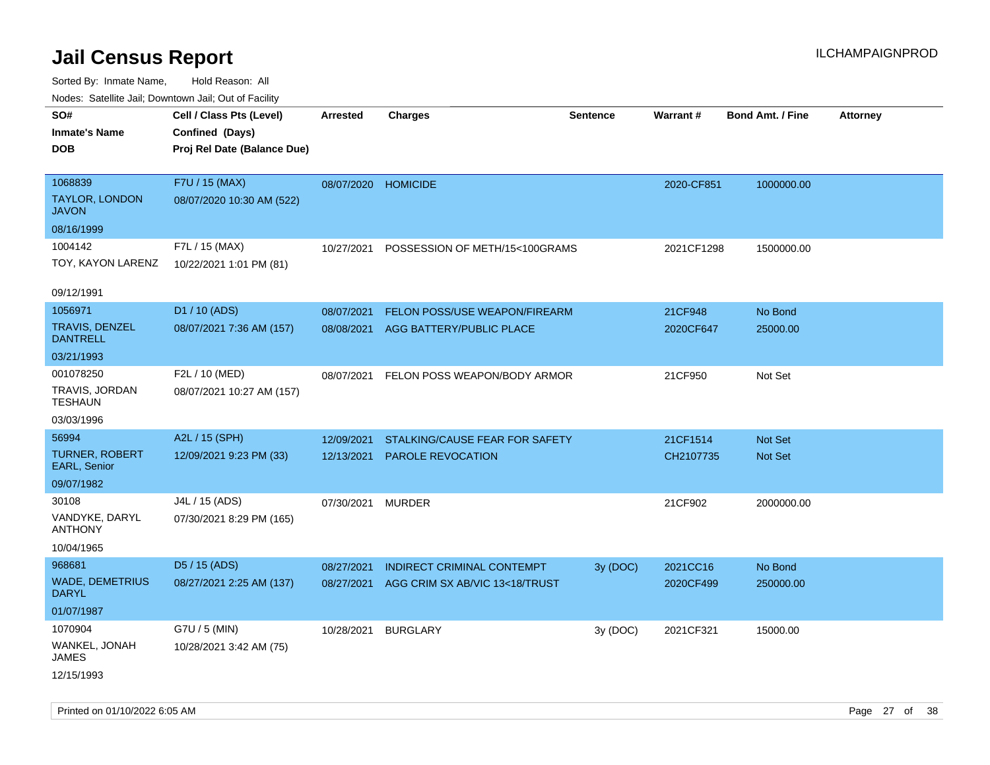| ivuutos. Saltiilit Jall, Duwilluwii Jall, Oul of Facility |                             |                     |                                |                 |                 |                         |                 |
|-----------------------------------------------------------|-----------------------------|---------------------|--------------------------------|-----------------|-----------------|-------------------------|-----------------|
| SO#                                                       | Cell / Class Pts (Level)    | Arrested            | <b>Charges</b>                 | <b>Sentence</b> | <b>Warrant#</b> | <b>Bond Amt. / Fine</b> | <b>Attorney</b> |
| <b>Inmate's Name</b>                                      | Confined (Days)             |                     |                                |                 |                 |                         |                 |
| DOB                                                       | Proj Rel Date (Balance Due) |                     |                                |                 |                 |                         |                 |
|                                                           |                             |                     |                                |                 |                 |                         |                 |
| 1068839                                                   | F7U / 15 (MAX)              | 08/07/2020 HOMICIDE |                                |                 | 2020-CF851      | 1000000.00              |                 |
| <b>TAYLOR, LONDON</b><br><b>JAVON</b>                     | 08/07/2020 10:30 AM (522)   |                     |                                |                 |                 |                         |                 |
| 08/16/1999                                                |                             |                     |                                |                 |                 |                         |                 |
| 1004142                                                   | F7L / 15 (MAX)              | 10/27/2021          | POSSESSION OF METH/15<100GRAMS |                 | 2021CF1298      | 1500000.00              |                 |
| TOY, KAYON LARENZ                                         | 10/22/2021 1:01 PM (81)     |                     |                                |                 |                 |                         |                 |
| 09/12/1991                                                |                             |                     |                                |                 |                 |                         |                 |
| 1056971                                                   | D1 / 10 (ADS)               | 08/07/2021          | FELON POSS/USE WEAPON/FIREARM  |                 | 21CF948         | No Bond                 |                 |
| <b>TRAVIS, DENZEL</b>                                     | 08/07/2021 7:36 AM (157)    | 08/08/2021          | AGG BATTERY/PUBLIC PLACE       |                 | 2020CF647       | 25000.00                |                 |
| <b>DANTRELL</b>                                           |                             |                     |                                |                 |                 |                         |                 |
| 03/21/1993                                                |                             |                     |                                |                 |                 |                         |                 |
| 001078250                                                 | F2L / 10 (MED)              | 08/07/2021          | FELON POSS WEAPON/BODY ARMOR   |                 | 21CF950         | Not Set                 |                 |
| TRAVIS, JORDAN<br><b>TESHAUN</b>                          | 08/07/2021 10:27 AM (157)   |                     |                                |                 |                 |                         |                 |
| 03/03/1996                                                |                             |                     |                                |                 |                 |                         |                 |
| 56994                                                     | A2L / 15 (SPH)              | 12/09/2021          | STALKING/CAUSE FEAR FOR SAFETY |                 | 21CF1514        | <b>Not Set</b>          |                 |
| <b>TURNER, ROBERT</b><br><b>EARL, Senior</b>              | 12/09/2021 9:23 PM (33)     | 12/13/2021          | <b>PAROLE REVOCATION</b>       |                 | CH2107735       | <b>Not Set</b>          |                 |
| 09/07/1982                                                |                             |                     |                                |                 |                 |                         |                 |
| 30108                                                     | J4L / 15 (ADS)              | 07/30/2021          | MURDER                         |                 | 21CF902         | 2000000.00              |                 |
| VANDYKE, DARYL<br><b>ANTHONY</b>                          | 07/30/2021 8:29 PM (165)    |                     |                                |                 |                 |                         |                 |
| 10/04/1965                                                |                             |                     |                                |                 |                 |                         |                 |
| 968681                                                    | D5 / 15 (ADS)               | 08/27/2021          | INDIRECT CRIMINAL CONTEMPT     | 3y (DOC)        | 2021CC16        | No Bond                 |                 |
| <b>WADE, DEMETRIUS</b><br><b>DARYL</b>                    | 08/27/2021 2:25 AM (137)    | 08/27/2021          | AGG CRIM SX AB/VIC 13<18/TRUST |                 | 2020CF499       | 250000.00               |                 |
| 01/07/1987                                                |                             |                     |                                |                 |                 |                         |                 |
| 1070904                                                   | G7U / 5 (MIN)               | 10/28/2021          | <b>BURGLARY</b>                | 3y (DOC)        | 2021CF321       | 15000.00                |                 |
| WANKEL, JONAH<br>JAMES                                    | 10/28/2021 3:42 AM (75)     |                     |                                |                 |                 |                         |                 |
| 12/15/1993                                                |                             |                     |                                |                 |                 |                         |                 |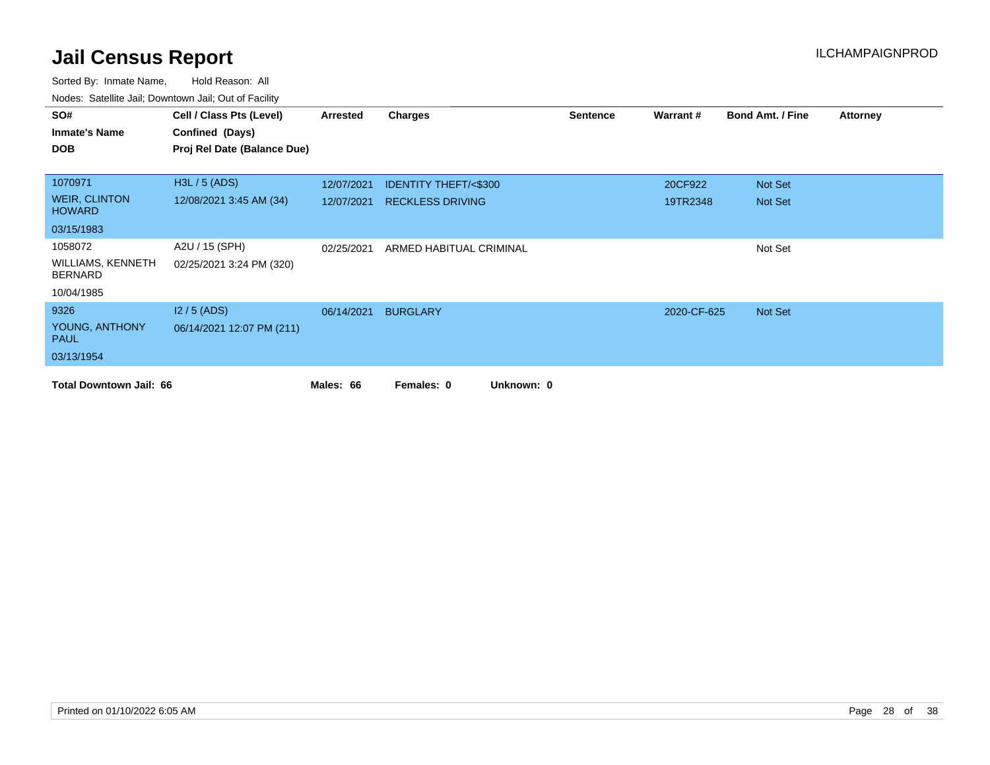| SO#                                        | Cell / Class Pts (Level)    | Arrested   | <b>Charges</b>                  | <b>Sentence</b> | Warrant#    | <b>Bond Amt. / Fine</b> | <b>Attorney</b> |
|--------------------------------------------|-----------------------------|------------|---------------------------------|-----------------|-------------|-------------------------|-----------------|
| <b>Inmate's Name</b>                       | Confined (Days)             |            |                                 |                 |             |                         |                 |
| <b>DOB</b>                                 | Proj Rel Date (Balance Due) |            |                                 |                 |             |                         |                 |
|                                            |                             |            |                                 |                 |             |                         |                 |
| 1070971                                    | H3L / 5 (ADS)               | 12/07/2021 | <b>IDENTITY THEFT/&lt;\$300</b> |                 | 20CF922     | Not Set                 |                 |
| <b>WEIR, CLINTON</b><br><b>HOWARD</b>      | 12/08/2021 3:45 AM (34)     | 12/07/2021 | <b>RECKLESS DRIVING</b>         |                 | 19TR2348    | Not Set                 |                 |
| 03/15/1983                                 |                             |            |                                 |                 |             |                         |                 |
| 1058072                                    | A2U / 15 (SPH)              | 02/25/2021 | ARMED HABITUAL CRIMINAL         |                 |             | Not Set                 |                 |
| <b>WILLIAMS, KENNETH</b><br><b>BERNARD</b> | 02/25/2021 3:24 PM (320)    |            |                                 |                 |             |                         |                 |
| 10/04/1985                                 |                             |            |                                 |                 |             |                         |                 |
| 9326                                       | $12/5$ (ADS)                | 06/14/2021 | <b>BURGLARY</b>                 |                 | 2020-CF-625 | Not Set                 |                 |
| YOUNG, ANTHONY<br><b>PAUL</b>              | 06/14/2021 12:07 PM (211)   |            |                                 |                 |             |                         |                 |
| 03/13/1954                                 |                             |            |                                 |                 |             |                         |                 |
| <b>Total Downtown Jail: 66</b>             |                             | Males: 66  | Unknown: 0<br>Females: 0        |                 |             |                         |                 |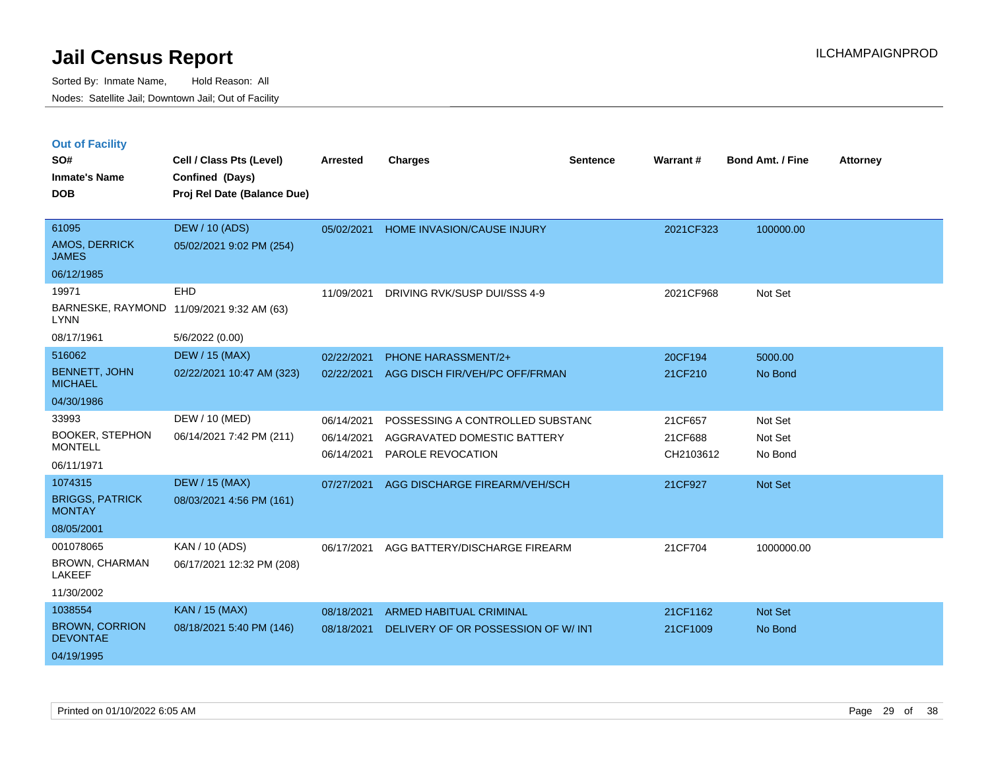|  | <b>Out of Facility</b> |
|--|------------------------|
|  |                        |

| 61095<br><b>DEW / 10 (ADS)</b><br>2021CF323<br>100000.00<br>05/02/2021<br>HOME INVASION/CAUSE INJURY<br><b>AMOS, DERRICK</b><br>05/02/2021 9:02 PM (254)<br><b>JAMES</b><br>06/12/1985<br>19971<br>EHD<br>11/09/2021<br>DRIVING RVK/SUSP DUI/SSS 4-9<br>2021CF968<br>Not Set<br>BARNESKE, RAYMOND 11/09/2021 9:32 AM (63)<br><b>LYNN</b><br>08/17/1961<br>5/6/2022 (0.00)<br>516062<br><b>DEW / 15 (MAX)</b><br><b>PHONE HARASSMENT/2+</b><br>20CF194<br>5000.00<br>02/22/2021<br><b>BENNETT, JOHN</b><br>02/22/2021 10:47 AM (323)<br>AGG DISCH FIR/VEH/PC OFF/FRMAN<br>02/22/2021<br>21CF210<br>No Bond<br><b>MICHAEL</b><br>04/30/1986<br>33993<br>DEW / 10 (MED)<br>06/14/2021<br>POSSESSING A CONTROLLED SUBSTAND<br>21CF657<br>Not Set<br><b>BOOKER, STEPHON</b><br>06/14/2021 7:42 PM (211)<br>06/14/2021<br>AGGRAVATED DOMESTIC BATTERY<br>21CF688<br>Not Set<br><b>MONTELL</b><br>06/14/2021<br>PAROLE REVOCATION<br>CH2103612<br>No Bond<br>06/11/1971<br>1074315<br><b>DEW / 15 (MAX)</b><br>Not Set<br>07/27/2021<br>AGG DISCHARGE FIREARM/VEH/SCH<br>21CF927<br><b>BRIGGS, PATRICK</b><br>08/03/2021 4:56 PM (161)<br><b>MONTAY</b><br>08/05/2001<br>001078065<br>KAN / 10 (ADS)<br>06/17/2021<br>AGG BATTERY/DISCHARGE FIREARM<br>21CF704<br>1000000.00<br><b>BROWN, CHARMAN</b><br>06/17/2021 12:32 PM (208)<br><b>LAKEEF</b><br>11/30/2002<br>1038554<br><b>KAN / 15 (MAX)</b><br>ARMED HABITUAL CRIMINAL<br>21CF1162<br>Not Set<br>08/18/2021<br><b>BROWN, CORRION</b><br>08/18/2021 5:40 PM (146)<br>08/18/2021<br>DELIVERY OF OR POSSESSION OF W/ INT<br>21CF1009<br>No Bond<br><b>DEVONTAE</b><br>04/19/1995 | SO#<br><b>Inmate's Name</b><br><b>DOB</b> | Cell / Class Pts (Level)<br>Confined (Days)<br>Proj Rel Date (Balance Due) | <b>Arrested</b> | <b>Charges</b> | <b>Sentence</b> | Warrant# | Bond Amt. / Fine | <b>Attorney</b> |
|----------------------------------------------------------------------------------------------------------------------------------------------------------------------------------------------------------------------------------------------------------------------------------------------------------------------------------------------------------------------------------------------------------------------------------------------------------------------------------------------------------------------------------------------------------------------------------------------------------------------------------------------------------------------------------------------------------------------------------------------------------------------------------------------------------------------------------------------------------------------------------------------------------------------------------------------------------------------------------------------------------------------------------------------------------------------------------------------------------------------------------------------------------------------------------------------------------------------------------------------------------------------------------------------------------------------------------------------------------------------------------------------------------------------------------------------------------------------------------------------------------------------------------------------------------------------------------------------------------------------------------|-------------------------------------------|----------------------------------------------------------------------------|-----------------|----------------|-----------------|----------|------------------|-----------------|
|                                                                                                                                                                                                                                                                                                                                                                                                                                                                                                                                                                                                                                                                                                                                                                                                                                                                                                                                                                                                                                                                                                                                                                                                                                                                                                                                                                                                                                                                                                                                                                                                                                  |                                           |                                                                            |                 |                |                 |          |                  |                 |
|                                                                                                                                                                                                                                                                                                                                                                                                                                                                                                                                                                                                                                                                                                                                                                                                                                                                                                                                                                                                                                                                                                                                                                                                                                                                                                                                                                                                                                                                                                                                                                                                                                  |                                           |                                                                            |                 |                |                 |          |                  |                 |
|                                                                                                                                                                                                                                                                                                                                                                                                                                                                                                                                                                                                                                                                                                                                                                                                                                                                                                                                                                                                                                                                                                                                                                                                                                                                                                                                                                                                                                                                                                                                                                                                                                  |                                           |                                                                            |                 |                |                 |          |                  |                 |
|                                                                                                                                                                                                                                                                                                                                                                                                                                                                                                                                                                                                                                                                                                                                                                                                                                                                                                                                                                                                                                                                                                                                                                                                                                                                                                                                                                                                                                                                                                                                                                                                                                  |                                           |                                                                            |                 |                |                 |          |                  |                 |
|                                                                                                                                                                                                                                                                                                                                                                                                                                                                                                                                                                                                                                                                                                                                                                                                                                                                                                                                                                                                                                                                                                                                                                                                                                                                                                                                                                                                                                                                                                                                                                                                                                  |                                           |                                                                            |                 |                |                 |          |                  |                 |
|                                                                                                                                                                                                                                                                                                                                                                                                                                                                                                                                                                                                                                                                                                                                                                                                                                                                                                                                                                                                                                                                                                                                                                                                                                                                                                                                                                                                                                                                                                                                                                                                                                  |                                           |                                                                            |                 |                |                 |          |                  |                 |
|                                                                                                                                                                                                                                                                                                                                                                                                                                                                                                                                                                                                                                                                                                                                                                                                                                                                                                                                                                                                                                                                                                                                                                                                                                                                                                                                                                                                                                                                                                                                                                                                                                  |                                           |                                                                            |                 |                |                 |          |                  |                 |
|                                                                                                                                                                                                                                                                                                                                                                                                                                                                                                                                                                                                                                                                                                                                                                                                                                                                                                                                                                                                                                                                                                                                                                                                                                                                                                                                                                                                                                                                                                                                                                                                                                  |                                           |                                                                            |                 |                |                 |          |                  |                 |
|                                                                                                                                                                                                                                                                                                                                                                                                                                                                                                                                                                                                                                                                                                                                                                                                                                                                                                                                                                                                                                                                                                                                                                                                                                                                                                                                                                                                                                                                                                                                                                                                                                  |                                           |                                                                            |                 |                |                 |          |                  |                 |
|                                                                                                                                                                                                                                                                                                                                                                                                                                                                                                                                                                                                                                                                                                                                                                                                                                                                                                                                                                                                                                                                                                                                                                                                                                                                                                                                                                                                                                                                                                                                                                                                                                  |                                           |                                                                            |                 |                |                 |          |                  |                 |
|                                                                                                                                                                                                                                                                                                                                                                                                                                                                                                                                                                                                                                                                                                                                                                                                                                                                                                                                                                                                                                                                                                                                                                                                                                                                                                                                                                                                                                                                                                                                                                                                                                  |                                           |                                                                            |                 |                |                 |          |                  |                 |
|                                                                                                                                                                                                                                                                                                                                                                                                                                                                                                                                                                                                                                                                                                                                                                                                                                                                                                                                                                                                                                                                                                                                                                                                                                                                                                                                                                                                                                                                                                                                                                                                                                  |                                           |                                                                            |                 |                |                 |          |                  |                 |
|                                                                                                                                                                                                                                                                                                                                                                                                                                                                                                                                                                                                                                                                                                                                                                                                                                                                                                                                                                                                                                                                                                                                                                                                                                                                                                                                                                                                                                                                                                                                                                                                                                  |                                           |                                                                            |                 |                |                 |          |                  |                 |
|                                                                                                                                                                                                                                                                                                                                                                                                                                                                                                                                                                                                                                                                                                                                                                                                                                                                                                                                                                                                                                                                                                                                                                                                                                                                                                                                                                                                                                                                                                                                                                                                                                  |                                           |                                                                            |                 |                |                 |          |                  |                 |
|                                                                                                                                                                                                                                                                                                                                                                                                                                                                                                                                                                                                                                                                                                                                                                                                                                                                                                                                                                                                                                                                                                                                                                                                                                                                                                                                                                                                                                                                                                                                                                                                                                  |                                           |                                                                            |                 |                |                 |          |                  |                 |
|                                                                                                                                                                                                                                                                                                                                                                                                                                                                                                                                                                                                                                                                                                                                                                                                                                                                                                                                                                                                                                                                                                                                                                                                                                                                                                                                                                                                                                                                                                                                                                                                                                  |                                           |                                                                            |                 |                |                 |          |                  |                 |
|                                                                                                                                                                                                                                                                                                                                                                                                                                                                                                                                                                                                                                                                                                                                                                                                                                                                                                                                                                                                                                                                                                                                                                                                                                                                                                                                                                                                                                                                                                                                                                                                                                  |                                           |                                                                            |                 |                |                 |          |                  |                 |
|                                                                                                                                                                                                                                                                                                                                                                                                                                                                                                                                                                                                                                                                                                                                                                                                                                                                                                                                                                                                                                                                                                                                                                                                                                                                                                                                                                                                                                                                                                                                                                                                                                  |                                           |                                                                            |                 |                |                 |          |                  |                 |
|                                                                                                                                                                                                                                                                                                                                                                                                                                                                                                                                                                                                                                                                                                                                                                                                                                                                                                                                                                                                                                                                                                                                                                                                                                                                                                                                                                                                                                                                                                                                                                                                                                  |                                           |                                                                            |                 |                |                 |          |                  |                 |
|                                                                                                                                                                                                                                                                                                                                                                                                                                                                                                                                                                                                                                                                                                                                                                                                                                                                                                                                                                                                                                                                                                                                                                                                                                                                                                                                                                                                                                                                                                                                                                                                                                  |                                           |                                                                            |                 |                |                 |          |                  |                 |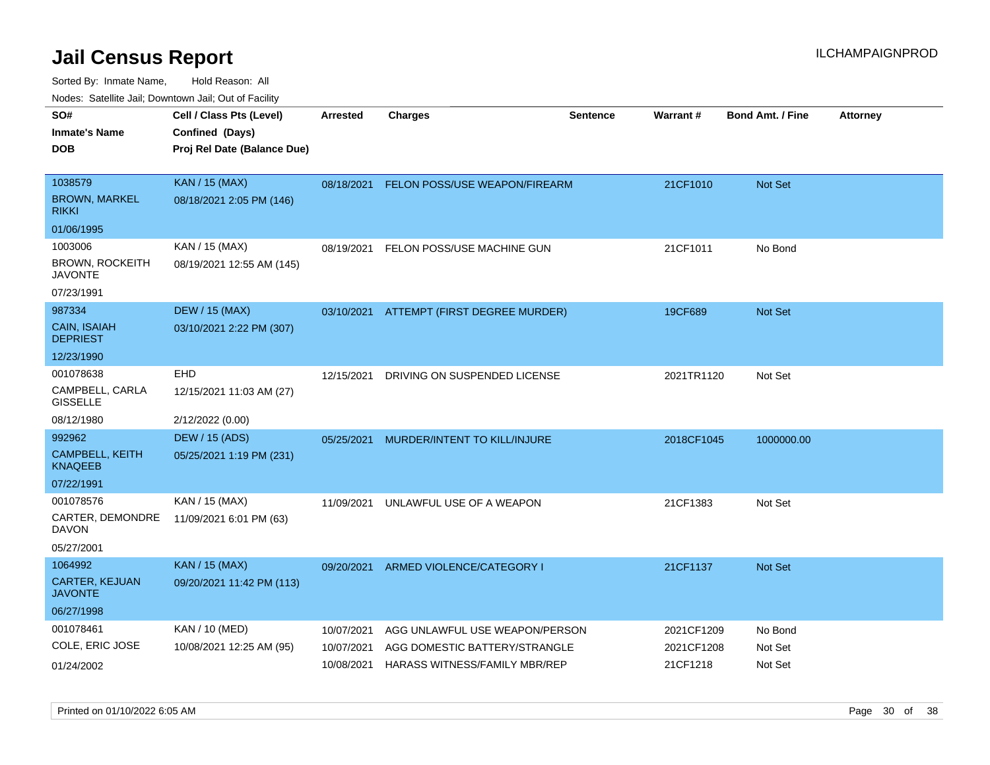| ivouss. Satellite Jali, Downtown Jali, Out of Facility |                             |                 |                                          |                 |            |                         |                 |
|--------------------------------------------------------|-----------------------------|-----------------|------------------------------------------|-----------------|------------|-------------------------|-----------------|
| SO#                                                    | Cell / Class Pts (Level)    | <b>Arrested</b> | <b>Charges</b>                           | <b>Sentence</b> | Warrant#   | <b>Bond Amt. / Fine</b> | <b>Attorney</b> |
| Inmate's Name                                          | Confined (Days)             |                 |                                          |                 |            |                         |                 |
| DOB                                                    | Proj Rel Date (Balance Due) |                 |                                          |                 |            |                         |                 |
|                                                        |                             |                 |                                          |                 |            |                         |                 |
| 1038579                                                | <b>KAN / 15 (MAX)</b>       | 08/18/2021      | FELON POSS/USE WEAPON/FIREARM            |                 | 21CF1010   | <b>Not Set</b>          |                 |
| BROWN, MARKEL<br>rikki                                 | 08/18/2021 2:05 PM (146)    |                 |                                          |                 |            |                         |                 |
| 01/06/1995                                             |                             |                 |                                          |                 |            |                         |                 |
| 1003006                                                | KAN / 15 (MAX)              | 08/19/2021      | FELON POSS/USE MACHINE GUN               |                 | 21CF1011   | No Bond                 |                 |
| BROWN, ROCKEITH<br><b>JAVONTE</b>                      | 08/19/2021 12:55 AM (145)   |                 |                                          |                 |            |                         |                 |
| 07/23/1991                                             |                             |                 |                                          |                 |            |                         |                 |
| 987334                                                 | <b>DEW / 15 (MAX)</b>       |                 | 03/10/2021 ATTEMPT (FIRST DEGREE MURDER) |                 | 19CF689    | <b>Not Set</b>          |                 |
| <b>CAIN, ISAIAH</b><br><b>DEPRIEST</b>                 | 03/10/2021 2:22 PM (307)    |                 |                                          |                 |            |                         |                 |
| 12/23/1990                                             |                             |                 |                                          |                 |            |                         |                 |
| 001078638                                              | <b>EHD</b>                  | 12/15/2021      | DRIVING ON SUSPENDED LICENSE             |                 | 2021TR1120 | Not Set                 |                 |
| CAMPBELL, CARLA<br>GISSELLE                            | 12/15/2021 11:03 AM (27)    |                 |                                          |                 |            |                         |                 |
| 08/12/1980                                             | 2/12/2022 (0.00)            |                 |                                          |                 |            |                         |                 |
| 992962                                                 | <b>DEW / 15 (ADS)</b>       | 05/25/2021      | MURDER/INTENT TO KILL/INJURE             |                 | 2018CF1045 | 1000000.00              |                 |
| CAMPBELL, KEITH<br>KNAQEEB                             | 05/25/2021 1:19 PM (231)    |                 |                                          |                 |            |                         |                 |
| 07/22/1991                                             |                             |                 |                                          |                 |            |                         |                 |
| 001078576                                              | KAN / 15 (MAX)              | 11/09/2021      | UNLAWFUL USE OF A WEAPON                 |                 | 21CF1383   | Not Set                 |                 |
| CARTER, DEMONDRE<br>DAVON                              | 11/09/2021 6:01 PM (63)     |                 |                                          |                 |            |                         |                 |
| 05/27/2001                                             |                             |                 |                                          |                 |            |                         |                 |
| 1064992                                                | <b>KAN / 15 (MAX)</b>       | 09/20/2021      | ARMED VIOLENCE/CATEGORY I                |                 | 21CF1137   | Not Set                 |                 |
| CARTER, KEJUAN<br>JAVONTE                              | 09/20/2021 11:42 PM (113)   |                 |                                          |                 |            |                         |                 |
| 06/27/1998                                             |                             |                 |                                          |                 |            |                         |                 |
| 001078461                                              | KAN / 10 (MED)              | 10/07/2021      | AGG UNLAWFUL USE WEAPON/PERSON           |                 | 2021CF1209 | No Bond                 |                 |
| COLE, ERIC JOSE                                        | 10/08/2021 12:25 AM (95)    | 10/07/2021      | AGG DOMESTIC BATTERY/STRANGLE            |                 | 2021CF1208 | Not Set                 |                 |
| 01/24/2002                                             |                             | 10/08/2021      | HARASS WITNESS/FAMILY MBR/REP            |                 | 21CF1218   | Not Set                 |                 |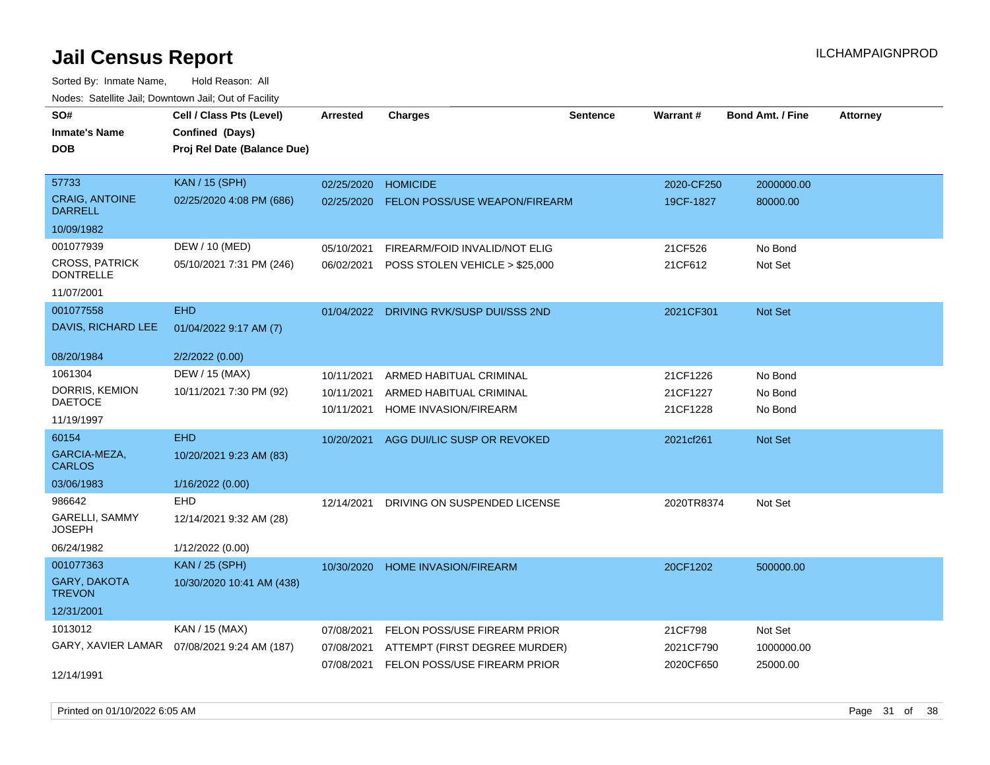| rouce. Calcillic Jali, Downtown Jali, Out of Facility |                                              |                 |                                         |                 |            |                         |                 |
|-------------------------------------------------------|----------------------------------------------|-----------------|-----------------------------------------|-----------------|------------|-------------------------|-----------------|
| SO#                                                   | Cell / Class Pts (Level)                     | <b>Arrested</b> | <b>Charges</b>                          | <b>Sentence</b> | Warrant#   | <b>Bond Amt. / Fine</b> | <b>Attorney</b> |
| <b>Inmate's Name</b>                                  | Confined (Days)                              |                 |                                         |                 |            |                         |                 |
| <b>DOB</b>                                            | Proj Rel Date (Balance Due)                  |                 |                                         |                 |            |                         |                 |
|                                                       |                                              |                 |                                         |                 |            |                         |                 |
| 57733                                                 | <b>KAN / 15 (SPH)</b>                        | 02/25/2020      | <b>HOMICIDE</b>                         |                 | 2020-CF250 | 2000000.00              |                 |
| <b>CRAIG, ANTOINE</b><br><b>DARRELL</b>               | 02/25/2020 4:08 PM (686)                     | 02/25/2020      | <b>FELON POSS/USE WEAPON/FIREARM</b>    |                 | 19CF-1827  | 80000.00                |                 |
| 10/09/1982                                            |                                              |                 |                                         |                 |            |                         |                 |
| 001077939                                             | DEW / 10 (MED)                               | 05/10/2021      | FIREARM/FOID INVALID/NOT ELIG           |                 | 21CF526    | No Bond                 |                 |
| <b>CROSS, PATRICK</b><br><b>DONTRELLE</b>             | 05/10/2021 7:31 PM (246)                     | 06/02/2021      | POSS STOLEN VEHICLE > \$25,000          |                 | 21CF612    | Not Set                 |                 |
| 11/07/2001                                            |                                              |                 |                                         |                 |            |                         |                 |
| 001077558                                             | <b>EHD</b>                                   |                 | 01/04/2022 DRIVING RVK/SUSP DUI/SSS 2ND |                 | 2021CF301  | Not Set                 |                 |
| DAVIS, RICHARD LEE                                    | 01/04/2022 9:17 AM (7)                       |                 |                                         |                 |            |                         |                 |
| 08/20/1984                                            | 2/2/2022 (0.00)                              |                 |                                         |                 |            |                         |                 |
| 1061304                                               | DEW / 15 (MAX)                               | 10/11/2021      | ARMED HABITUAL CRIMINAL                 |                 | 21CF1226   | No Bond                 |                 |
| DORRIS, KEMION                                        | 10/11/2021 7:30 PM (92)                      | 10/11/2021      | ARMED HABITUAL CRIMINAL                 |                 | 21CF1227   | No Bond                 |                 |
| <b>DAETOCE</b>                                        |                                              | 10/11/2021      | HOME INVASION/FIREARM                   |                 | 21CF1228   | No Bond                 |                 |
| 11/19/1997                                            |                                              |                 |                                         |                 |            |                         |                 |
| 60154                                                 | <b>EHD</b>                                   | 10/20/2021      | AGG DUI/LIC SUSP OR REVOKED             |                 | 2021cf261  | Not Set                 |                 |
| GARCIA-MEZA,<br><b>CARLOS</b>                         | 10/20/2021 9:23 AM (83)                      |                 |                                         |                 |            |                         |                 |
| 03/06/1983                                            | 1/16/2022 (0.00)                             |                 |                                         |                 |            |                         |                 |
| 986642                                                | EHD                                          | 12/14/2021      | DRIVING ON SUSPENDED LICENSE            |                 | 2020TR8374 | Not Set                 |                 |
| GARELLI, SAMMY<br><b>JOSEPH</b>                       | 12/14/2021 9:32 AM (28)                      |                 |                                         |                 |            |                         |                 |
| 06/24/1982                                            | 1/12/2022 (0.00)                             |                 |                                         |                 |            |                         |                 |
| 001077363                                             | <b>KAN / 25 (SPH)</b>                        | 10/30/2020      | <b>HOME INVASION/FIREARM</b>            |                 | 20CF1202   | 500000.00               |                 |
| <b>GARY, DAKOTA</b><br><b>TREVON</b>                  | 10/30/2020 10:41 AM (438)                    |                 |                                         |                 |            |                         |                 |
| 12/31/2001                                            |                                              |                 |                                         |                 |            |                         |                 |
| 1013012                                               | KAN / 15 (MAX)                               | 07/08/2021      | FELON POSS/USE FIREARM PRIOR            |                 | 21CF798    | Not Set                 |                 |
|                                                       | GARY, XAVIER LAMAR  07/08/2021 9:24 AM (187) | 07/08/2021      | ATTEMPT (FIRST DEGREE MURDER)           |                 | 2021CF790  | 1000000.00              |                 |
|                                                       |                                              | 07/08/2021      | FELON POSS/USE FIREARM PRIOR            |                 | 2020CF650  | 25000.00                |                 |
| 12/14/1991                                            |                                              |                 |                                         |                 |            |                         |                 |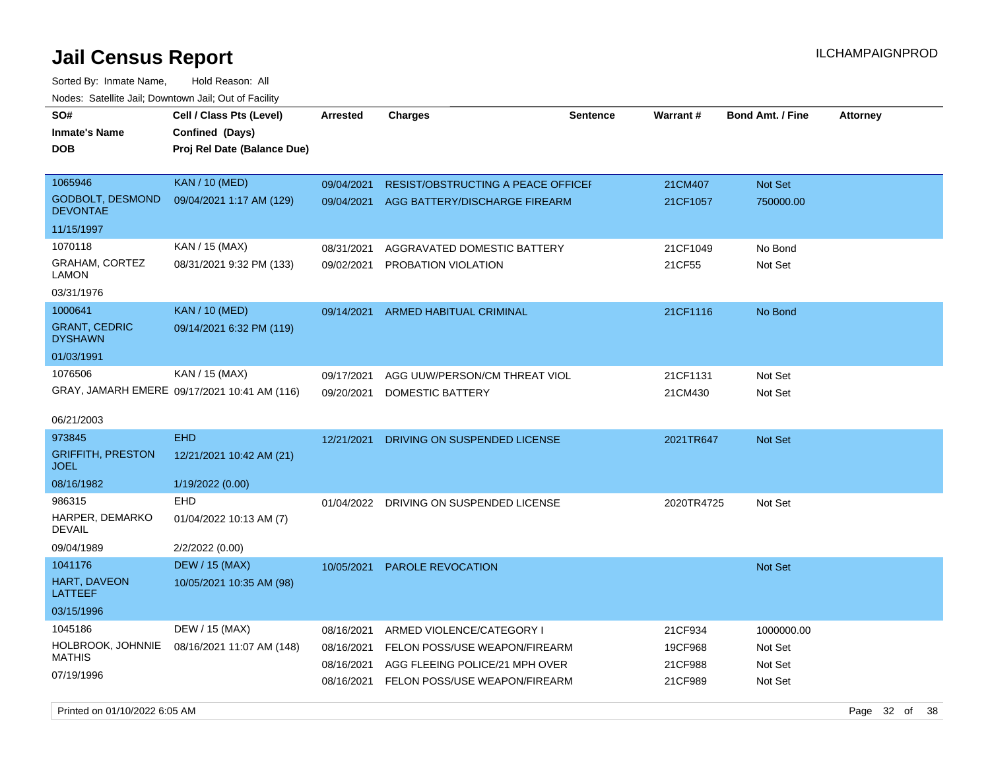| roaco. Odichile Jan, Downtown Jan, Out of Facility |                                                                            |                 |                                                                            |                 |            |                         |                 |
|----------------------------------------------------|----------------------------------------------------------------------------|-----------------|----------------------------------------------------------------------------|-----------------|------------|-------------------------|-----------------|
| SO#<br><b>Inmate's Name</b><br><b>DOB</b>          | Cell / Class Pts (Level)<br>Confined (Days)<br>Proj Rel Date (Balance Due) | <b>Arrested</b> | <b>Charges</b>                                                             | <b>Sentence</b> | Warrant#   | <b>Bond Amt. / Fine</b> | <b>Attorney</b> |
| 1065946                                            | <b>KAN / 10 (MED)</b>                                                      | 09/04/2021      |                                                                            |                 | 21CM407    |                         |                 |
| <b>GODBOLT, DESMOND</b><br><b>DEVONTAE</b>         | 09/04/2021 1:17 AM (129)                                                   | 09/04/2021      | <b>RESIST/OBSTRUCTING A PEACE OFFICEF</b><br>AGG BATTERY/DISCHARGE FIREARM |                 | 21CF1057   | Not Set<br>750000.00    |                 |
| 11/15/1997                                         |                                                                            |                 |                                                                            |                 |            |                         |                 |
| 1070118                                            | KAN / 15 (MAX)                                                             | 08/31/2021      | AGGRAVATED DOMESTIC BATTERY                                                |                 | 21CF1049   | No Bond                 |                 |
| <b>GRAHAM, CORTEZ</b><br><b>LAMON</b>              | 08/31/2021 9:32 PM (133)                                                   | 09/02/2021      | PROBATION VIOLATION                                                        |                 | 21CF55     | Not Set                 |                 |
| 03/31/1976                                         |                                                                            |                 |                                                                            |                 |            |                         |                 |
| 1000641                                            | <b>KAN</b> / 10 (MED)                                                      | 09/14/2021      | ARMED HABITUAL CRIMINAL                                                    |                 | 21CF1116   | No Bond                 |                 |
| <b>GRANT, CEDRIC</b><br><b>DYSHAWN</b>             | 09/14/2021 6:32 PM (119)                                                   |                 |                                                                            |                 |            |                         |                 |
| 01/03/1991                                         |                                                                            |                 |                                                                            |                 |            |                         |                 |
| 1076506                                            | KAN / 15 (MAX)                                                             | 09/17/2021      | AGG UUW/PERSON/CM THREAT VIOL                                              |                 | 21CF1131   | Not Set                 |                 |
|                                                    | GRAY, JAMARH EMERE 09/17/2021 10:41 AM (116)                               | 09/20/2021      | DOMESTIC BATTERY                                                           |                 | 21CM430    | Not Set                 |                 |
| 06/21/2003                                         |                                                                            |                 |                                                                            |                 |            |                         |                 |
| 973845                                             | <b>EHD</b>                                                                 | 12/21/2021      | DRIVING ON SUSPENDED LICENSE                                               |                 | 2021TR647  | Not Set                 |                 |
| <b>GRIFFITH, PRESTON</b><br><b>JOEL</b>            | 12/21/2021 10:42 AM (21)                                                   |                 |                                                                            |                 |            |                         |                 |
| 08/16/1982                                         | 1/19/2022 (0.00)                                                           |                 |                                                                            |                 |            |                         |                 |
| 986315                                             | <b>EHD</b>                                                                 | 01/04/2022      | DRIVING ON SUSPENDED LICENSE                                               |                 | 2020TR4725 | Not Set                 |                 |
| HARPER, DEMARKO<br><b>DEVAIL</b>                   | 01/04/2022 10:13 AM (7)                                                    |                 |                                                                            |                 |            |                         |                 |
| 09/04/1989                                         | 2/2/2022 (0.00)                                                            |                 |                                                                            |                 |            |                         |                 |
| 1041176                                            | <b>DEW / 15 (MAX)</b>                                                      | 10/05/2021      | <b>PAROLE REVOCATION</b>                                                   |                 |            | <b>Not Set</b>          |                 |
| HART, DAVEON<br>LATTEEF                            | 10/05/2021 10:35 AM (98)                                                   |                 |                                                                            |                 |            |                         |                 |
| 03/15/1996                                         |                                                                            |                 |                                                                            |                 |            |                         |                 |
| 1045186                                            | DEW / 15 (MAX)                                                             | 08/16/2021      | ARMED VIOLENCE/CATEGORY I                                                  |                 | 21CF934    | 1000000.00              |                 |
| HOLBROOK, JOHNNIE                                  | 08/16/2021 11:07 AM (148)                                                  | 08/16/2021      | FELON POSS/USE WEAPON/FIREARM                                              |                 | 19CF968    | Not Set                 |                 |
| MATHIS                                             |                                                                            | 08/16/2021      | AGG FLEEING POLICE/21 MPH OVER                                             |                 | 21CF988    | Not Set                 |                 |
| 07/19/1996                                         |                                                                            | 08/16/2021      | FELON POSS/USE WEAPON/FIREARM                                              |                 | 21CF989    | Not Set                 |                 |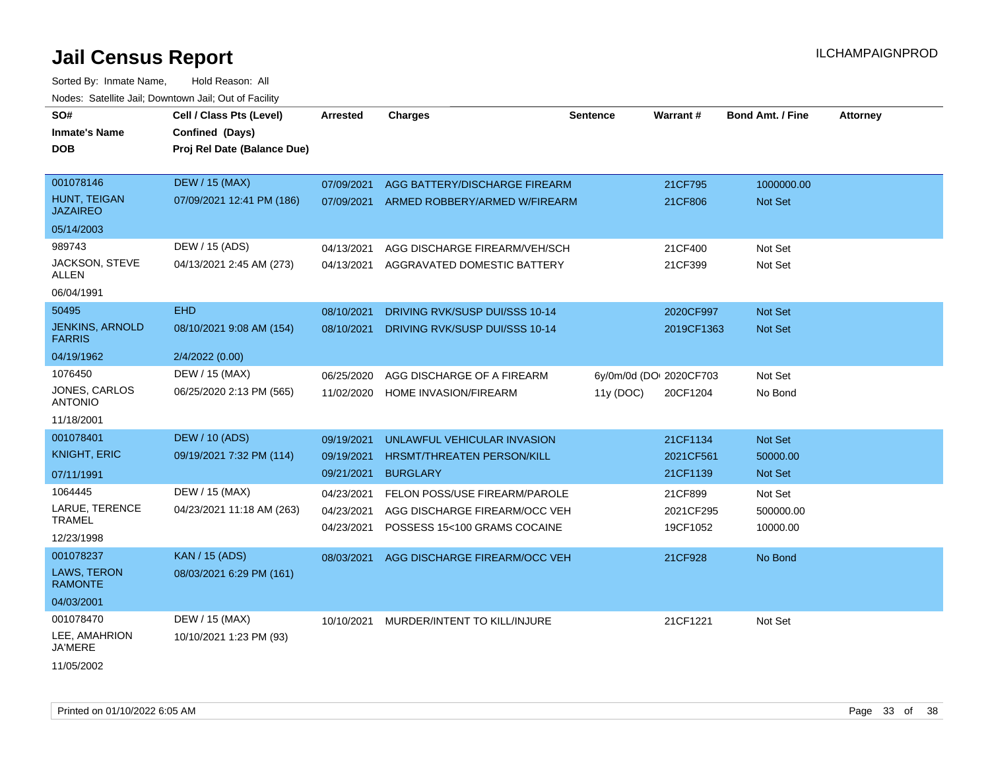| SO#<br><b>Inmate's Name</b><br><b>DOB</b> | Cell / Class Pts (Level)<br>Confined (Days)<br>Proj Rel Date (Balance Due) | Arrested   | <b>Charges</b>                       | <b>Sentence</b> | <b>Warrant#</b>         | <b>Bond Amt. / Fine</b> | Attorney |
|-------------------------------------------|----------------------------------------------------------------------------|------------|--------------------------------------|-----------------|-------------------------|-------------------------|----------|
| 001078146                                 | <b>DEW / 15 (MAX)</b>                                                      | 07/09/2021 | AGG BATTERY/DISCHARGE FIREARM        |                 | 21CF795                 | 1000000.00              |          |
| HUNT, TEIGAN<br><b>JAZAIREO</b>           | 07/09/2021 12:41 PM (186)                                                  | 07/09/2021 | ARMED ROBBERY/ARMED W/FIREARM        |                 | 21CF806                 | <b>Not Set</b>          |          |
| 05/14/2003                                |                                                                            |            |                                      |                 |                         |                         |          |
| 989743                                    | DEW / 15 (ADS)                                                             | 04/13/2021 | AGG DISCHARGE FIREARM/VEH/SCH        |                 | 21CF400                 | Not Set                 |          |
| JACKSON, STEVE<br>ALLEN                   | 04/13/2021 2:45 AM (273)                                                   | 04/13/2021 | AGGRAVATED DOMESTIC BATTERY          |                 | 21CF399                 | Not Set                 |          |
| 06/04/1991                                |                                                                            |            |                                      |                 |                         |                         |          |
| 50495                                     | <b>EHD</b>                                                                 | 08/10/2021 | DRIVING RVK/SUSP DUI/SSS 10-14       |                 | 2020CF997               | <b>Not Set</b>          |          |
| <b>JENKINS, ARNOLD</b><br><b>FARRIS</b>   | 08/10/2021 9:08 AM (154)                                                   | 08/10/2021 | DRIVING RVK/SUSP DUI/SSS 10-14       |                 | 2019CF1363              | Not Set                 |          |
| 04/19/1962                                | 2/4/2022 (0.00)                                                            |            |                                      |                 |                         |                         |          |
| 1076450                                   | DEW / 15 (MAX)                                                             | 06/25/2020 | AGG DISCHARGE OF A FIREARM           |                 | 6y/0m/0d (DOI 2020CF703 | Not Set                 |          |
| JONES, CARLOS<br><b>ANTONIO</b>           | 06/25/2020 2:13 PM (565)                                                   | 11/02/2020 | HOME INVASION/FIREARM                | 11y (DOC)       | 20CF1204                | No Bond                 |          |
| 11/18/2001                                |                                                                            |            |                                      |                 |                         |                         |          |
| 001078401                                 | <b>DEW / 10 (ADS)</b>                                                      | 09/19/2021 | UNLAWFUL VEHICULAR INVASION          |                 | 21CF1134                | Not Set                 |          |
| <b>KNIGHT, ERIC</b>                       | 09/19/2021 7:32 PM (114)                                                   | 09/19/2021 | HRSMT/THREATEN PERSON/KILL           |                 | 2021CF561               | 50000.00                |          |
| 07/11/1991                                |                                                                            | 09/21/2021 | <b>BURGLARY</b>                      |                 | 21CF1139                | Not Set                 |          |
| 1064445                                   | DEW / 15 (MAX)                                                             | 04/23/2021 | <b>FELON POSS/USE FIREARM/PAROLE</b> |                 | 21CF899                 | Not Set                 |          |
| LARUE, TERENCE                            | 04/23/2021 11:18 AM (263)                                                  | 04/23/2021 | AGG DISCHARGE FIREARM/OCC VEH        |                 | 2021CF295               | 500000.00               |          |
| <b>TRAMEL</b><br>12/23/1998               |                                                                            | 04/23/2021 | POSSESS 15<100 GRAMS COCAINE         |                 | 19CF1052                | 10000.00                |          |
| 001078237                                 | <b>KAN / 15 (ADS)</b>                                                      | 08/03/2021 | AGG DISCHARGE FIREARM/OCC VEH        |                 | 21CF928                 | No Bond                 |          |
| LAWS, TERON<br><b>RAMONTE</b>             | 08/03/2021 6:29 PM (161)                                                   |            |                                      |                 |                         |                         |          |
| 04/03/2001                                |                                                                            |            |                                      |                 |                         |                         |          |
| 001078470                                 | DEW / 15 (MAX)                                                             | 10/10/2021 | MURDER/INTENT TO KILL/INJURE         |                 | 21CF1221                | Not Set                 |          |
| LEE, AMAHRION<br>JA'MERE                  | 10/10/2021 1:23 PM (93)                                                    |            |                                      |                 |                         |                         |          |
| 11/05/2002                                |                                                                            |            |                                      |                 |                         |                         |          |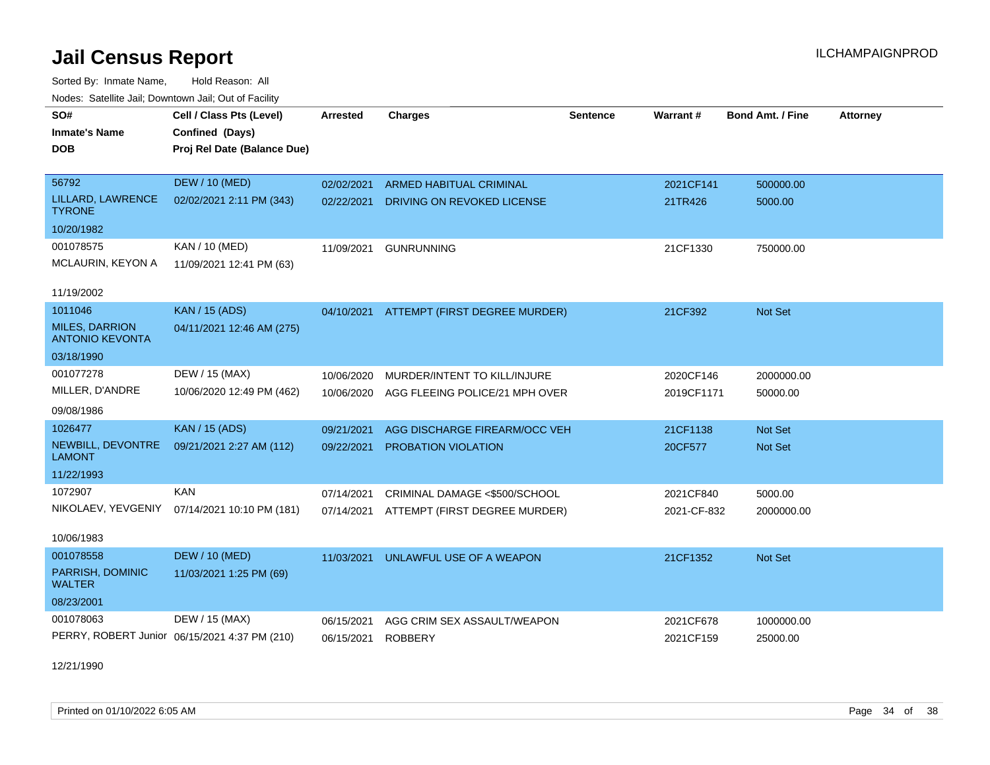Sorted By: Inmate Name, Hold Reason: All Nodes: Satellite Jail; Downtown Jail; Out of Facility

| SO#<br><b>Inmate's Name</b><br><b>DOB</b>                                              | Cell / Class Pts (Level)<br>Confined (Days)<br>Proj Rel Date (Balance Due) | <b>Arrested</b>          | <b>Charges</b>                                                            | <b>Sentence</b> | <b>Warrant#</b>          | <b>Bond Amt. / Fine</b> | <b>Attorney</b> |
|----------------------------------------------------------------------------------------|----------------------------------------------------------------------------|--------------------------|---------------------------------------------------------------------------|-----------------|--------------------------|-------------------------|-----------------|
| 56792<br>LILLARD, LAWRENCE<br><b>TYRONE</b>                                            | <b>DEW / 10 (MED)</b><br>02/02/2021 2:11 PM (343)                          | 02/02/2021<br>02/22/2021 | <b>ARMED HABITUAL CRIMINAL</b><br>DRIVING ON REVOKED LICENSE              |                 | 2021CF141<br>21TR426     | 500000.00<br>5000.00    |                 |
| 10/20/1982<br>001078575<br>MCLAURIN, KEYON A                                           | KAN / 10 (MED)<br>11/09/2021 12:41 PM (63)                                 | 11/09/2021               | <b>GUNRUNNING</b>                                                         |                 | 21CF1330                 | 750000.00               |                 |
| 11/19/2002<br>1011046<br><b>MILES, DARRION</b><br><b>ANTONIO KEVONTA</b><br>03/18/1990 | <b>KAN / 15 (ADS)</b><br>04/11/2021 12:46 AM (275)                         | 04/10/2021               | ATTEMPT (FIRST DEGREE MURDER)                                             |                 | 21CF392                  | <b>Not Set</b>          |                 |
| 001077278<br>MILLER, D'ANDRE<br>09/08/1986                                             | DEW / 15 (MAX)<br>10/06/2020 12:49 PM (462)                                | 10/06/2020<br>10/06/2020 | MURDER/INTENT TO KILL/INJURE<br>AGG FLEEING POLICE/21 MPH OVER            |                 | 2020CF146<br>2019CF1171  | 2000000.00<br>50000.00  |                 |
| 1026477<br>NEWBILL, DEVONTRE<br><b>LAMONT</b><br>11/22/1993                            | <b>KAN / 15 (ADS)</b><br>09/21/2021 2:27 AM (112)                          | 09/21/2021<br>09/22/2021 | AGG DISCHARGE FIREARM/OCC VEH<br>PROBATION VIOLATION                      |                 | 21CF1138<br>20CF577      | Not Set<br>Not Set      |                 |
| 1072907<br>NIKOLAEV, YEVGENIY<br>10/06/1983                                            | <b>KAN</b><br>07/14/2021 10:10 PM (181)                                    | 07/14/2021               | CRIMINAL DAMAGE <\$500/SCHOOL<br>07/14/2021 ATTEMPT (FIRST DEGREE MURDER) |                 | 2021CF840<br>2021-CF-832 | 5000.00<br>2000000.00   |                 |
| 001078558<br>PARRISH, DOMINIC<br><b>WALTER</b><br>08/23/2001                           | <b>DEW / 10 (MED)</b><br>11/03/2021 1:25 PM (69)                           | 11/03/2021               | UNLAWFUL USE OF A WEAPON                                                  |                 | 21CF1352                 | Not Set                 |                 |
| 001078063                                                                              | DEW / 15 (MAX)<br>PERRY, ROBERT Junior 06/15/2021 4:37 PM (210)            | 06/15/2021<br>06/15/2021 | AGG CRIM SEX ASSAULT/WEAPON<br><b>ROBBERY</b>                             |                 | 2021CF678<br>2021CF159   | 1000000.00<br>25000.00  |                 |

12/21/1990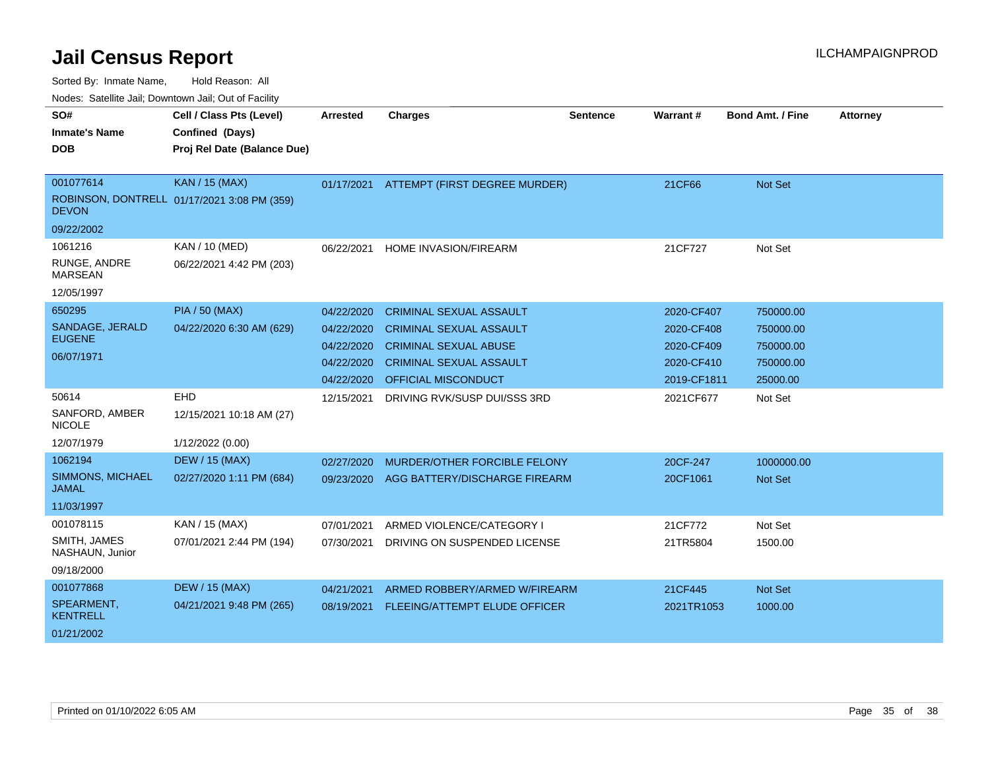| SO#                              | Cell / Class Pts (Level)                    | <b>Arrested</b> | <b>Charges</b>                 | <b>Sentence</b> | <b>Warrant#</b> | <b>Bond Amt. / Fine</b> | <b>Attorney</b> |
|----------------------------------|---------------------------------------------|-----------------|--------------------------------|-----------------|-----------------|-------------------------|-----------------|
| <b>Inmate's Name</b>             | Confined (Days)                             |                 |                                |                 |                 |                         |                 |
| <b>DOB</b>                       | Proj Rel Date (Balance Due)                 |                 |                                |                 |                 |                         |                 |
|                                  |                                             |                 |                                |                 |                 |                         |                 |
| 001077614                        | KAN / 15 (MAX)                              | 01/17/2021      | ATTEMPT (FIRST DEGREE MURDER)  |                 | 21CF66          | Not Set                 |                 |
| <b>DEVON</b>                     | ROBINSON, DONTRELL 01/17/2021 3:08 PM (359) |                 |                                |                 |                 |                         |                 |
| 09/22/2002                       |                                             |                 |                                |                 |                 |                         |                 |
| 1061216                          | KAN / 10 (MED)                              | 06/22/2021      | <b>HOME INVASION/FIREARM</b>   |                 | 21CF727         | Not Set                 |                 |
| RUNGE, ANDRE<br><b>MARSEAN</b>   | 06/22/2021 4:42 PM (203)                    |                 |                                |                 |                 |                         |                 |
| 12/05/1997                       |                                             |                 |                                |                 |                 |                         |                 |
| 650295                           | <b>PIA / 50 (MAX)</b>                       | 04/22/2020      | <b>CRIMINAL SEXUAL ASSAULT</b> |                 | 2020-CF407      | 750000.00               |                 |
| SANDAGE, JERALD                  | 04/22/2020 6:30 AM (629)                    | 04/22/2020      | <b>CRIMINAL SEXUAL ASSAULT</b> |                 | 2020-CF408      | 750000.00               |                 |
| <b>EUGENE</b>                    |                                             | 04/22/2020      | <b>CRIMINAL SEXUAL ABUSE</b>   |                 | 2020-CF409      | 750000.00               |                 |
| 06/07/1971                       |                                             | 04/22/2020      | <b>CRIMINAL SEXUAL ASSAULT</b> |                 | 2020-CF410      | 750000.00               |                 |
|                                  |                                             | 04/22/2020      | OFFICIAL MISCONDUCT            |                 | 2019-CF1811     | 25000.00                |                 |
| 50614                            | EHD                                         | 12/15/2021      | DRIVING RVK/SUSP DUI/SSS 3RD   |                 | 2021CF677       | Not Set                 |                 |
| SANFORD, AMBER<br><b>NICOLE</b>  | 12/15/2021 10:18 AM (27)                    |                 |                                |                 |                 |                         |                 |
| 12/07/1979                       | 1/12/2022 (0.00)                            |                 |                                |                 |                 |                         |                 |
| 1062194                          | <b>DEW / 15 (MAX)</b>                       | 02/27/2020      | MURDER/OTHER FORCIBLE FELONY   |                 | 20CF-247        | 1000000.00              |                 |
| SIMMONS, MICHAEL<br><b>JAMAL</b> | 02/27/2020 1:11 PM (684)                    | 09/23/2020      | AGG BATTERY/DISCHARGE FIREARM  |                 | 20CF1061        | <b>Not Set</b>          |                 |
| 11/03/1997                       |                                             |                 |                                |                 |                 |                         |                 |
| 001078115                        | KAN / 15 (MAX)                              | 07/01/2021      | ARMED VIOLENCE/CATEGORY I      |                 | 21CF772         | Not Set                 |                 |
| SMITH, JAMES<br>NASHAUN, Junior  | 07/01/2021 2:44 PM (194)                    | 07/30/2021      | DRIVING ON SUSPENDED LICENSE   |                 | 21TR5804        | 1500.00                 |                 |
| 09/18/2000                       |                                             |                 |                                |                 |                 |                         |                 |
| 001077868                        | <b>DEW / 15 (MAX)</b>                       | 04/21/2021      | ARMED ROBBERY/ARMED W/FIREARM  |                 | 21CF445         | <b>Not Set</b>          |                 |
| SPEARMENT.<br><b>KENTRELL</b>    | 04/21/2021 9:48 PM (265)                    | 08/19/2021      | FLEEING/ATTEMPT ELUDE OFFICER  |                 | 2021TR1053      | 1000.00                 |                 |
| 01/21/2002                       |                                             |                 |                                |                 |                 |                         |                 |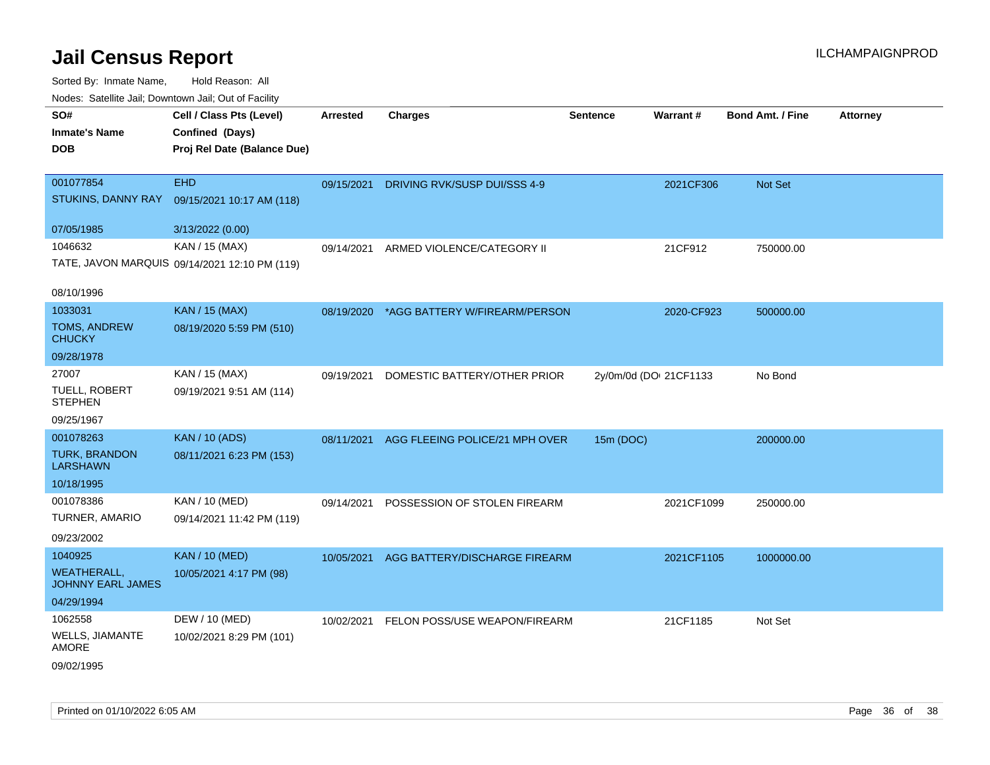| ivuuto. Galeinle Jan, Downlown Jan, Oul of Facility |                                               |                 |                                |                        |            |                         |                 |
|-----------------------------------------------------|-----------------------------------------------|-----------------|--------------------------------|------------------------|------------|-------------------------|-----------------|
| SO#                                                 | Cell / Class Pts (Level)                      | <b>Arrested</b> | <b>Charges</b>                 | <b>Sentence</b>        | Warrant#   | <b>Bond Amt. / Fine</b> | <b>Attorney</b> |
| <b>Inmate's Name</b>                                | Confined (Days)                               |                 |                                |                        |            |                         |                 |
| <b>DOB</b>                                          | Proj Rel Date (Balance Due)                   |                 |                                |                        |            |                         |                 |
|                                                     |                                               |                 |                                |                        |            |                         |                 |
| 001077854                                           | <b>EHD</b>                                    | 09/15/2021      | DRIVING RVK/SUSP DUI/SSS 4-9   |                        | 2021CF306  | Not Set                 |                 |
| STUKINS, DANNY RAY                                  | 09/15/2021 10:17 AM (118)                     |                 |                                |                        |            |                         |                 |
| 07/05/1985                                          | 3/13/2022 (0.00)                              |                 |                                |                        |            |                         |                 |
| 1046632                                             | KAN / 15 (MAX)                                | 09/14/2021      | ARMED VIOLENCE/CATEGORY II     |                        | 21CF912    | 750000.00               |                 |
|                                                     | TATE, JAVON MARQUIS 09/14/2021 12:10 PM (119) |                 |                                |                        |            |                         |                 |
| 08/10/1996                                          |                                               |                 |                                |                        |            |                         |                 |
| 1033031                                             | <b>KAN / 15 (MAX)</b>                         | 08/19/2020      | *AGG BATTERY W/FIREARM/PERSON  |                        | 2020-CF923 | 500000.00               |                 |
| <b>TOMS, ANDREW</b><br><b>CHUCKY</b>                | 08/19/2020 5:59 PM (510)                      |                 |                                |                        |            |                         |                 |
| 09/28/1978                                          |                                               |                 |                                |                        |            |                         |                 |
| 27007                                               | KAN / 15 (MAX)                                | 09/19/2021      | DOMESTIC BATTERY/OTHER PRIOR   | 2y/0m/0d (DOI 21CF1133 |            | No Bond                 |                 |
| TUELL, ROBERT<br><b>STEPHEN</b>                     | 09/19/2021 9:51 AM (114)                      |                 |                                |                        |            |                         |                 |
| 09/25/1967                                          |                                               |                 |                                |                        |            |                         |                 |
| 001078263                                           | <b>KAN / 10 (ADS)</b>                         | 08/11/2021      | AGG FLEEING POLICE/21 MPH OVER | 15m (DOC)              |            | 200000.00               |                 |
| <b>TURK, BRANDON</b><br><b>LARSHAWN</b>             | 08/11/2021 6:23 PM (153)                      |                 |                                |                        |            |                         |                 |
| 10/18/1995                                          |                                               |                 |                                |                        |            |                         |                 |
| 001078386                                           | <b>KAN / 10 (MED)</b>                         | 09/14/2021      | POSSESSION OF STOLEN FIREARM   |                        | 2021CF1099 | 250000.00               |                 |
| TURNER, AMARIO                                      | 09/14/2021 11:42 PM (119)                     |                 |                                |                        |            |                         |                 |
| 09/23/2002                                          |                                               |                 |                                |                        |            |                         |                 |
| 1040925                                             | <b>KAN / 10 (MED)</b>                         | 10/05/2021      | AGG BATTERY/DISCHARGE FIREARM  |                        | 2021CF1105 | 1000000.00              |                 |
| <b>WEATHERALL,</b><br>JOHNNY EARL JAMES             | 10/05/2021 4:17 PM (98)                       |                 |                                |                        |            |                         |                 |
| 04/29/1994                                          |                                               |                 |                                |                        |            |                         |                 |
| 1062558                                             | DEW / 10 (MED)                                | 10/02/2021      | FELON POSS/USE WEAPON/FIREARM  |                        | 21CF1185   | Not Set                 |                 |
| WELLS, JIAMANTE<br>AMORE                            | 10/02/2021 8:29 PM (101)                      |                 |                                |                        |            |                         |                 |
| 09/02/1995                                          |                                               |                 |                                |                        |            |                         |                 |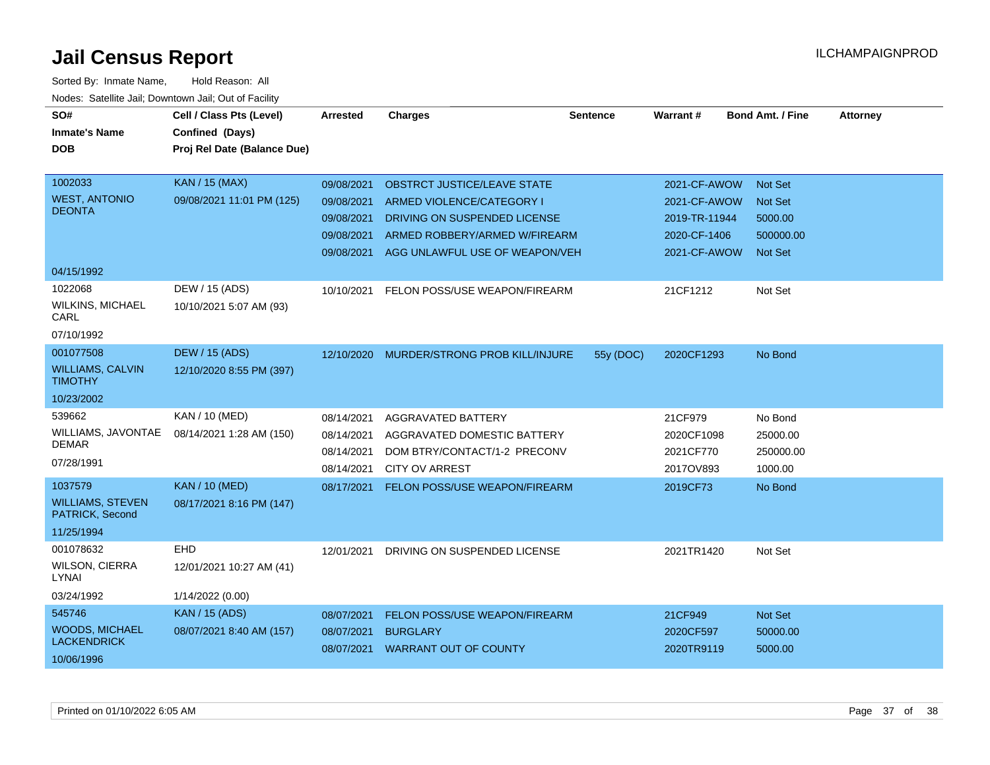| SO#                                        | Cell / Class Pts (Level)    | Arrested   | <b>Charges</b>                       | <b>Sentence</b> | Warrant#      | <b>Bond Amt. / Fine</b> | <b>Attorney</b> |
|--------------------------------------------|-----------------------------|------------|--------------------------------------|-----------------|---------------|-------------------------|-----------------|
| <b>Inmate's Name</b>                       | Confined (Days)             |            |                                      |                 |               |                         |                 |
| <b>DOB</b>                                 | Proj Rel Date (Balance Due) |            |                                      |                 |               |                         |                 |
|                                            |                             |            |                                      |                 |               |                         |                 |
| 1002033                                    | <b>KAN / 15 (MAX)</b>       | 09/08/2021 | <b>OBSTRCT JUSTICE/LEAVE STATE</b>   |                 | 2021-CF-AWOW  | <b>Not Set</b>          |                 |
| <b>WEST, ANTONIO</b>                       | 09/08/2021 11:01 PM (125)   | 09/08/2021 | ARMED VIOLENCE/CATEGORY I            |                 | 2021-CF-AWOW  | <b>Not Set</b>          |                 |
| <b>DEONTA</b>                              |                             | 09/08/2021 | DRIVING ON SUSPENDED LICENSE         |                 | 2019-TR-11944 | 5000.00                 |                 |
|                                            |                             | 09/08/2021 | ARMED ROBBERY/ARMED W/FIREARM        |                 | 2020-CF-1406  | 500000.00               |                 |
|                                            |                             | 09/08/2021 | AGG UNLAWFUL USE OF WEAPON/VEH       |                 | 2021-CF-AWOW  | <b>Not Set</b>          |                 |
| 04/15/1992                                 |                             |            |                                      |                 |               |                         |                 |
| 1022068                                    | DEW / 15 (ADS)              | 10/10/2021 | FELON POSS/USE WEAPON/FIREARM        |                 | 21CF1212      | Not Set                 |                 |
| <b>WILKINS, MICHAEL</b><br>CARL            | 10/10/2021 5:07 AM (93)     |            |                                      |                 |               |                         |                 |
| 07/10/1992                                 |                             |            |                                      |                 |               |                         |                 |
| 001077508                                  | <b>DEW / 15 (ADS)</b>       | 12/10/2020 | MURDER/STRONG PROB KILL/INJURE       | 55y (DOC)       | 2020CF1293    | No Bond                 |                 |
| <b>WILLIAMS, CALVIN</b><br><b>TIMOTHY</b>  | 12/10/2020 8:55 PM (397)    |            |                                      |                 |               |                         |                 |
| 10/23/2002                                 |                             |            |                                      |                 |               |                         |                 |
| 539662                                     | KAN / 10 (MED)              | 08/14/2021 | AGGRAVATED BATTERY                   |                 | 21CF979       | No Bond                 |                 |
| WILLIAMS, JAVONTAE                         | 08/14/2021 1:28 AM (150)    | 08/14/2021 | AGGRAVATED DOMESTIC BATTERY          |                 | 2020CF1098    | 25000.00                |                 |
| <b>DEMAR</b>                               |                             | 08/14/2021 | DOM BTRY/CONTACT/1-2 PRECONV         |                 | 2021CF770     | 250000.00               |                 |
| 07/28/1991                                 |                             | 08/14/2021 | <b>CITY OV ARREST</b>                |                 | 2017OV893     | 1000.00                 |                 |
| 1037579                                    | <b>KAN / 10 (MED)</b>       | 08/17/2021 | <b>FELON POSS/USE WEAPON/FIREARM</b> |                 | 2019CF73      | No Bond                 |                 |
| <b>WILLIAMS, STEVEN</b><br>PATRICK, Second | 08/17/2021 8:16 PM (147)    |            |                                      |                 |               |                         |                 |
| 11/25/1994                                 |                             |            |                                      |                 |               |                         |                 |
| 001078632                                  | <b>EHD</b>                  | 12/01/2021 | DRIVING ON SUSPENDED LICENSE         |                 | 2021TR1420    | Not Set                 |                 |
| <b>WILSON, CIERRA</b><br>LYNAI             | 12/01/2021 10:27 AM (41)    |            |                                      |                 |               |                         |                 |
| 03/24/1992                                 | 1/14/2022 (0.00)            |            |                                      |                 |               |                         |                 |
| 545746                                     | <b>KAN</b> / 15 (ADS)       | 08/07/2021 | FELON POSS/USE WEAPON/FIREARM        |                 | 21CF949       | Not Set                 |                 |
| <b>WOODS, MICHAEL</b>                      | 08/07/2021 8:40 AM (157)    | 08/07/2021 | <b>BURGLARY</b>                      |                 | 2020CF597     | 50000.00                |                 |
| <b>LACKENDRICK</b>                         |                             |            | 08/07/2021 WARRANT OUT OF COUNTY     |                 | 2020TR9119    | 5000.00                 |                 |
| 10/06/1996                                 |                             |            |                                      |                 |               |                         |                 |